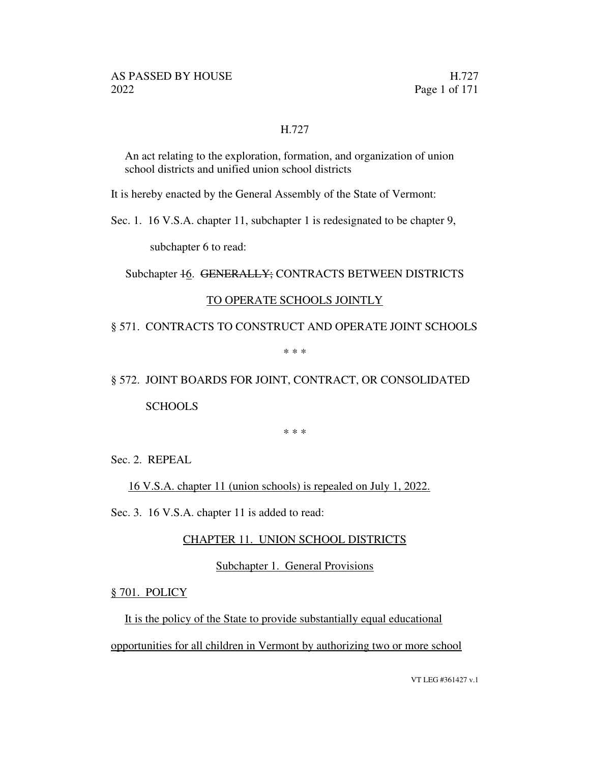#### H.727

An act relating to the exploration, formation, and organization of union school districts and unified union school districts

It is hereby enacted by the General Assembly of the State of Vermont:

Sec. 1. 16 V.S.A. chapter 11, subchapter 1 is redesignated to be chapter 9,

subchapter 6 to read:

Subchapter 16. GENERALLY; CONTRACTS BETWEEN DISTRICTS

#### TO OPERATE SCHOOLS JOINTLY

§ 571. CONTRACTS TO CONSTRUCT AND OPERATE JOINT SCHOOLS

\* \* \*

§ 572. JOINT BOARDS FOR JOINT, CONTRACT, OR CONSOLIDATED **SCHOOLS** 

\* \* \*

Sec. 2. REPEAL

16 V.S.A. chapter 11 (union schools) is repealed on July 1, 2022.

Sec. 3. 16 V.S.A. chapter 11 is added to read:

#### CHAPTER 11. UNION SCHOOL DISTRICTS

Subchapter 1. General Provisions

§ 701. POLICY

It is the policy of the State to provide substantially equal educational opportunities for all children in Vermont by authorizing two or more school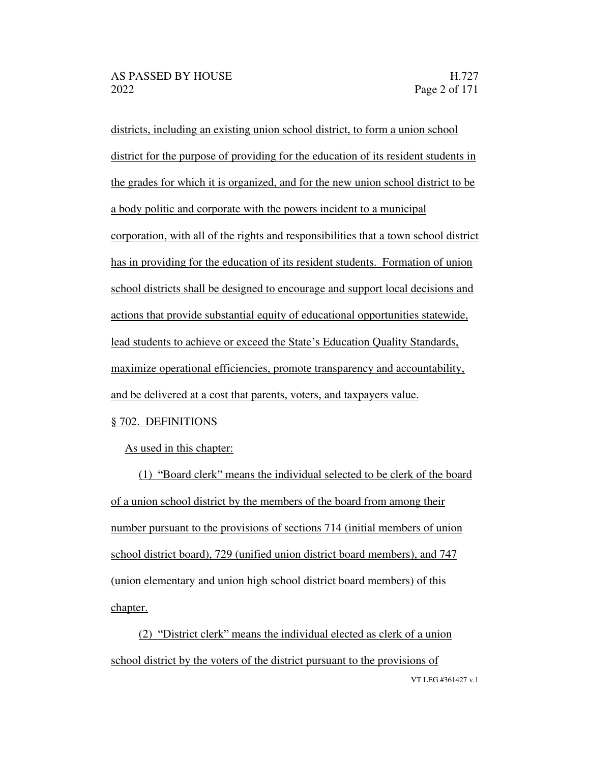districts, including an existing union school district, to form a union school district for the purpose of providing for the education of its resident students in the grades for which it is organized, and for the new union school district to be a body politic and corporate with the powers incident to a municipal corporation, with all of the rights and responsibilities that a town school district has in providing for the education of its resident students. Formation of union school districts shall be designed to encourage and support local decisions and actions that provide substantial equity of educational opportunities statewide, lead students to achieve or exceed the State's Education Quality Standards, maximize operational efficiencies, promote transparency and accountability, and be delivered at a cost that parents, voters, and taxpayers value.

#### § 702. DEFINITIONS

As used in this chapter:

(1) "Board clerk" means the individual selected to be clerk of the board of a union school district by the members of the board from among their number pursuant to the provisions of sections 714 (initial members of union school district board), 729 (unified union district board members), and 747 (union elementary and union high school district board members) of this chapter.

VT LEG #361427 v.1 (2) "District clerk" means the individual elected as clerk of a union school district by the voters of the district pursuant to the provisions of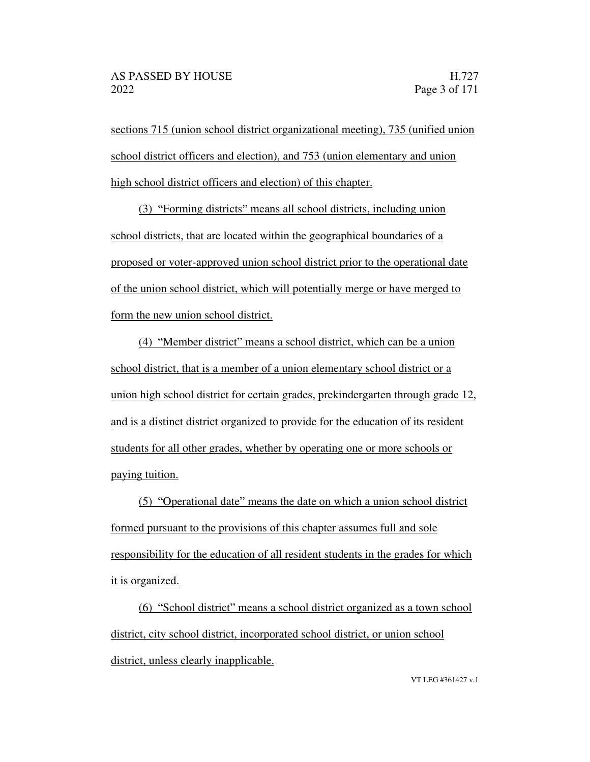sections 715 (union school district organizational meeting), 735 (unified union school district officers and election), and 753 (union elementary and union high school district officers and election) of this chapter.

(3) Forming districts means all school districts, including union school districts, that are located within the geographical boundaries of a proposed or voter-approved union school district prior to the operational date of the union school district, which will potentially merge or have merged to form the new union school district.

(4) "Member district" means a school district, which can be a union school district, that is a member of a union elementary school district or a union high school district for certain grades, prekindergarten through grade 12, and is a distinct district organized to provide for the education of its resident students for all other grades, whether by operating one or more schools or paying tuition.

 $(5)$  "Operational date" means the date on which a union school district formed pursuant to the provisions of this chapter assumes full and sole responsibility for the education of all resident students in the grades for which it is organized.

 $(6)$  "School district" means a school district organized as a town school district, city school district, incorporated school district, or union school district, unless clearly inapplicable.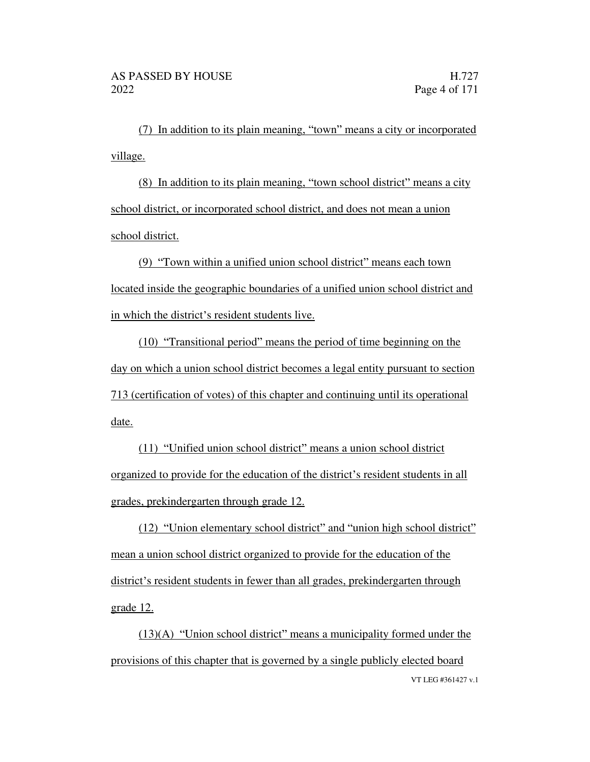$(7)$  In addition to its plain meaning, "town" means a city or incorporated village.

 $(8)$  In addition to its plain meaning, "town school district" means a city school district, or incorporated school district, and does not mean a union school district.

(9) "Town within a unified union school district" means each town located inside the geographic boundaries of a unified union school district and in which the district's resident students live.

 $(10)$  "Transitional period" means the period of time beginning on the day on which a union school district becomes a legal entity pursuant to section 713 (certification of votes) of this chapter and continuing until its operational date.

(11) "Unified union school district" means a union school district organized to provide for the education of the district's resident students in all grades, prekindergarten through grade 12.

 $(12)$  "Union elementary school district" and "union high school district" mean a union school district organized to provide for the education of the district's resident students in fewer than all grades, prekindergarten through grade 12.

VT LEG #361427 v.1  $(13)(A)$  "Union school district" means a municipality formed under the provisions of this chapter that is governed by a single publicly elected board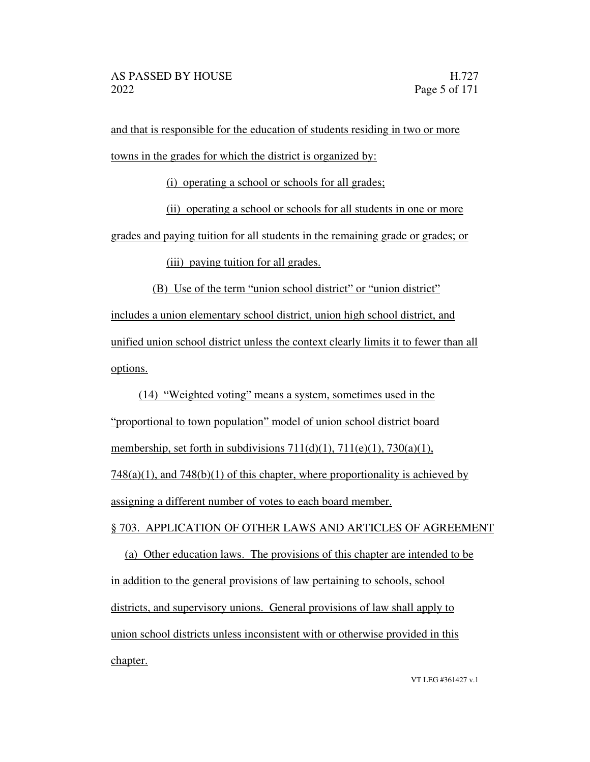and that is responsible for the education of students residing in two or more towns in the grades for which the district is organized by:

(i) operating a school or schools for all grades;

(ii) operating a school or schools for all students in one or more

grades and paying tuition for all students in the remaining grade or grades; or

(iii) paying tuition for all grades.

 $(B)$  Use of the term "union school district" or "union district"

includes a union elementary school district, union high school district, and unified union school district unless the context clearly limits it to fewer than all options.

 $(14)$  "Weighted voting" means a system, sometimes used in the "proportional to town population" model of union school district board membership, set forth in subdivisions  $711(d)(1)$ ,  $711(e)(1)$ ,  $730(a)(1)$ ,  $748(a)(1)$ , and  $748(b)(1)$  of this chapter, where proportionality is achieved by assigning a different number of votes to each board member.

#### § 703. APPLICATION OF OTHER LAWS AND ARTICLES OF AGREEMENT

(a) Other education laws. The provisions of this chapter are intended to be in addition to the general provisions of law pertaining to schools, school districts, and supervisory unions. General provisions of law shall apply to union school districts unless inconsistent with or otherwise provided in this chapter.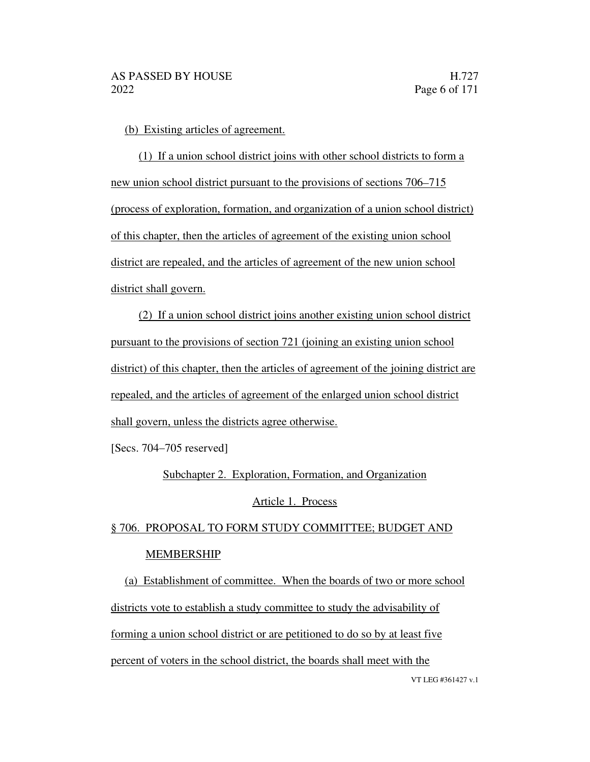(b) Existing articles of agreement.

(1) If a union school district joins with other school districts to form a new union school district pursuant to the provisions of sections  $706-715$ (process of exploration, formation, and organization of a union school district) of this chapter, then the articles of agreement of the existing union school district are repealed, and the articles of agreement of the new union school district shall govern.

(2) If a union school district joins another existing union school district pursuant to the provisions of section 721 (joining an existing union school district) of this chapter, then the articles of agreement of the joining district are repealed, and the articles of agreement of the enlarged union school district shall govern, unless the districts agree otherwise.

 $[Secs. 704-705$  reserved]

Subchapter 2. Exploration, Formation, and Organization

#### Article 1. Process

### § 706. PROPOSAL TO FORM STUDY COMMITTEE; BUDGET AND MEMBERSHIP

VT LEG #361427 v.1 (a) Establishment of committee. When the boards of two or more school districts vote to establish a study committee to study the advisability of forming a union school district or are petitioned to do so by at least five percent of voters in the school district, the boards shall meet with the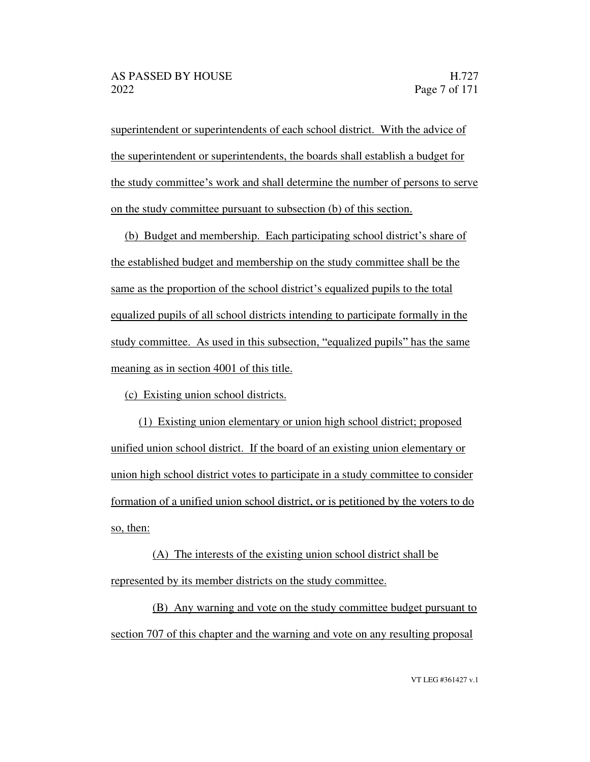superintendent or superintendents of each school district. With the advice of the superintendent or superintendents, the boards shall establish a budget for the study committee's work and shall determine the number of persons to serve on the study committee pursuant to subsection (b) of this section.

(b) Budget and membership. Each participating school district's share of the established budget and membership on the study committee shall be the same as the proportion of the school district's equalized pupils to the total equalized pupils of all school districts intending to participate formally in the study committee. As used in this subsection, "equalized pupils" has the same meaning as in section 4001 of this title.

(c) Existing union school districts.

(1) Existing union elementary or union high school district; proposed unified union school district. If the board of an existing union elementary or union high school district votes to participate in a study committee to consider formation of a unified union school district, or is petitioned by the voters to do so, then:

(A) The interests of the existing union school district shall be represented by its member districts on the study committee.

(B) Any warning and vote on the study committee budget pursuant to section 707 of this chapter and the warning and vote on any resulting proposal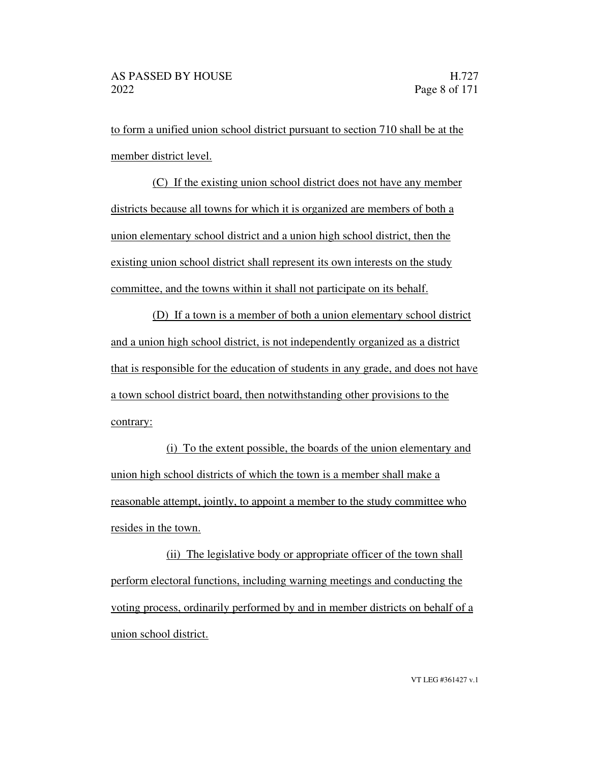to form a unified union school district pursuant to section 710 shall be at the member district level.

(C) If the existing union school district does not have any member districts because all towns for which it is organized are members of both a union elementary school district and a union high school district, then the existing union school district shall represent its own interests on the study committee, and the towns within it shall not participate on its behalf.

(D) If a town is a member of both a union elementary school district and a union high school district, is not independently organized as a district that is responsible for the education of students in any grade, and does not have a town school district board, then notwithstanding other provisions to the contrary:

(i) To the extent possible, the boards of the union elementary and union high school districts of which the town is a member shall make a reasonable attempt, jointly, to appoint a member to the study committee who resides in the town.

(ii) The legislative body or appropriate officer of the town shall perform electoral functions, including warning meetings and conducting the voting process, ordinarily performed by and in member districts on behalf of a union school district.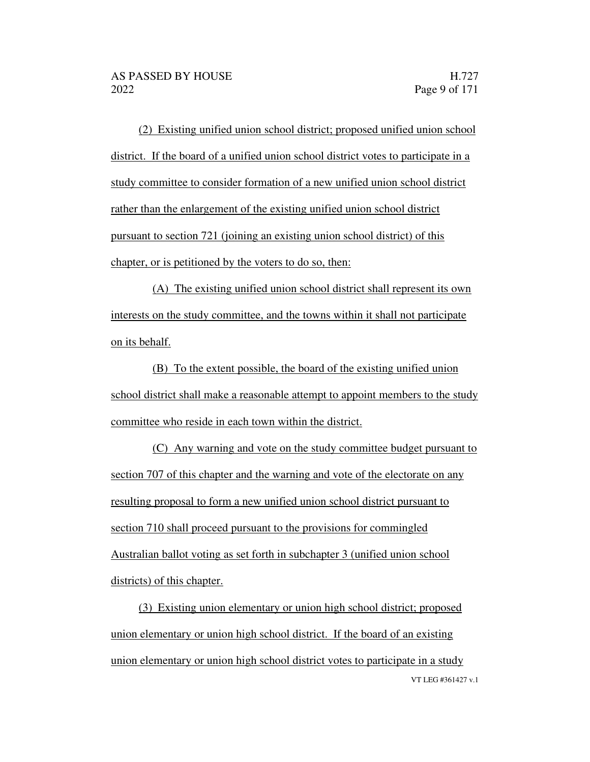(2) Existing unified union school district; proposed unified union school district. If the board of a unified union school district votes to participate in a study committee to consider formation of a new unified union school district rather than the enlargement of the existing unified union school district pursuant to section 721 (joining an existing union school district) of this chapter, or is petitioned by the voters to do so, then:

(A) The existing unified union school district shall represent its own interests on the study committee, and the towns within it shall not participate on its behalf.

(B) To the extent possible, the board of the existing unified union school district shall make a reasonable attempt to appoint members to the study committee who reside in each town within the district.

(C) Any warning and vote on the study committee budget pursuant to section 707 of this chapter and the warning and vote of the electorate on any resulting proposal to form a new unified union school district pursuant to section 710 shall proceed pursuant to the provisions for commingled Australian ballot voting as set forth in subchapter 3 (unified union school districts) of this chapter.

VT LEG #361427 v.1 (3) Existing union elementary or union high school district; proposed union elementary or union high school district. If the board of an existing union elementary or union high school district votes to participate in a study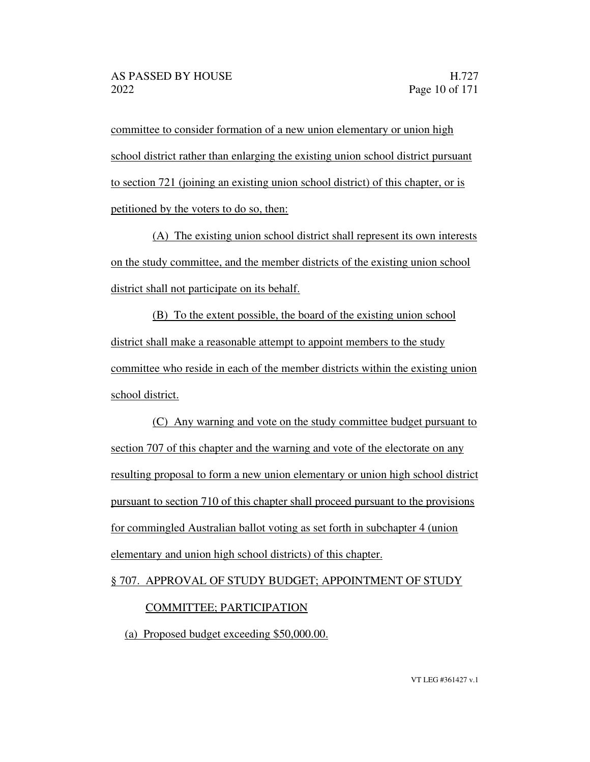committee to consider formation of a new union elementary or union high school district rather than enlarging the existing union school district pursuant to section 721 (joining an existing union school district) of this chapter, or is petitioned by the voters to do so, then:

(A) The existing union school district shall represent its own interests on the study committee, and the member districts of the existing union school district shall not participate on its behalf.

(B) To the extent possible, the board of the existing union school district shall make a reasonable attempt to appoint members to the study committee who reside in each of the member districts within the existing union school district.

(C) Any warning and vote on the study committee budget pursuant to section 707 of this chapter and the warning and vote of the electorate on any resulting proposal to form a new union elementary or union high school district pursuant to section 710 of this chapter shall proceed pursuant to the provisions for commingled Australian ballot voting as set forth in subchapter 4 (union elementary and union high school districts) of this chapter.

#### § 707. APPROVAL OF STUDY BUDGET; APPOINTMENT OF STUDY

#### COMMITTEE; PARTICIPATION

(a) Proposed budget exceeding \$50,000.00.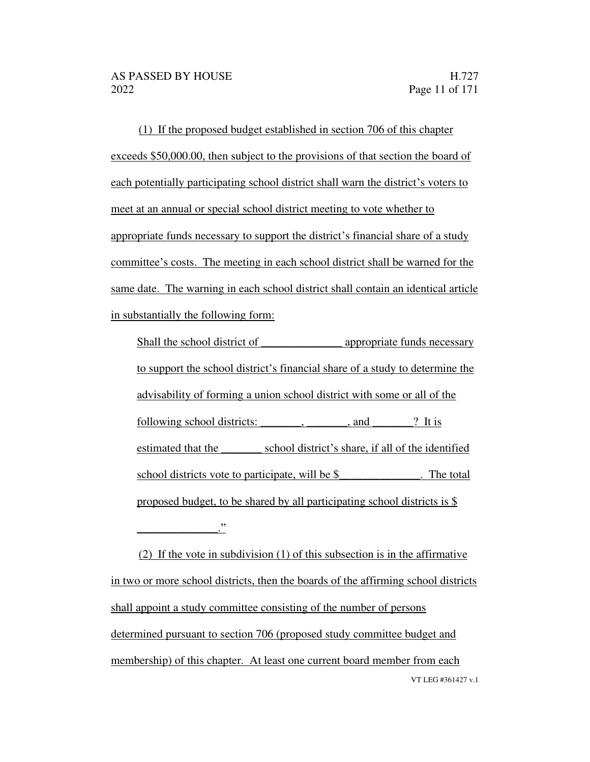(1) If the proposed budget established in section 706 of this chapter exceeds \$50,000.00, then subject to the provisions of that section the board of each potentially participating school district shall warn the district's voters to meet at an annual or special school district meeting to vote whether to appropriate funds necessary to support the district's financial share of a study committee's costs. The meeting in each school district shall be warned for the same date. The warning in each school district shall contain an identical article in substantially the following form:

Shall the school district of appropriate funds necessary to support the school district's financial share of a study to determine the advisability of forming a union school district with some or all of the following school districts: \_\_\_\_\_\_\_, \_\_\_\_\_\_, and \_\_\_\_\_? It is estimated that the school district's share, if all of the identified school districts vote to participate, will be \$ The total proposed budget, to be shared by all participating school districts is  $\frac{1}{2}$ \_\_\_\_\_\_\_\_\_\_\_\_\_\_.

VT LEG #361427 v.1 (2) If the vote in subdivision (1) of this subsection is in the affirmative in two or more school districts, then the boards of the affirming school districts shall appoint a study committee consisting of the number of persons determined pursuant to section 706 (proposed study committee budget and membership) of this chapter. At least one current board member from each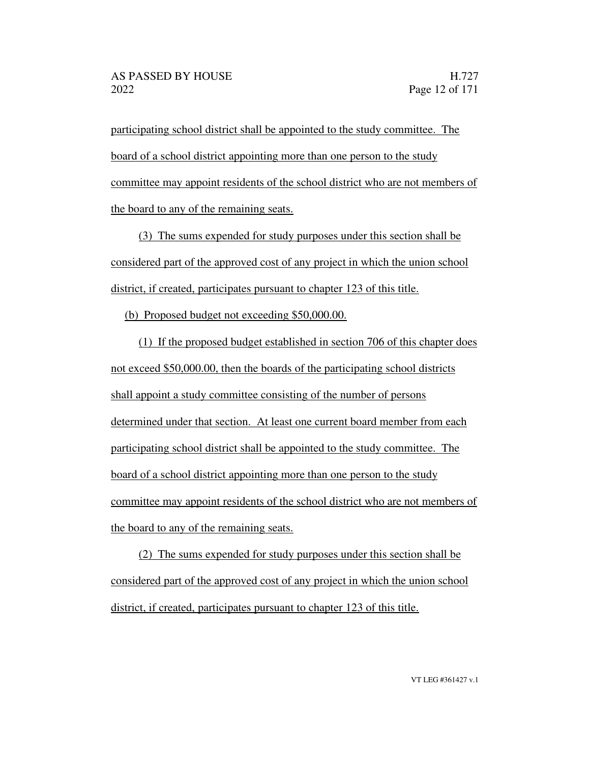participating school district shall be appointed to the study committee. The board of a school district appointing more than one person to the study committee may appoint residents of the school district who are not members of the board to any of the remaining seats.

(3) The sums expended for study purposes under this section shall be considered part of the approved cost of any project in which the union school district, if created, participates pursuant to chapter 123 of this title.

(b) Proposed budget not exceeding \$50,000.00.

(1) If the proposed budget established in section 706 of this chapter does not exceed \$50,000.00, then the boards of the participating school districts shall appoint a study committee consisting of the number of persons determined under that section. At least one current board member from each participating school district shall be appointed to the study committee. The board of a school district appointing more than one person to the study committee may appoint residents of the school district who are not members of the board to any of the remaining seats.

(2) The sums expended for study purposes under this section shall be considered part of the approved cost of any project in which the union school district, if created, participates pursuant to chapter 123 of this title.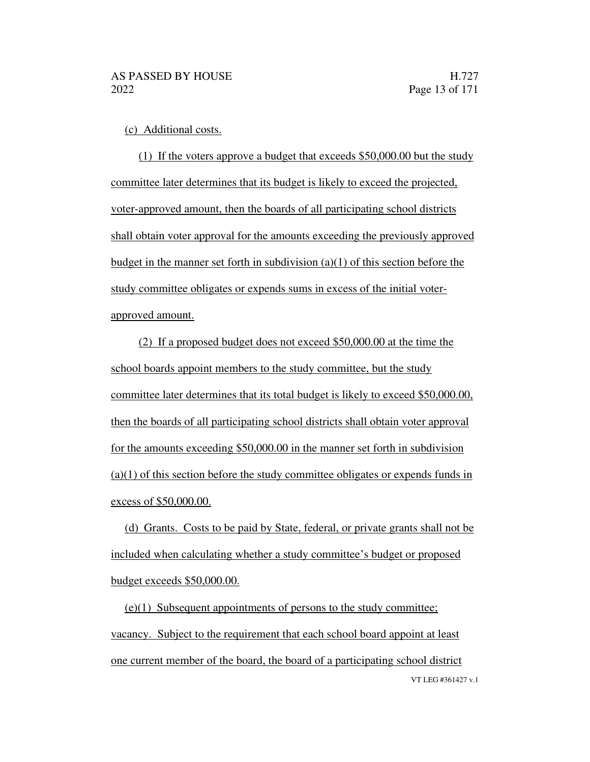(c) Additional costs.

(1) If the voters approve a budget that exceeds \$50,000.00 but the study committee later determines that its budget is likely to exceed the projected, voter-approved amount, then the boards of all participating school districts shall obtain voter approval for the amounts exceeding the previously approved budget in the manner set forth in subdivision (a)(1) of this section before the study committee obligates or expends sums in excess of the initial voterapproved amount.

(2) If a proposed budget does not exceed \$50,000.00 at the time the school boards appoint members to the study committee, but the study committee later determines that its total budget is likely to exceed \$50,000.00, then the boards of all participating school districts shall obtain voter approval for the amounts exceeding \$50,000.00 in the manner set forth in subdivision (a)(1) of this section before the study committee obligates or expends funds in excess of \$50,000.00.

(d) Grants. Costs to be paid by State, federal, or private grants shall not be included when calculating whether a study committee's budget or proposed budget exceeds \$50,000.00.

VT LEG #361427 v.1 (e)(1) Subsequent appointments of persons to the study committee; vacancy. Subject to the requirement that each school board appoint at least one current member of the board, the board of a participating school district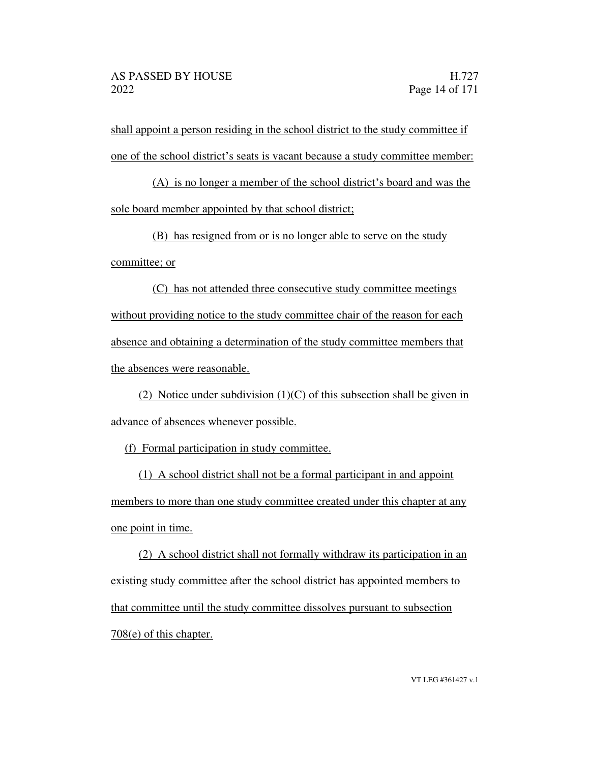shall appoint a person residing in the school district to the study committee if one of the school district's seats is vacant because a study committee member:

 $(A)$  is no longer a member of the school district's board and was the sole board member appointed by that school district;

(B) has resigned from or is no longer able to serve on the study committee; or

(C) has not attended three consecutive study committee meetings without providing notice to the study committee chair of the reason for each absence and obtaining a determination of the study committee members that the absences were reasonable.

(2) Notice under subdivision (1)(C) of this subsection shall be given in advance of absences whenever possible.

(f) Formal participation in study committee.

(1) A school district shall not be a formal participant in and appoint members to more than one study committee created under this chapter at any one point in time.

(2) A school district shall not formally withdraw its participation in an existing study committee after the school district has appointed members to that committee until the study committee dissolves pursuant to subsection 708(e) of this chapter.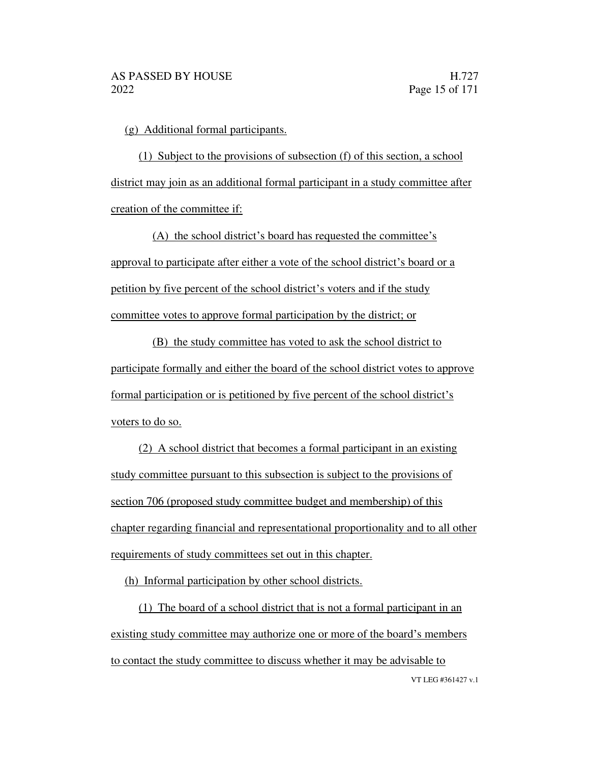(g) Additional formal participants.

(1) Subject to the provisions of subsection (f) of this section, a school district may join as an additional formal participant in a study committee after creation of the committee if:

(A) the school district's board has requested the committee's approval to participate after either a vote of the school district's board or a petition by five percent of the school district's voters and if the study committee votes to approve formal participation by the district; or

(B) the study committee has voted to ask the school district to participate formally and either the board of the school district votes to approve formal participation or is petitioned by five percent of the school district's voters to do so.

(2) A school district that becomes a formal participant in an existing study committee pursuant to this subsection is subject to the provisions of section 706 (proposed study committee budget and membership) of this chapter regarding financial and representational proportionality and to all other requirements of study committees set out in this chapter.

(h) Informal participation by other school districts.

VT LEG #361427 v.1 (1) The board of a school district that is not a formal participant in an existing study committee may authorize one or more of the board's members to contact the study committee to discuss whether it may be advisable to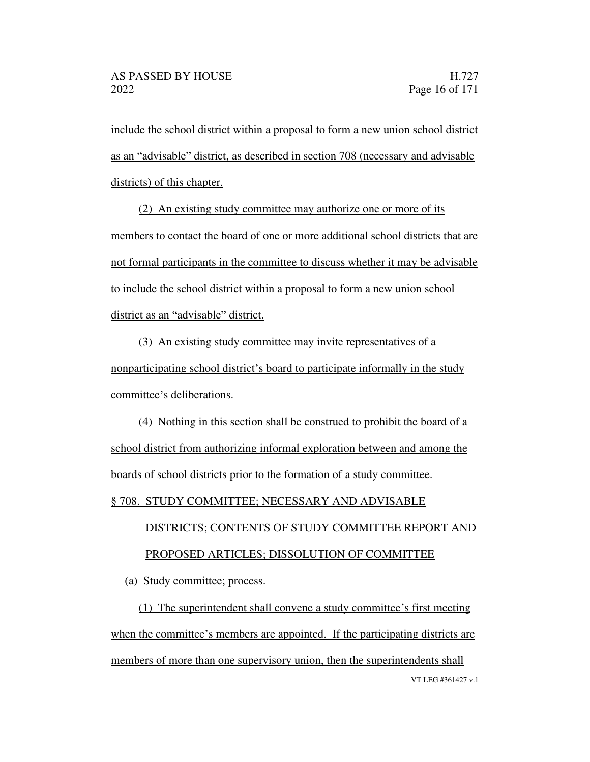include the school district within a proposal to form a new union school district as an "advisable" district, as described in section 708 (necessary and advisable districts) of this chapter.

(2) An existing study committee may authorize one or more of its members to contact the board of one or more additional school districts that are not formal participants in the committee to discuss whether it may be advisable to include the school district within a proposal to form a new union school district as an "advisable" district.

(3) An existing study committee may invite representatives of a nonparticipating school district's board to participate informally in the study committee's deliberations.

(4) Nothing in this section shall be construed to prohibit the board of a school district from authorizing informal exploration between and among the boards of school districts prior to the formation of a study committee.

#### § 708. STUDY COMMITTEE; NECESSARY AND ADVISABLE

# DISTRICTS; CONTENTS OF STUDY COMMITTEE REPORT AND PROPOSED ARTICLES; DISSOLUTION OF COMMITTEE

(a) Study committee; process.

VT LEG #361427 v.1  $(1)$  The superintendent shall convene a study committee's first meeting when the committee's members are appointed. If the participating districts are members of more than one supervisory union, then the superintendents shall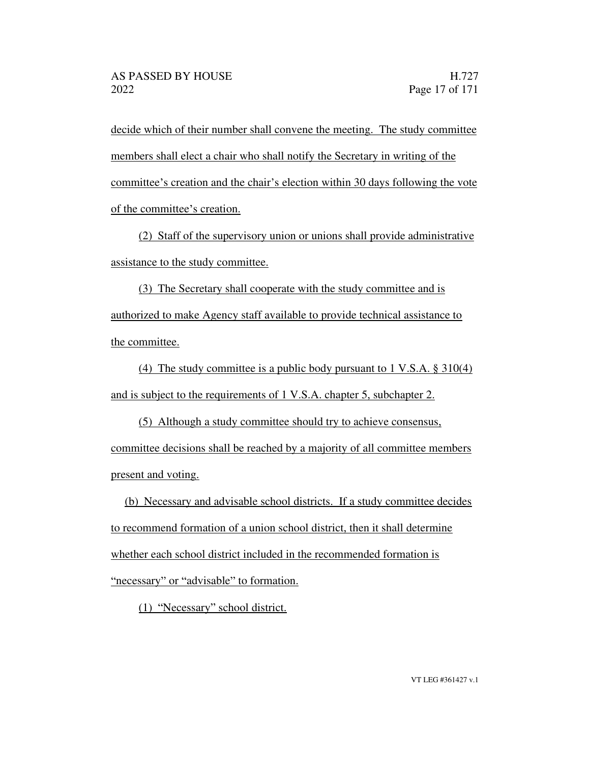decide which of their number shall convene the meeting. The study committee members shall elect a chair who shall notify the Secretary in writing of the committee's creation and the chair's election within 30 days following the vote of the committee's creation.

(2) Staff of the supervisory union or unions shall provide administrative assistance to the study committee.

(3) The Secretary shall cooperate with the study committee and is authorized to make Agency staff available to provide technical assistance to the committee.

(4) The study committee is a public body pursuant to 1 V.S.A. § 310(4) and is subject to the requirements of 1 V.S.A. chapter 5, subchapter 2.

(5) Although a study committee should try to achieve consensus, committee decisions shall be reached by a majority of all committee members present and voting.

(b) Necessary and advisable school districts. If a study committee decides to recommend formation of a union school district, then it shall determine whether each school district included in the recommended formation is "necessary" or "advisable" to formation.

 $(1)$  "Necessary" school district.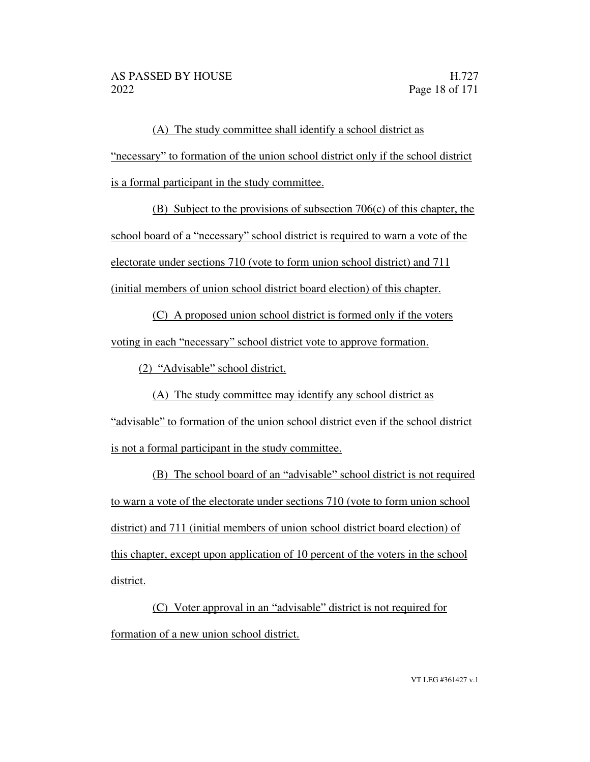(A) The study committee shall identify a school district as necessary to formation of the union school district only if the school district is a formal participant in the study committee.

(B) Subject to the provisions of subsection 706(c) of this chapter, the school board of a "necessary" school district is required to warn a vote of the electorate under sections 710 (vote to form union school district) and 711 (initial members of union school district board election) of this chapter.

(C) A proposed union school district is formed only if the voters voting in each "necessary" school district vote to approve formation.

 $(2)$  "Advisable" school district.

(A) The study committee may identify any school district as "advisable" to formation of the union school district even if the school district is not a formal participant in the study committee.

(B) The school board of an "advisable" school district is not required to warn a vote of the electorate under sections 710 (vote to form union school district) and 711 (initial members of union school district board election) of this chapter, except upon application of 10 percent of the voters in the school district.

 $(C)$  Voter approval in an "advisable" district is not required for formation of a new union school district.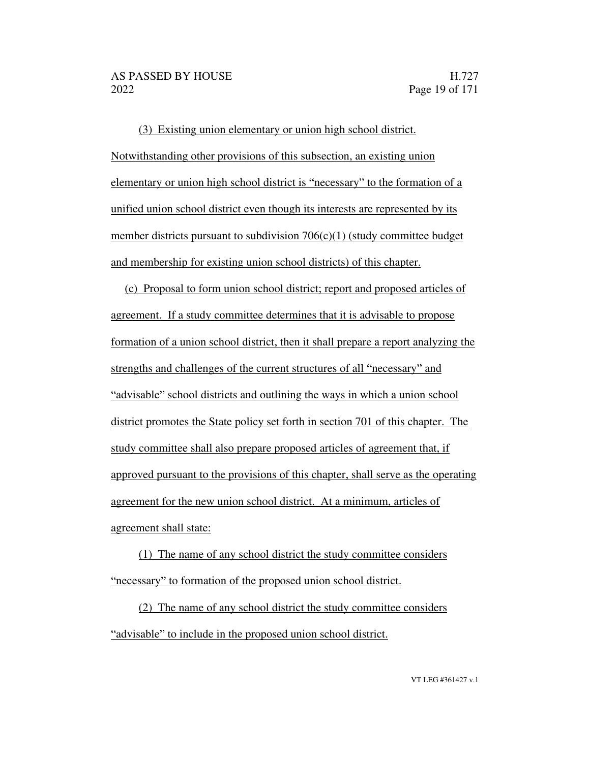(3) Existing union elementary or union high school district. Notwithstanding other provisions of this subsection, an existing union elementary or union high school district is "necessary" to the formation of a unified union school district even though its interests are represented by its member districts pursuant to subdivision  $706(c)(1)$  (study committee budget and membership for existing union school districts) of this chapter.

(c) Proposal to form union school district; report and proposed articles of agreement. If a study committee determines that it is advisable to propose formation of a union school district, then it shall prepare a report analyzing the strengths and challenges of the current structures of all "necessary" and "advisable" school districts and outlining the ways in which a union school district promotes the State policy set forth in section 701 of this chapter. The study committee shall also prepare proposed articles of agreement that, if approved pursuant to the provisions of this chapter, shall serve as the operating agreement for the new union school district. At a minimum, articles of agreement shall state:

(1) The name of any school district the study committee considers "necessary" to formation of the proposed union school district.

(2) The name of any school district the study committee considers "advisable" to include in the proposed union school district.

VT LEG #361427 v.1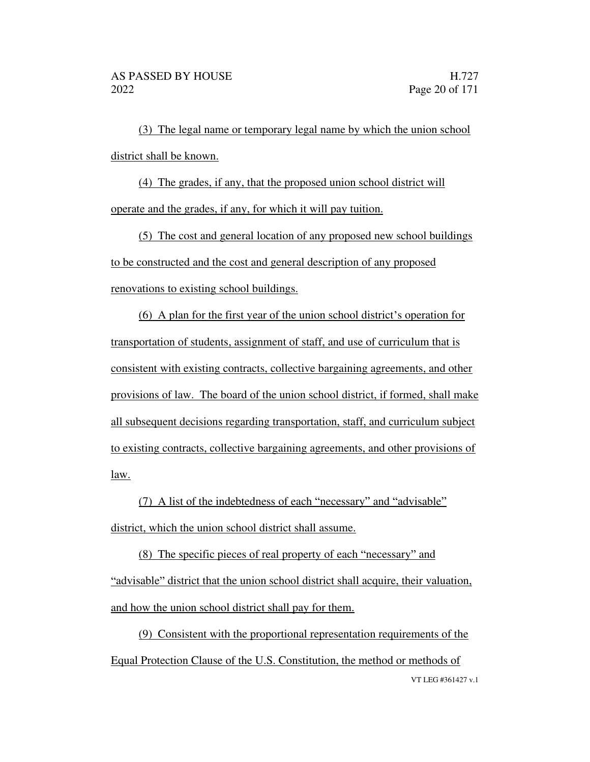(3) The legal name or temporary legal name by which the union school district shall be known.

(4) The grades, if any, that the proposed union school district will operate and the grades, if any, for which it will pay tuition.

(5) The cost and general location of any proposed new school buildings to be constructed and the cost and general description of any proposed renovations to existing school buildings.

(6) A plan for the first year of the union school district's operation for transportation of students, assignment of staff, and use of curriculum that is consistent with existing contracts, collective bargaining agreements, and other provisions of law. The board of the union school district, if formed, shall make all subsequent decisions regarding transportation, staff, and curriculum subject to existing contracts, collective bargaining agreements, and other provisions of law.

(7) A list of the indebtedness of each "necessary" and "advisable" district, which the union school district shall assume.

(8) The specific pieces of real property of each "necessary" and "advisable" district that the union school district shall acquire, their valuation, and how the union school district shall pay for them.

VT LEG #361427 v.1 (9) Consistent with the proportional representation requirements of the Equal Protection Clause of the U.S. Constitution, the method or methods of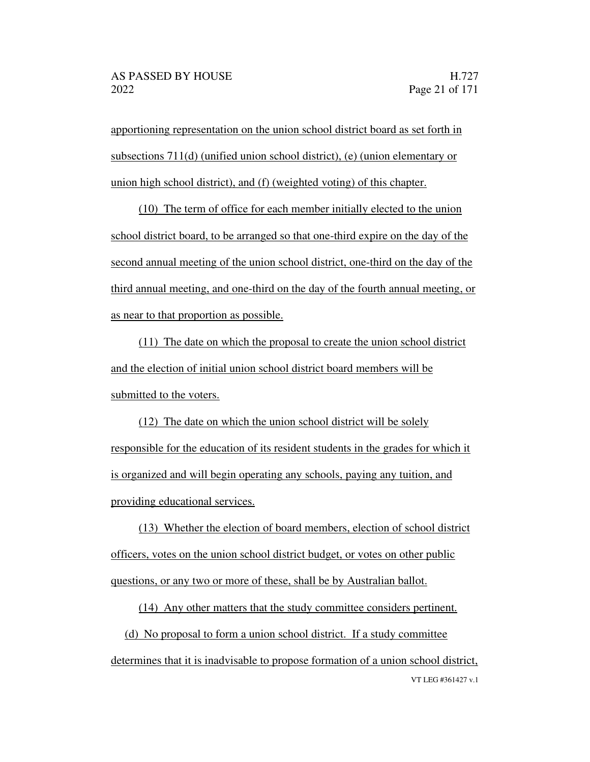apportioning representation on the union school district board as set forth in subsections 711(d) (unified union school district), (e) (union elementary or union high school district), and (f) (weighted voting) of this chapter.

(10) The term of office for each member initially elected to the union school district board, to be arranged so that one-third expire on the day of the second annual meeting of the union school district, one-third on the day of the third annual meeting, and one-third on the day of the fourth annual meeting, or as near to that proportion as possible.

(11) The date on which the proposal to create the union school district and the election of initial union school district board members will be submitted to the voters.

(12) The date on which the union school district will be solely responsible for the education of its resident students in the grades for which it is organized and will begin operating any schools, paying any tuition, and providing educational services.

(13) Whether the election of board members, election of school district officers, votes on the union school district budget, or votes on other public questions, or any two or more of these, shall be by Australian ballot.

(14) Any other matters that the study committee considers pertinent.

VT LEG #361427 v.1 (d) No proposal to form a union school district. If a study committee determines that it is inadvisable to propose formation of a union school district,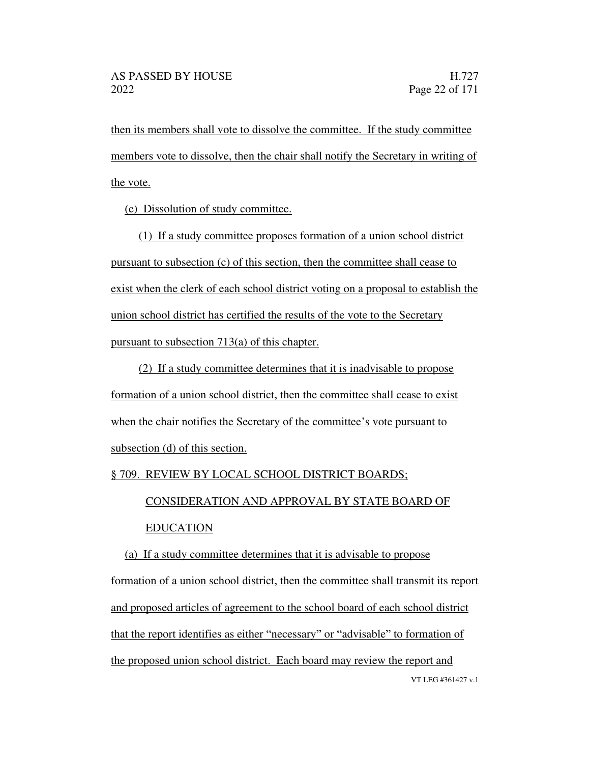then its members shall vote to dissolve the committee. If the study committee members vote to dissolve, then the chair shall notify the Secretary in writing of the vote.

(e) Dissolution of study committee.

(1) If a study committee proposes formation of a union school district pursuant to subsection (c) of this section, then the committee shall cease to exist when the clerk of each school district voting on a proposal to establish the union school district has certified the results of the vote to the Secretary pursuant to subsection 713(a) of this chapter.

(2) If a study committee determines that it is inadvisable to propose formation of a union school district, then the committee shall cease to exist when the chair notifies the Secretary of the committee's vote pursuant to subsection (d) of this section.

#### § 709. REVIEW BY LOCAL SCHOOL DISTRICT BOARDS;

CONSIDERATION AND APPROVAL BY STATE BOARD OF

#### EDUCATION

VT LEG #361427 v.1 (a) If a study committee determines that it is advisable to propose formation of a union school district, then the committee shall transmit its report and proposed articles of agreement to the school board of each school district that the report identifies as either "necessary" or "advisable" to formation of the proposed union school district. Each board may review the report and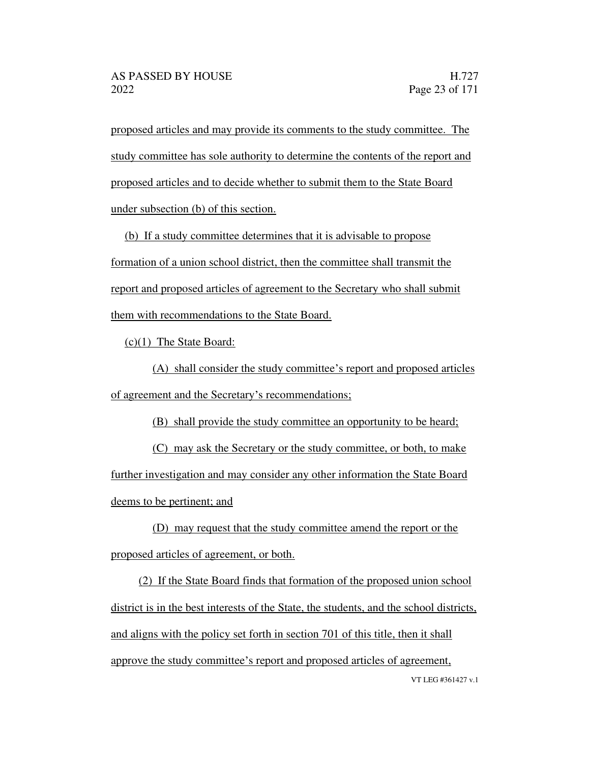proposed articles and may provide its comments to the study committee. The study committee has sole authority to determine the contents of the report and proposed articles and to decide whether to submit them to the State Board under subsection (b) of this section.

(b) If a study committee determines that it is advisable to propose formation of a union school district, then the committee shall transmit the report and proposed articles of agreement to the Secretary who shall submit them with recommendations to the State Board.

(c)(1) The State Board:

(A) shall consider the study committee's report and proposed articles of agreement and the Secretary's recommendations;

(B) shall provide the study committee an opportunity to be heard;

(C) may ask the Secretary or the study committee, or both, to make further investigation and may consider any other information the State Board deems to be pertinent; and

(D) may request that the study committee amend the report or the proposed articles of agreement, or both.

VT LEG #361427 v.1 (2) If the State Board finds that formation of the proposed union school district is in the best interests of the State, the students, and the school districts, and aligns with the policy set forth in section 701 of this title, then it shall approve the study committee's report and proposed articles of agreement,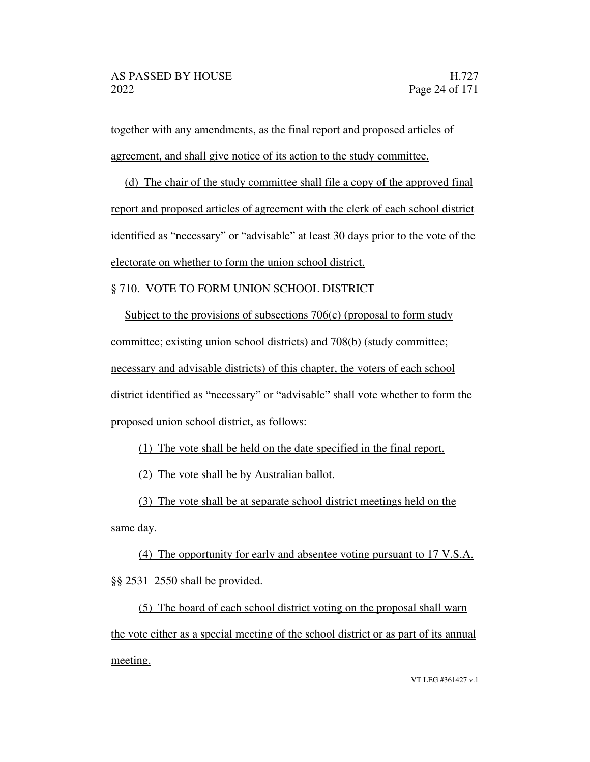together with any amendments, as the final report and proposed articles of agreement, and shall give notice of its action to the study committee.

(d) The chair of the study committee shall file a copy of the approved final report and proposed articles of agreement with the clerk of each school district identified as "necessary" or "advisable" at least 30 days prior to the vote of the electorate on whether to form the union school district.

#### § 710. VOTE TO FORM UNION SCHOOL DISTRICT

Subject to the provisions of subsections 706(c) (proposal to form study committee; existing union school districts) and 708(b) (study committee; necessary and advisable districts) of this chapter, the voters of each school district identified as "necessary" or "advisable" shall vote whether to form the proposed union school district, as follows:

(1) The vote shall be held on the date specified in the final report.

(2) The vote shall be by Australian ballot.

(3) The vote shall be at separate school district meetings held on the

same day.

(4) The opportunity for early and absentee voting pursuant to 17 V.S.A. §§ 2531 2550 shall be provided.

(5) The board of each school district voting on the proposal shall warn the vote either as a special meeting of the school district or as part of its annual meeting.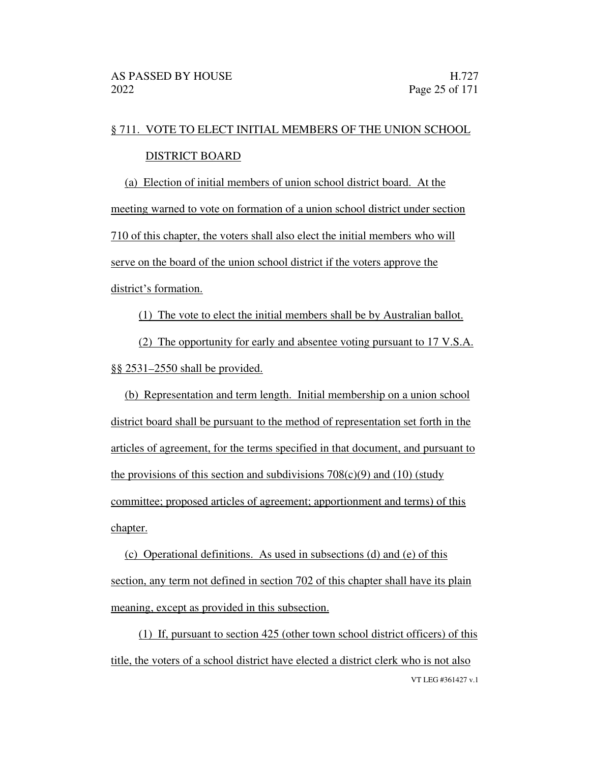## § 711. VOTE TO ELECT INITIAL MEMBERS OF THE UNION SCHOOL

#### DISTRICT BOARD

(a) Election of initial members of union school district board. At the meeting warned to vote on formation of a union school district under section 710 of this chapter, the voters shall also elect the initial members who will serve on the board of the union school district if the voters approve the district's formation.

(1) The vote to elect the initial members shall be by Australian ballot.

(2) The opportunity for early and absentee voting pursuant to 17 V.S.A. §§ 2531-2550 shall be provided.

(b) Representation and term length. Initial membership on a union school district board shall be pursuant to the method of representation set forth in the articles of agreement, for the terms specified in that document, and pursuant to the provisions of this section and subdivisions  $708(c)(9)$  and  $(10)$  (study committee; proposed articles of agreement; apportionment and terms) of this chapter.

(c) Operational definitions. As used in subsections (d) and (e) of this section, any term not defined in section 702 of this chapter shall have its plain meaning, except as provided in this subsection.

VT LEG #361427 v.1 (1) If, pursuant to section 425 (other town school district officers) of this title, the voters of a school district have elected a district clerk who is not also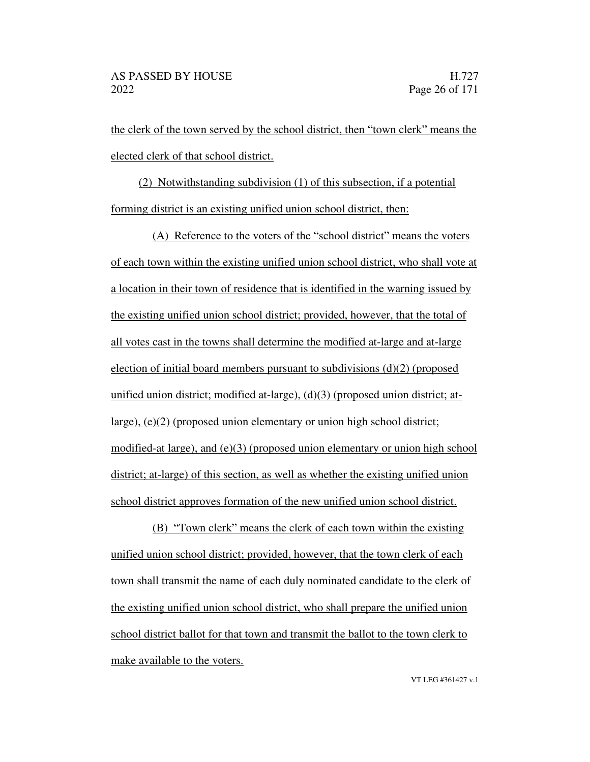the clerk of the town served by the school district, then "town clerk" means the elected clerk of that school district.

(2) Notwithstanding subdivision (1) of this subsection, if a potential forming district is an existing unified union school district, then:

 $(A)$  Reference to the voters of the "school district" means the voters of each town within the existing unified union school district, who shall vote at a location in their town of residence that is identified in the warning issued by the existing unified union school district; provided, however, that the total of all votes cast in the towns shall determine the modified at-large and at-large election of initial board members pursuant to subdivisions (d)(2) (proposed unified union district; modified at-large), (d)(3) (proposed union district; atlarge), (e)(2) (proposed union elementary or union high school district; modified-at large), and (e)(3) (proposed union elementary or union high school district; at-large) of this section, as well as whether the existing unified union school district approves formation of the new unified union school district.

(B) "Town clerk" means the clerk of each town within the existing unified union school district; provided, however, that the town clerk of each town shall transmit the name of each duly nominated candidate to the clerk of the existing unified union school district, who shall prepare the unified union school district ballot for that town and transmit the ballot to the town clerk to make available to the voters.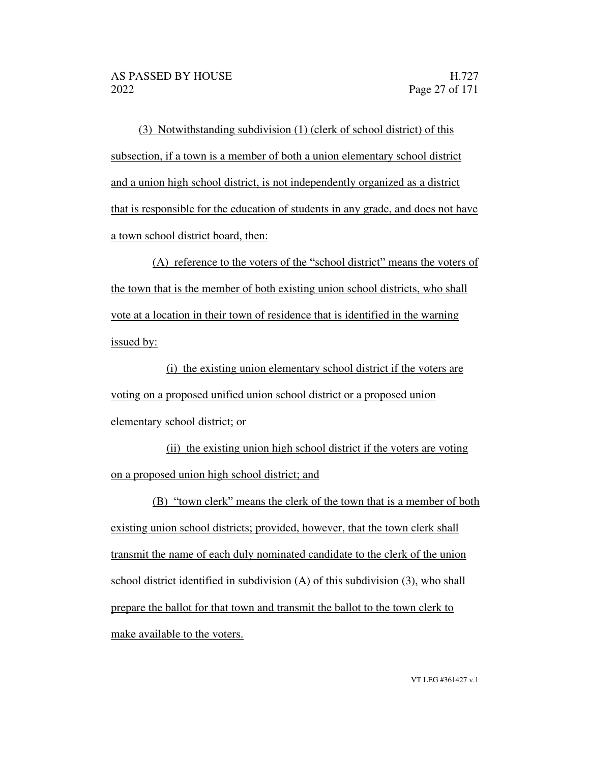(3) Notwithstanding subdivision (1) (clerk of school district) of this subsection, if a town is a member of both a union elementary school district and a union high school district, is not independently organized as a district that is responsible for the education of students in any grade, and does not have a town school district board, then:

 $(A)$  reference to the voters of the "school district" means the voters of the town that is the member of both existing union school districts, who shall vote at a location in their town of residence that is identified in the warning issued by:

(i) the existing union elementary school district if the voters are voting on a proposed unified union school district or a proposed union elementary school district; or

(ii) the existing union high school district if the voters are voting on a proposed union high school district; and

(B) "town clerk" means the clerk of the town that is a member of both existing union school districts; provided, however, that the town clerk shall transmit the name of each duly nominated candidate to the clerk of the union school district identified in subdivision (A) of this subdivision (3), who shall prepare the ballot for that town and transmit the ballot to the town clerk to make available to the voters.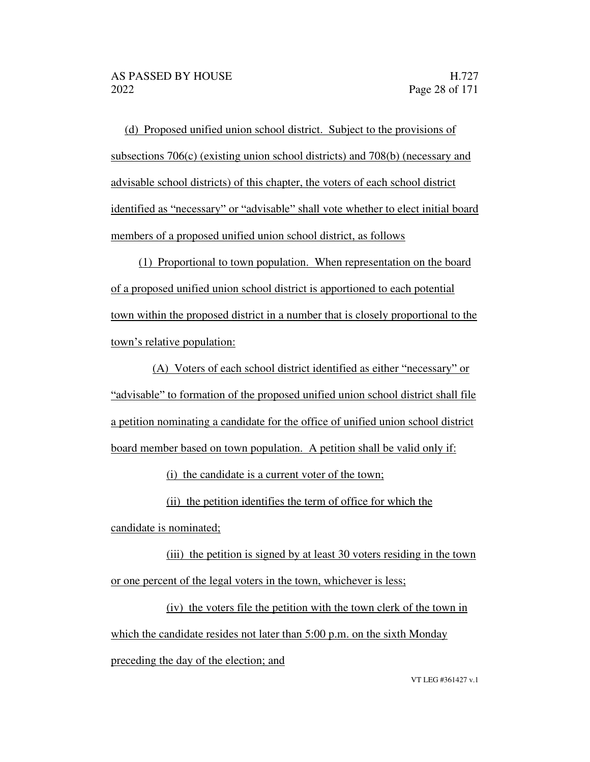(d) Proposed unified union school district. Subject to the provisions of subsections 706(c) (existing union school districts) and 708(b) (necessary and advisable school districts) of this chapter, the voters of each school district identified as "necessary" or "advisable" shall vote whether to elect initial board members of a proposed unified union school district, as follows

(1) Proportional to town population. When representation on the board of a proposed unified union school district is apportioned to each potential town within the proposed district in a number that is closely proportional to the town's relative population:

(A) Voters of each school district identified as either "necessary" or "advisable" to formation of the proposed unified union school district shall file a petition nominating a candidate for the office of unified union school district board member based on town population. A petition shall be valid only if:

(i) the candidate is a current voter of the town;

(ii) the petition identifies the term of office for which the

candidate is nominated;

(iii) the petition is signed by at least 30 voters residing in the town or one percent of the legal voters in the town, whichever is less;

(iv) the voters file the petition with the town clerk of the town in which the candidate resides not later than 5:00 p.m. on the sixth Monday

preceding the day of the election; and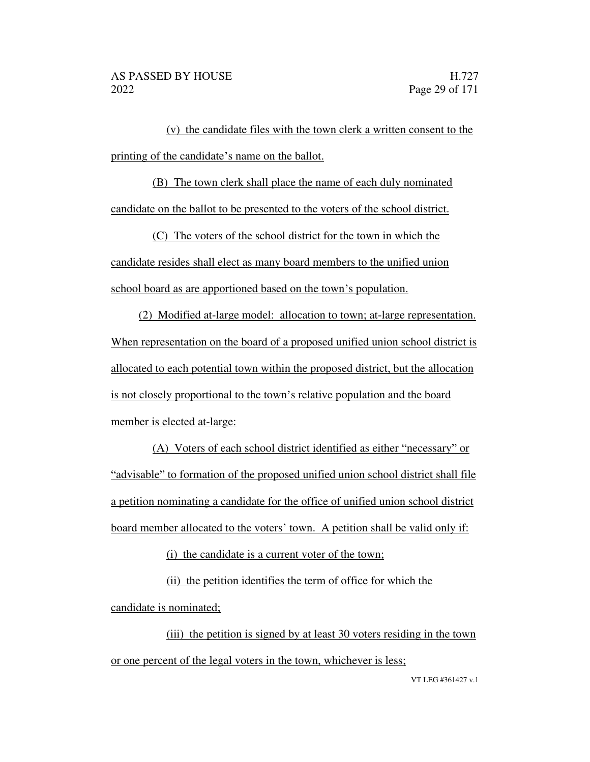(v) the candidate files with the town clerk a written consent to the printing of the candidate's name on the ballot.

(B) The town clerk shall place the name of each duly nominated candidate on the ballot to be presented to the voters of the school district.

(C) The voters of the school district for the town in which the candidate resides shall elect as many board members to the unified union school board as are apportioned based on the town's population.

(2) Modified at-large model: allocation to town; at-large representation. When representation on the board of a proposed unified union school district is allocated to each potential town within the proposed district, but the allocation is not closely proportional to the town's relative population and the board member is elected at-large:

 $(A)$  Voters of each school district identified as either "necessary" or "advisable" to formation of the proposed unified union school district shall file a petition nominating a candidate for the office of unified union school district board member allocated to the voters' town. A petition shall be valid only if:

(i) the candidate is a current voter of the town;

(ii) the petition identifies the term of office for which the candidate is nominated;

(iii) the petition is signed by at least 30 voters residing in the town or one percent of the legal voters in the town, whichever is less;

VT LEG #361427 v.1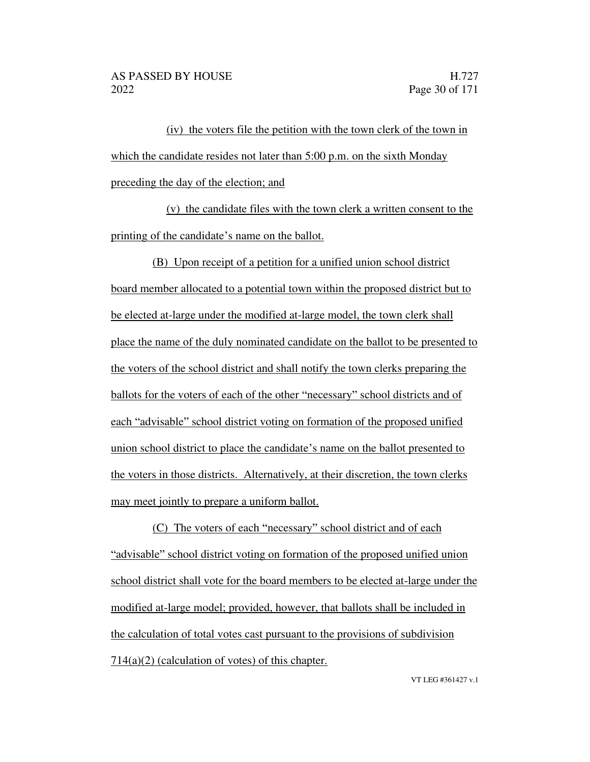(iv) the voters file the petition with the town clerk of the town in which the candidate resides not later than 5:00 p.m. on the sixth Monday preceding the day of the election; and

(v) the candidate files with the town clerk a written consent to the printing of the candidate's name on the ballot.

(B) Upon receipt of a petition for a unified union school district board member allocated to a potential town within the proposed district but to be elected at-large under the modified at-large model, the town clerk shall place the name of the duly nominated candidate on the ballot to be presented to the voters of the school district and shall notify the town clerks preparing the ballots for the voters of each of the other "necessary" school districts and of each "advisable" school district voting on formation of the proposed unified union school district to place the candidate's name on the ballot presented to the voters in those districts. Alternatively, at their discretion, the town clerks may meet jointly to prepare a uniform ballot.

(C) The voters of each "necessary" school district and of each "advisable" school district voting on formation of the proposed unified union school district shall vote for the board members to be elected at-large under the modified at-large model; provided, however, that ballots shall be included in the calculation of total votes cast pursuant to the provisions of subdivision  $714(a)(2)$  (calculation of votes) of this chapter.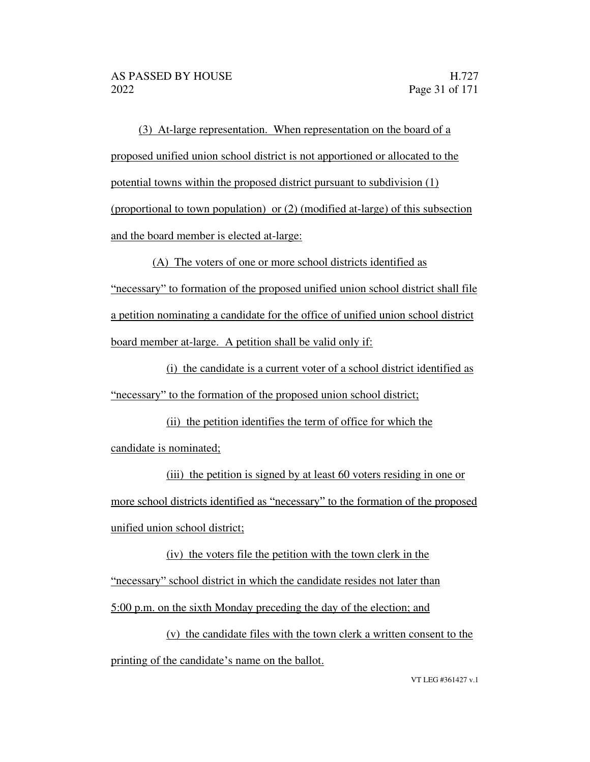(3) At-large representation. When representation on the board of a proposed unified union school district is not apportioned or allocated to the potential towns within the proposed district pursuant to subdivision (1) (proportional to town population) or (2) (modified at-large) of this subsection and the board member is elected at-large:

(A) The voters of one or more school districts identified as necessary to formation of the proposed unified union school district shall file a petition nominating a candidate for the office of unified union school district board member at-large. A petition shall be valid only if:

(i) the candidate is a current voter of a school district identified as "necessary" to the formation of the proposed union school district;

(ii) the petition identifies the term of office for which the candidate is nominated;

(iii) the petition is signed by at least 60 voters residing in one or more school districts identified as "necessary" to the formation of the proposed unified union school district;

(iv) the voters file the petition with the town clerk in the "necessary" school district in which the candidate resides not later than 5:00 p.m. on the sixth Monday preceding the day of the election; and

(v) the candidate files with the town clerk a written consent to the printing of the candidate's name on the ballot.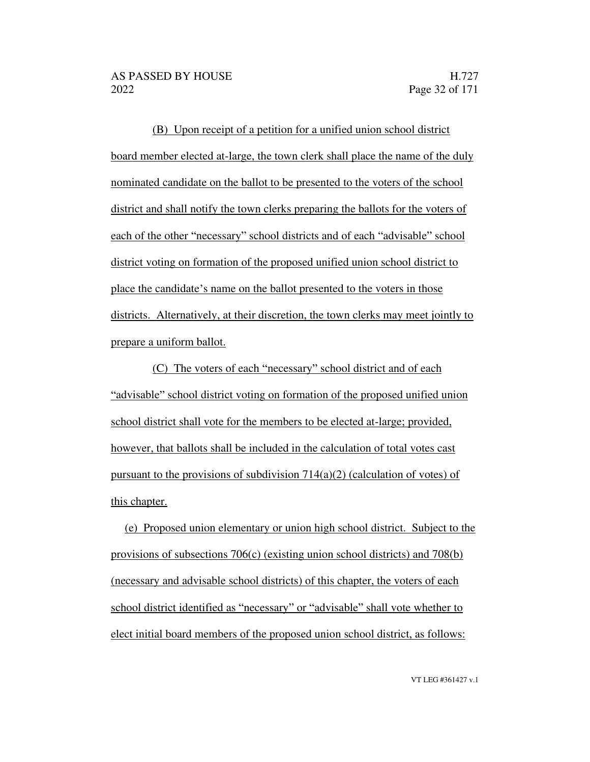(B) Upon receipt of a petition for a unified union school district board member elected at-large, the town clerk shall place the name of the duly nominated candidate on the ballot to be presented to the voters of the school district and shall notify the town clerks preparing the ballots for the voters of each of the other "necessary" school districts and of each "advisable" school district voting on formation of the proposed unified union school district to place the candidate's name on the ballot presented to the voters in those districts. Alternatively, at their discretion, the town clerks may meet jointly to prepare a uniform ballot.

(C) The voters of each "necessary" school district and of each "advisable" school district voting on formation of the proposed unified union school district shall vote for the members to be elected at-large; provided, however, that ballots shall be included in the calculation of total votes cast pursuant to the provisions of subdivision  $714(a)(2)$  (calculation of votes) of this chapter.

(e) Proposed union elementary or union high school district. Subject to the provisions of subsections 706(c) (existing union school districts) and 708(b) (necessary and advisable school districts) of this chapter, the voters of each school district identified as "necessary" or "advisable" shall vote whether to elect initial board members of the proposed union school district, as follows: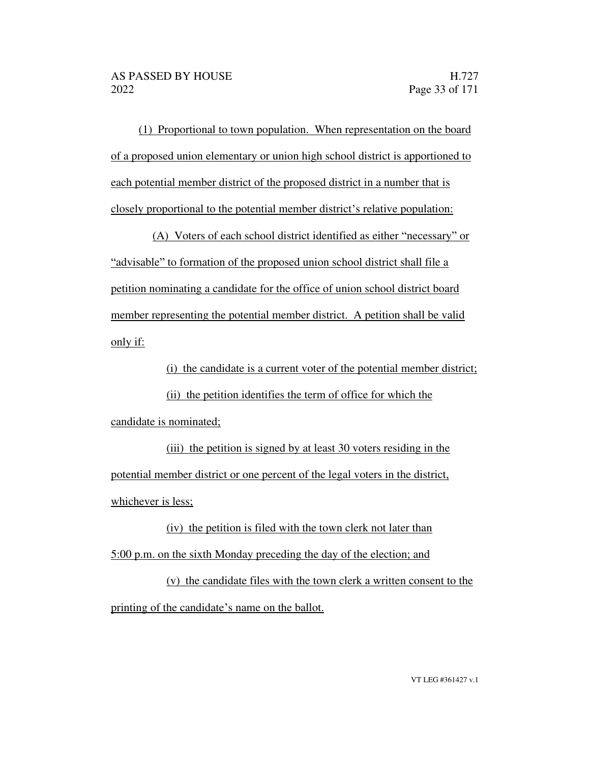(1) Proportional to town population. When representation on the board of a proposed union elementary or union high school district is apportioned to each potential member district of the proposed district in a number that is closely proportional to the potential member district's relative population:

(A) Voters of each school district identified as either "necessary" or "advisable" to formation of the proposed union school district shall file a petition nominating a candidate for the office of union school district board member representing the potential member district. A petition shall be valid only if:

(i) the candidate is a current voter of the potential member district;

(ii) the petition identifies the term of office for which the candidate is nominated;

(iii) the petition is signed by at least 30 voters residing in the potential member district or one percent of the legal voters in the district, whichever is less;

(iv) the petition is filed with the town clerk not later than 5:00 p.m. on the sixth Monday preceding the day of the election; and

(v) the candidate files with the town clerk a written consent to the printing of the candidate's name on the ballot.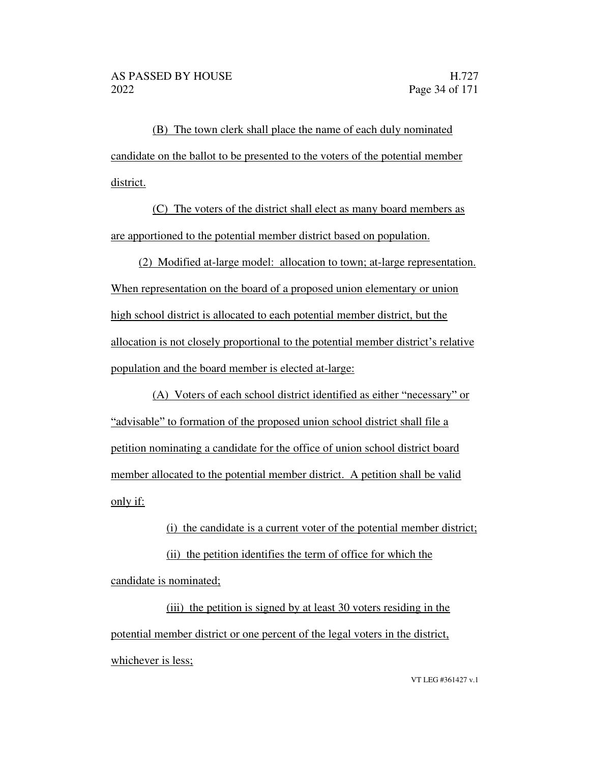(B) The town clerk shall place the name of each duly nominated candidate on the ballot to be presented to the voters of the potential member district.

(C) The voters of the district shall elect as many board members as are apportioned to the potential member district based on population.

(2) Modified at-large model: allocation to town; at-large representation. When representation on the board of a proposed union elementary or union high school district is allocated to each potential member district, but the allocation is not closely proportional to the potential member district's relative population and the board member is elected at-large:

(A) Voters of each school district identified as either "necessary" or "advisable" to formation of the proposed union school district shall file a petition nominating a candidate for the office of union school district board member allocated to the potential member district. A petition shall be valid only if:

(i) the candidate is a current voter of the potential member district;

(ii) the petition identifies the term of office for which the candidate is nominated;

(iii) the petition is signed by at least 30 voters residing in the potential member district or one percent of the legal voters in the district, whichever is less;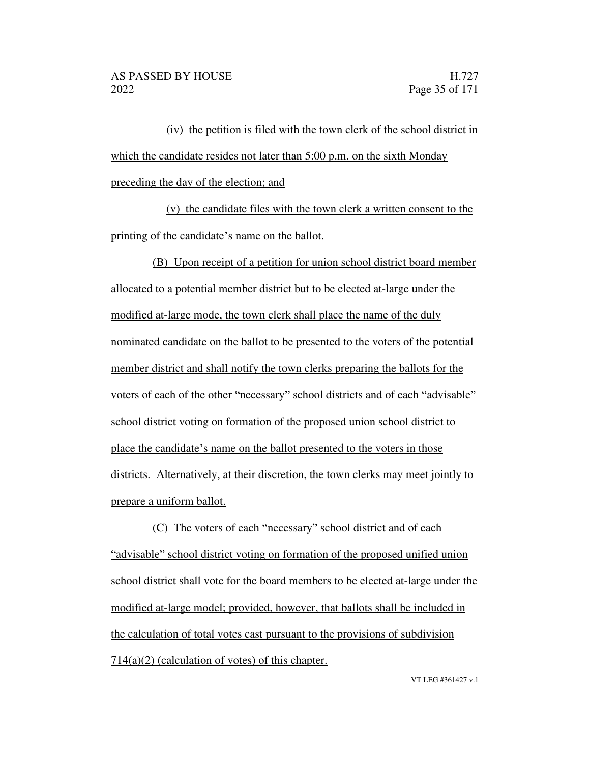(iv) the petition is filed with the town clerk of the school district in which the candidate resides not later than 5:00 p.m. on the sixth Monday preceding the day of the election; and

(v) the candidate files with the town clerk a written consent to the printing of the candidate's name on the ballot.

(B) Upon receipt of a petition for union school district board member allocated to a potential member district but to be elected at-large under the modified at-large mode, the town clerk shall place the name of the duly nominated candidate on the ballot to be presented to the voters of the potential member district and shall notify the town clerks preparing the ballots for the voters of each of the other "necessary" school districts and of each "advisable" school district voting on formation of the proposed union school district to place the candidate's name on the ballot presented to the voters in those districts. Alternatively, at their discretion, the town clerks may meet jointly to prepare a uniform ballot.

(C) The voters of each "necessary" school district and of each "advisable" school district voting on formation of the proposed unified union school district shall vote for the board members to be elected at-large under the modified at-large model; provided, however, that ballots shall be included in the calculation of total votes cast pursuant to the provisions of subdivision  $714(a)(2)$  (calculation of votes) of this chapter.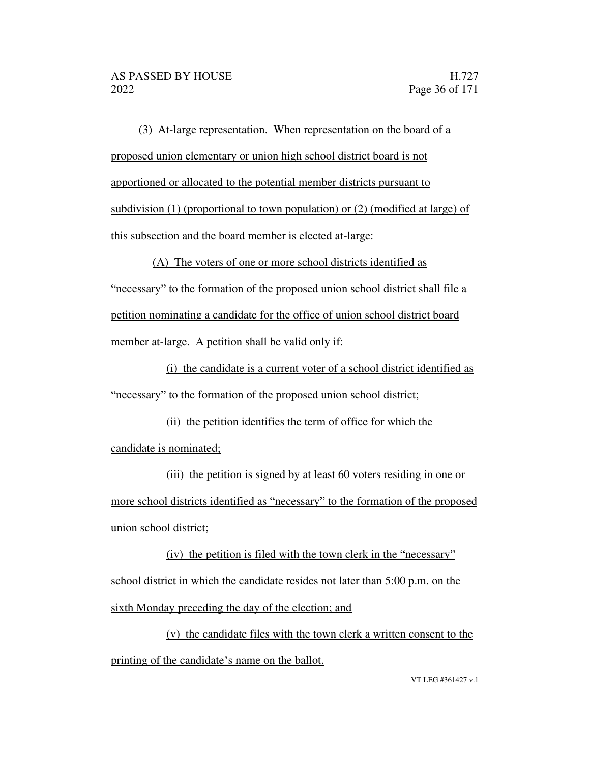(3) At-large representation. When representation on the board of a proposed union elementary or union high school district board is not apportioned or allocated to the potential member districts pursuant to subdivision (1) (proportional to town population) or (2) (modified at large) of this subsection and the board member is elected at-large:

(A) The voters of one or more school districts identified as "necessary" to the formation of the proposed union school district shall file a petition nominating a candidate for the office of union school district board member at-large. A petition shall be valid only if:

(i) the candidate is a current voter of a school district identified as "necessary" to the formation of the proposed union school district;

(ii) the petition identifies the term of office for which the candidate is nominated;

(iii) the petition is signed by at least 60 voters residing in one or more school districts identified as "necessary" to the formation of the proposed union school district;

 $(iv)$  the petition is filed with the town clerk in the "necessary" school district in which the candidate resides not later than 5:00 p.m. on the sixth Monday preceding the day of the election; and

(v) the candidate files with the town clerk a written consent to the printing of the candidate's name on the ballot.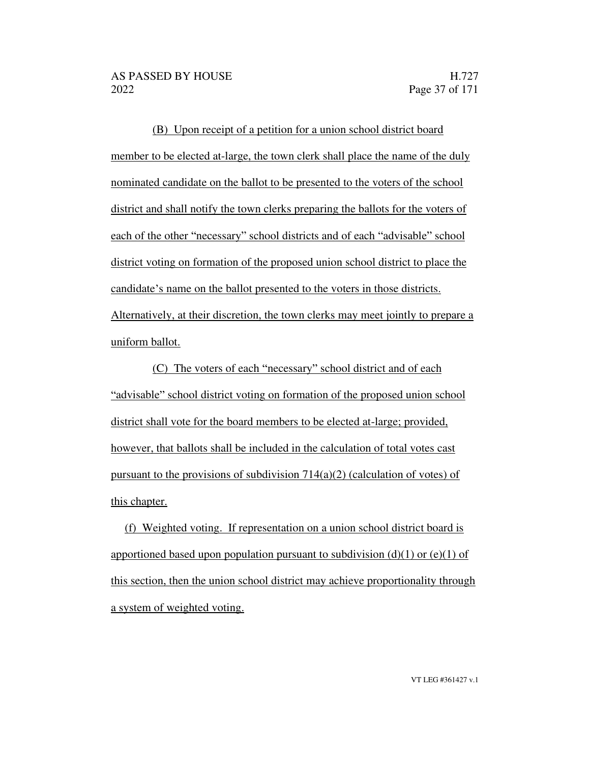(B) Upon receipt of a petition for a union school district board member to be elected at-large, the town clerk shall place the name of the duly nominated candidate on the ballot to be presented to the voters of the school district and shall notify the town clerks preparing the ballots for the voters of each of the other "necessary" school districts and of each "advisable" school district voting on formation of the proposed union school district to place the candidate's name on the ballot presented to the voters in those districts. Alternatively, at their discretion, the town clerks may meet jointly to prepare a uniform ballot.

(C) The voters of each "necessary" school district and of each "advisable" school district voting on formation of the proposed union school district shall vote for the board members to be elected at-large; provided, however, that ballots shall be included in the calculation of total votes cast pursuant to the provisions of subdivision  $714(a)(2)$  (calculation of votes) of this chapter.

(f) Weighted voting. If representation on a union school district board is apportioned based upon population pursuant to subdivision  $(d)(1)$  or  $(e)(1)$  of this section, then the union school district may achieve proportionality through a system of weighted voting.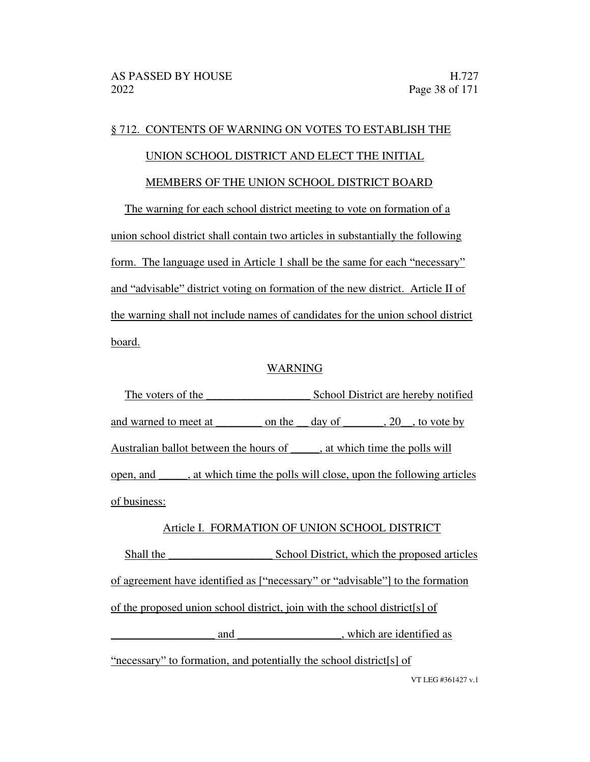#### § 712. CONTENTS OF WARNING ON VOTES TO ESTABLISH THE

#### UNION SCHOOL DISTRICT AND ELECT THE INITIAL

#### MEMBERS OF THE UNION SCHOOL DISTRICT BOARD

The warning for each school district meeting to vote on formation of a union school district shall contain two articles in substantially the following form. The language used in Article 1 shall be the same for each "necessary" and "advisable" district voting on formation of the new district. Article II of the warning shall not include names of candidates for the union school district board.

#### WARNING

The voters of the School District are hereby notified and warned to meet at \_\_\_\_\_\_\_\_\_ on the \_\_ day of \_\_\_\_\_\_, 20\_\_, to vote by Australian ballot between the hours of , at which time the polls will open, and \_\_\_\_\_, at which time the polls will close, upon the following articles of business:

#### Article I. FORMATION OF UNION SCHOOL DISTRICT

Shall the \_\_\_\_\_\_\_\_\_\_\_\_\_\_\_\_\_\_ School District, which the proposed articles of agreement have identified as ["necessary" or "advisable"] to the formation of the proposed union school district, join with the school district[s] of and  $\Box$ , which are identified as

VT LEG #361427 v.1 "necessary" to formation, and potentially the school district[s] of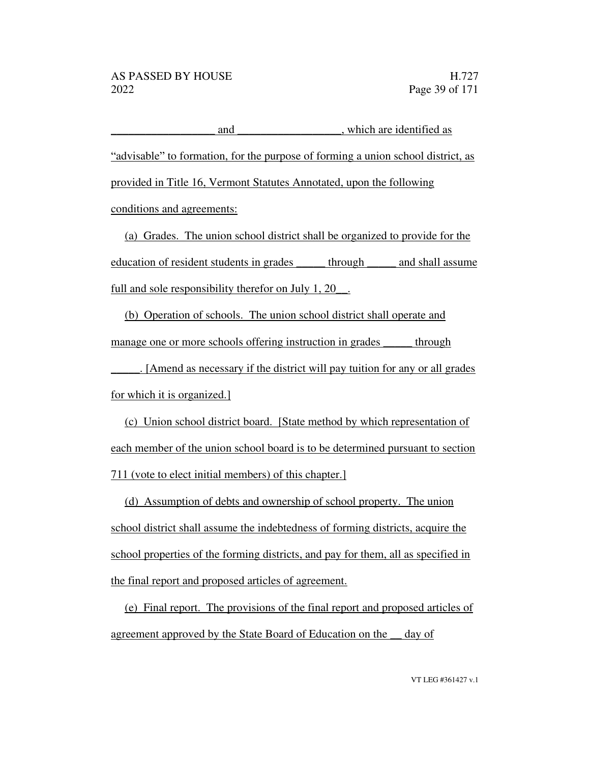and  $\Box$ , which are identified as "advisable" to formation, for the purpose of forming a union school district, as provided in Title 16, Vermont Statutes Annotated, upon the following conditions and agreements:

(a) Grades. The union school district shall be organized to provide for the education of resident students in grades \_\_\_\_\_ through \_\_\_\_\_ and shall assume full and sole responsibility therefor on July 1, 20.

(b) Operation of schools. The union school district shall operate and manage one or more schools offering instruction in grades through

\_\_\_\_\_. [Amend as necessary if the district will pay tuition for any or all grades for which it is organized.]

(c) Union school district board. [State method by which representation of each member of the union school board is to be determined pursuant to section 711 (vote to elect initial members) of this chapter.]

(d) Assumption of debts and ownership of school property. The union school district shall assume the indebtedness of forming districts, acquire the school properties of the forming districts, and pay for them, all as specified in the final report and proposed articles of agreement.

(e) Final report. The provisions of the final report and proposed articles of agreement approved by the State Board of Education on the \_\_ day of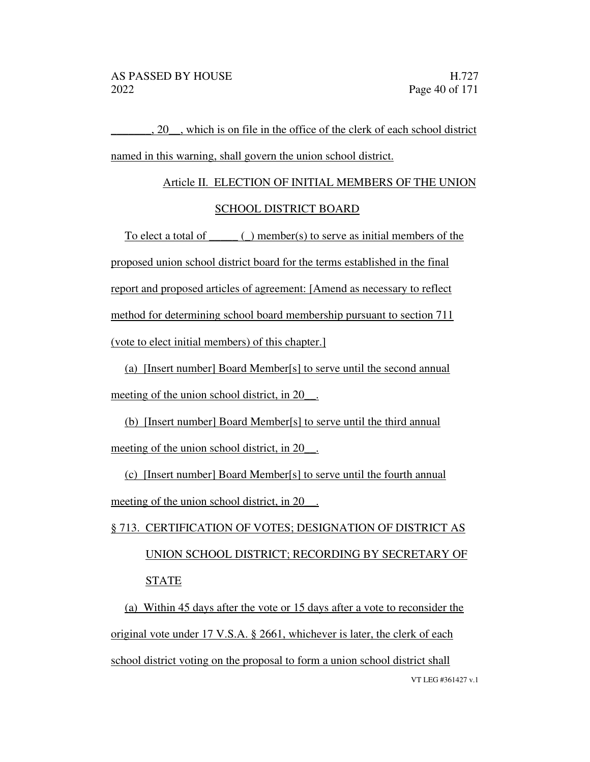\_\_\_\_\_\_\_, 20\_\_, which is on file in the office of the clerk of each school district named in this warning, shall govern the union school district.

# Article II. ELECTION OF INITIAL MEMBERS OF THE UNION

#### SCHOOL DISTRICT BOARD

To elect a total of  $\_\_$ ( $\_\)$  member(s) to serve as initial members of the proposed union school district board for the terms established in the final report and proposed articles of agreement: [Amend as necessary to reflect method for determining school board membership pursuant to section 711 (vote to elect initial members) of this chapter.]

(a) [Insert number] Board Member[s] to serve until the second annual meeting of the union school district, in 20\_\_.

(b) [Insert number] Board Member[s] to serve until the third annual meeting of the union school district, in 20\_\_.

(c) [Insert number] Board Member[s] to serve until the fourth annual meeting of the union school district, in 20.

## § 713. CERTIFICATION OF VOTES; DESIGNATION OF DISTRICT AS UNION SCHOOL DISTRICT; RECORDING BY SECRETARY OF STATE

VT LEG #361427 v.1 (a) Within 45 days after the vote or 15 days after a vote to reconsider the original vote under 17 V.S.A. § 2661, whichever is later, the clerk of each school district voting on the proposal to form a union school district shall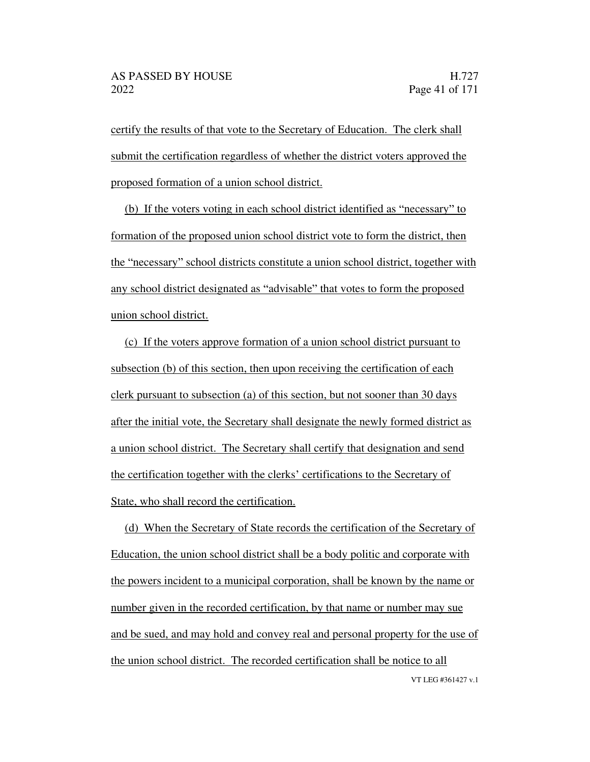certify the results of that vote to the Secretary of Education. The clerk shall submit the certification regardless of whether the district voters approved the proposed formation of a union school district.

(b) If the voters voting in each school district identified as "necessary" to formation of the proposed union school district vote to form the district, then the "necessary" school districts constitute a union school district, together with any school district designated as "advisable" that votes to form the proposed union school district.

(c) If the voters approve formation of a union school district pursuant to subsection (b) of this section, then upon receiving the certification of each clerk pursuant to subsection (a) of this section, but not sooner than 30 days after the initial vote, the Secretary shall designate the newly formed district as a union school district. The Secretary shall certify that designation and send the certification together with the clerks' certifications to the Secretary of State, who shall record the certification.

VT LEG #361427 v.1 (d) When the Secretary of State records the certification of the Secretary of Education, the union school district shall be a body politic and corporate with the powers incident to a municipal corporation, shall be known by the name or number given in the recorded certification, by that name or number may sue and be sued, and may hold and convey real and personal property for the use of the union school district. The recorded certification shall be notice to all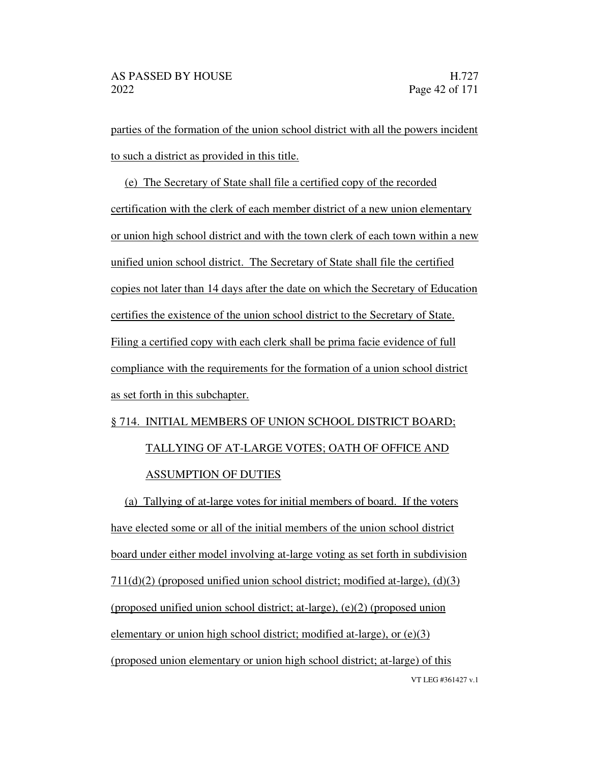parties of the formation of the union school district with all the powers incident to such a district as provided in this title.

(e) The Secretary of State shall file a certified copy of the recorded certification with the clerk of each member district of a new union elementary or union high school district and with the town clerk of each town within a new unified union school district. The Secretary of State shall file the certified copies not later than 14 days after the date on which the Secretary of Education certifies the existence of the union school district to the Secretary of State. Filing a certified copy with each clerk shall be prima facie evidence of full compliance with the requirements for the formation of a union school district as set forth in this subchapter.

## § 714. INITIAL MEMBERS OF UNION SCHOOL DISTRICT BOARD; TALLYING OF AT-LARGE VOTES; OATH OF OFFICE AND ASSUMPTION OF DUTIES

VT LEG #361427 v.1 (a) Tallying of at-large votes for initial members of board. If the voters have elected some or all of the initial members of the union school district board under either model involving at-large voting as set forth in subdivision 711(d)(2) (proposed unified union school district; modified at-large), (d)(3) (proposed unified union school district; at-large),  $(e)(2)$  (proposed union elementary or union high school district; modified at-large), or (e)(3) (proposed union elementary or union high school district; at-large) of this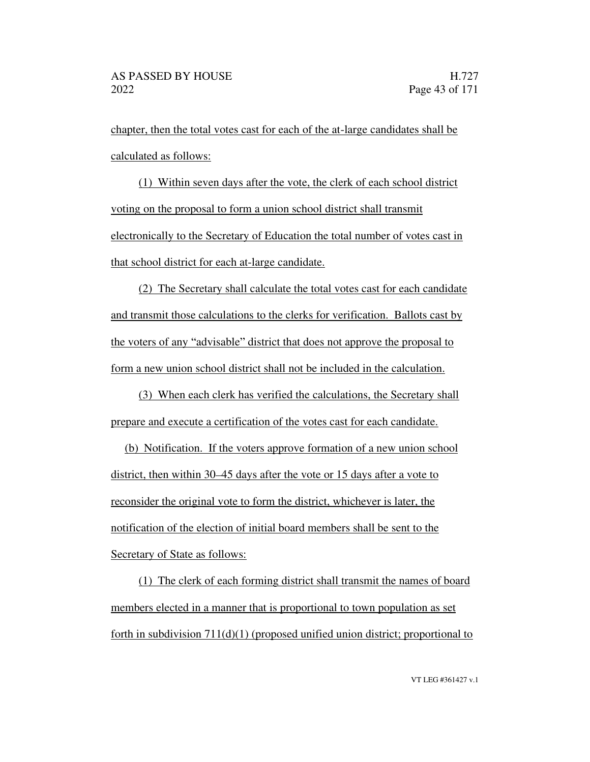chapter, then the total votes cast for each of the at-large candidates shall be calculated as follows:

(1) Within seven days after the vote, the clerk of each school district voting on the proposal to form a union school district shall transmit electronically to the Secretary of Education the total number of votes cast in that school district for each at-large candidate.

(2) The Secretary shall calculate the total votes cast for each candidate and transmit those calculations to the clerks for verification. Ballots cast by the voters of any "advisable" district that does not approve the proposal to form a new union school district shall not be included in the calculation.

(3) When each clerk has verified the calculations, the Secretary shall prepare and execute a certification of the votes cast for each candidate.

(b) Notification. If the voters approve formation of a new union school district, then within 30–45 days after the vote or 15 days after a vote to reconsider the original vote to form the district, whichever is later, the notification of the election of initial board members shall be sent to the Secretary of State as follows:

(1) The clerk of each forming district shall transmit the names of board members elected in a manner that is proportional to town population as set forth in subdivision  $711(d)(1)$  (proposed unified union district; proportional to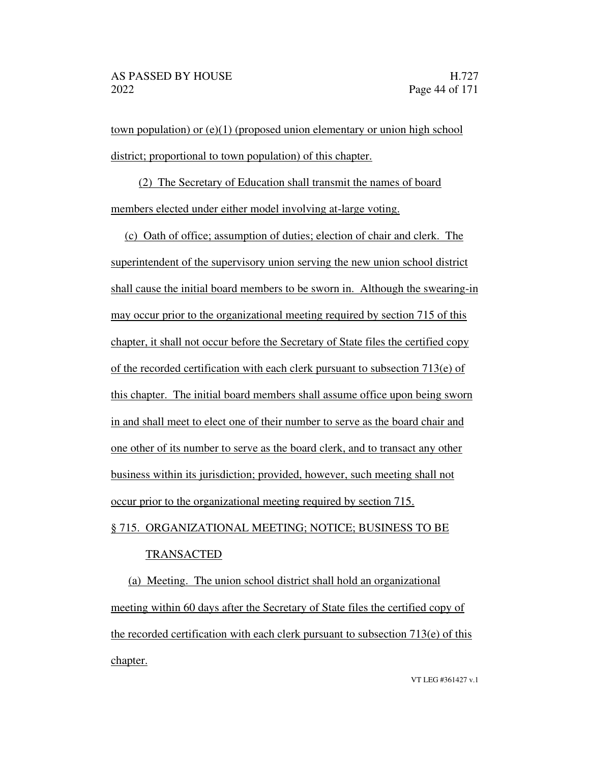town population) or (e)(1) (proposed union elementary or union high school district; proportional to town population) of this chapter.

(2) The Secretary of Education shall transmit the names of board members elected under either model involving at-large voting.

(c) Oath of office; assumption of duties; election of chair and clerk. The superintendent of the supervisory union serving the new union school district shall cause the initial board members to be sworn in. Although the swearing-in may occur prior to the organizational meeting required by section 715 of this chapter, it shall not occur before the Secretary of State files the certified copy of the recorded certification with each clerk pursuant to subsection  $713(e)$  of this chapter. The initial board members shall assume office upon being sworn in and shall meet to elect one of their number to serve as the board chair and one other of its number to serve as the board clerk, and to transact any other business within its jurisdiction; provided, however, such meeting shall not occur prior to the organizational meeting required by section 715.

## § 715. ORGANIZATIONAL MEETING; NOTICE; BUSINESS TO BE

#### TRANSACTED

(a) Meeting. The union school district shall hold an organizational meeting within 60 days after the Secretary of State files the certified copy of the recorded certification with each clerk pursuant to subsection 713(e) of this chapter.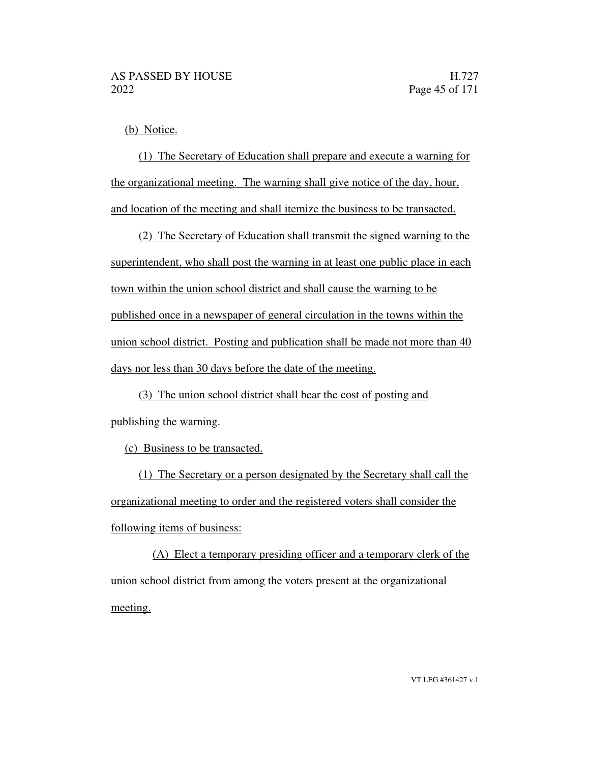(b) Notice.

(1) The Secretary of Education shall prepare and execute a warning for the organizational meeting. The warning shall give notice of the day, hour, and location of the meeting and shall itemize the business to be transacted.

(2) The Secretary of Education shall transmit the signed warning to the superintendent, who shall post the warning in at least one public place in each town within the union school district and shall cause the warning to be published once in a newspaper of general circulation in the towns within the union school district. Posting and publication shall be made not more than 40 days nor less than 30 days before the date of the meeting.

(3) The union school district shall bear the cost of posting and publishing the warning.

(c) Business to be transacted.

(1) The Secretary or a person designated by the Secretary shall call the organizational meeting to order and the registered voters shall consider the following items of business:

(A) Elect a temporary presiding officer and a temporary clerk of the union school district from among the voters present at the organizational meeting.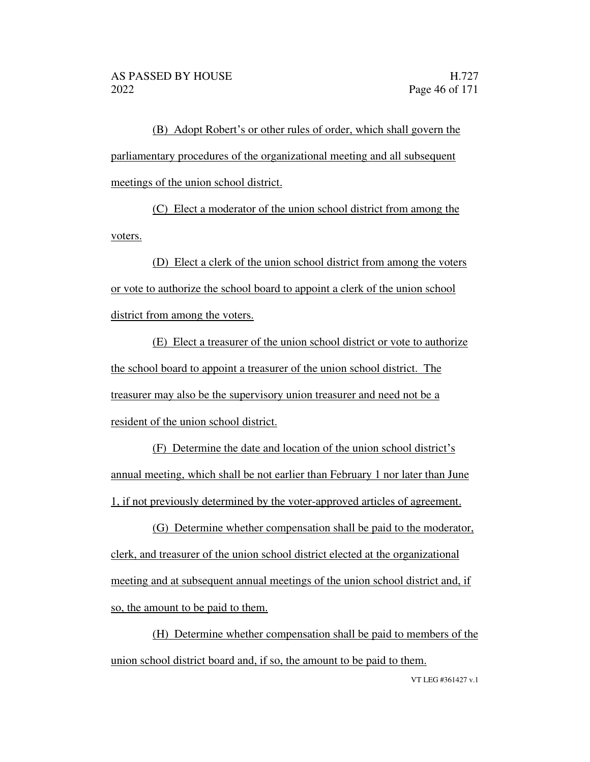(B) Adopt Robert's or other rules of order, which shall govern the parliamentary procedures of the organizational meeting and all subsequent meetings of the union school district.

(C) Elect a moderator of the union school district from among the voters.

(D) Elect a clerk of the union school district from among the voters or vote to authorize the school board to appoint a clerk of the union school district from among the voters.

(E) Elect a treasurer of the union school district or vote to authorize the school board to appoint a treasurer of the union school district. The treasurer may also be the supervisory union treasurer and need not be a resident of the union school district.

(F) Determine the date and location of the union school district's annual meeting, which shall be not earlier than February 1 nor later than June 1, if not previously determined by the voter-approved articles of agreement.

(G) Determine whether compensation shall be paid to the moderator, clerk, and treasurer of the union school district elected at the organizational meeting and at subsequent annual meetings of the union school district and, if so, the amount to be paid to them.

(H) Determine whether compensation shall be paid to members of the union school district board and, if so, the amount to be paid to them.

VT LEG #361427 v.1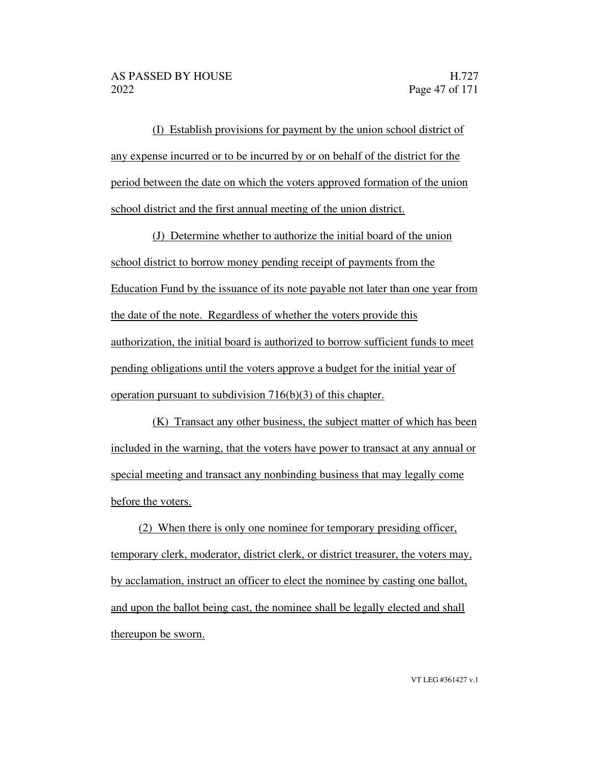(I) Establish provisions for payment by the union school district of any expense incurred or to be incurred by or on behalf of the district for the period between the date on which the voters approved formation of the union school district and the first annual meeting of the union district.

(J) Determine whether to authorize the initial board of the union school district to borrow money pending receipt of payments from the Education Fund by the issuance of its note payable not later than one year from the date of the note. Regardless of whether the voters provide this authorization, the initial board is authorized to borrow sufficient funds to meet pending obligations until the voters approve a budget for the initial year of operation pursuant to subdivision 716(b)(3) of this chapter.

(K) Transact any other business, the subject matter of which has been included in the warning, that the voters have power to transact at any annual or special meeting and transact any nonbinding business that may legally come before the voters.

(2) When there is only one nominee for temporary presiding officer, temporary clerk, moderator, district clerk, or district treasurer, the voters may, by acclamation, instruct an officer to elect the nominee by casting one ballot, and upon the ballot being cast, the nominee shall be legally elected and shall thereupon be sworn.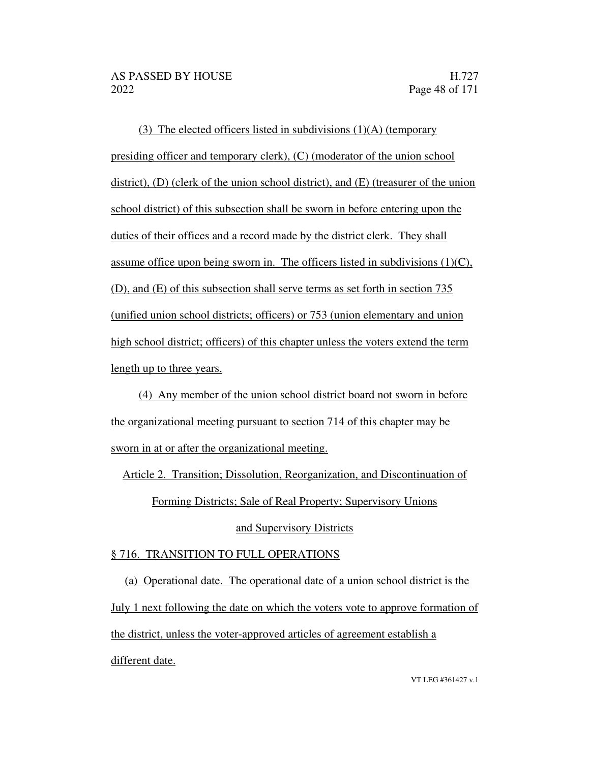(3) The elected officers listed in subdivisions (1)(A) (temporary presiding officer and temporary clerk), (C) (moderator of the union school district), (D) (clerk of the union school district), and (E) (treasurer of the union school district) of this subsection shall be sworn in before entering upon the duties of their offices and a record made by the district clerk. They shall assume office upon being sworn in. The officers listed in subdivisions  $(1)(C)$ , (D), and (E) of this subsection shall serve terms as set forth in section 735 (unified union school districts; officers) or 753 (union elementary and union high school district; officers) of this chapter unless the voters extend the term length up to three years.

(4) Any member of the union school district board not sworn in before the organizational meeting pursuant to section 714 of this chapter may be sworn in at or after the organizational meeting.

Article 2. Transition; Dissolution, Reorganization, and Discontinuation of

Forming Districts; Sale of Real Property; Supervisory Unions

#### and Supervisory Districts

#### § 716. TRANSITION TO FULL OPERATIONS

(a) Operational date. The operational date of a union school district is the July 1 next following the date on which the voters vote to approve formation of the district, unless the voter-approved articles of agreement establish a different date.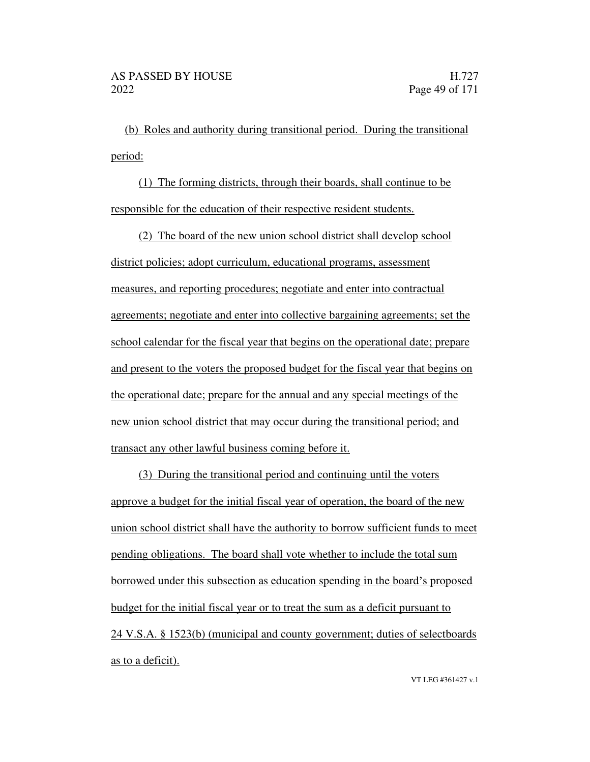(b) Roles and authority during transitional period. During the transitional period:

(1) The forming districts, through their boards, shall continue to be responsible for the education of their respective resident students.

(2) The board of the new union school district shall develop school district policies; adopt curriculum, educational programs, assessment measures, and reporting procedures; negotiate and enter into contractual agreements; negotiate and enter into collective bargaining agreements; set the school calendar for the fiscal year that begins on the operational date; prepare and present to the voters the proposed budget for the fiscal year that begins on the operational date; prepare for the annual and any special meetings of the new union school district that may occur during the transitional period; and transact any other lawful business coming before it.

(3) During the transitional period and continuing until the voters approve a budget for the initial fiscal year of operation, the board of the new union school district shall have the authority to borrow sufficient funds to meet pending obligations. The board shall vote whether to include the total sum borrowed under this subsection as education spending in the board's proposed budget for the initial fiscal year or to treat the sum as a deficit pursuant to 24 V.S.A. § 1523(b) (municipal and county government; duties of selectboards as to a deficit).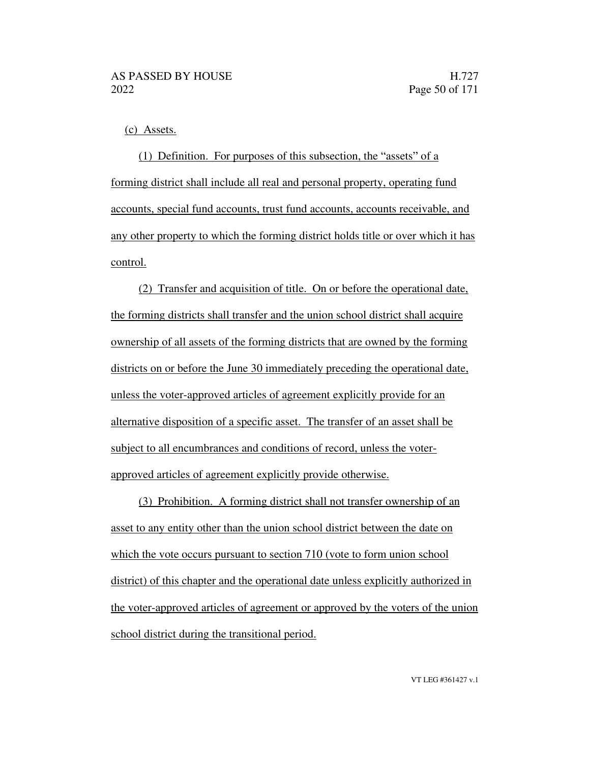(c) Assets.

(1) Definition. For purposes of this subsection, the "assets" of a forming district shall include all real and personal property, operating fund accounts, special fund accounts, trust fund accounts, accounts receivable, and any other property to which the forming district holds title or over which it has control.

(2) Transfer and acquisition of title. On or before the operational date, the forming districts shall transfer and the union school district shall acquire ownership of all assets of the forming districts that are owned by the forming districts on or before the June 30 immediately preceding the operational date, unless the voter-approved articles of agreement explicitly provide for an alternative disposition of a specific asset. The transfer of an asset shall be subject to all encumbrances and conditions of record, unless the voterapproved articles of agreement explicitly provide otherwise.

(3) Prohibition. A forming district shall not transfer ownership of an asset to any entity other than the union school district between the date on which the vote occurs pursuant to section 710 (vote to form union school district) of this chapter and the operational date unless explicitly authorized in the voter-approved articles of agreement or approved by the voters of the union school district during the transitional period.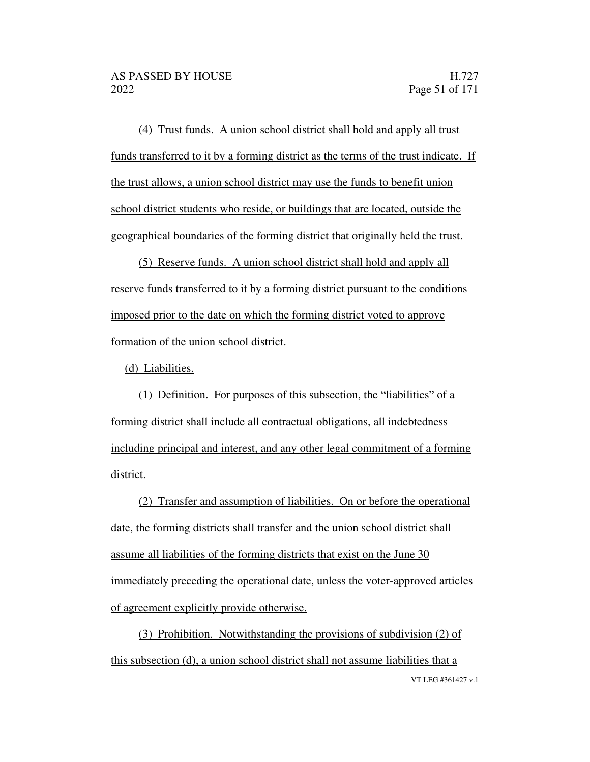(4) Trust funds. A union school district shall hold and apply all trust funds transferred to it by a forming district as the terms of the trust indicate. If the trust allows, a union school district may use the funds to benefit union school district students who reside, or buildings that are located, outside the geographical boundaries of the forming district that originally held the trust.

(5) Reserve funds. A union school district shall hold and apply all reserve funds transferred to it by a forming district pursuant to the conditions imposed prior to the date on which the forming district voted to approve formation of the union school district.

(d) Liabilities.

(1) Definition. For purposes of this subsection, the "liabilities" of a forming district shall include all contractual obligations, all indebtedness including principal and interest, and any other legal commitment of a forming district.

(2) Transfer and assumption of liabilities. On or before the operational date, the forming districts shall transfer and the union school district shall assume all liabilities of the forming districts that exist on the June 30 immediately preceding the operational date, unless the voter-approved articles of agreement explicitly provide otherwise.

VT LEG #361427 v.1 (3) Prohibition. Notwithstanding the provisions of subdivision (2) of this subsection (d), a union school district shall not assume liabilities that a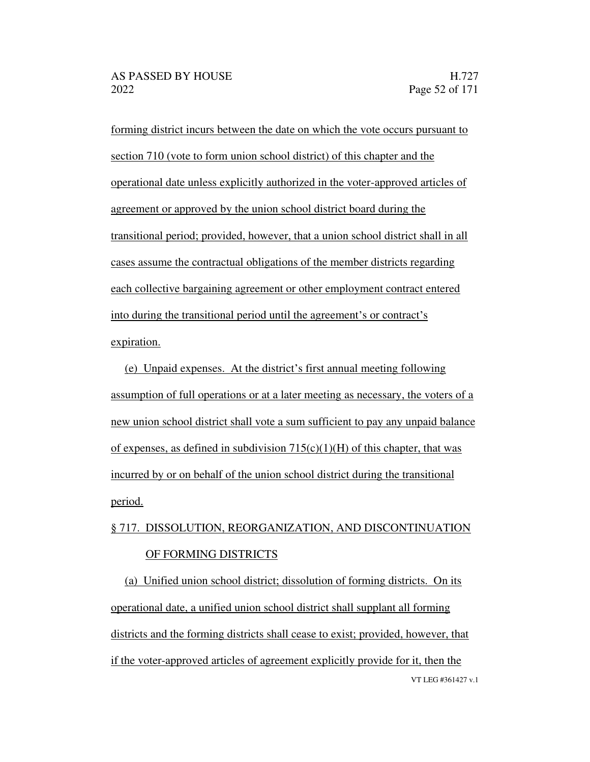forming district incurs between the date on which the vote occurs pursuant to section 710 (vote to form union school district) of this chapter and the operational date unless explicitly authorized in the voter-approved articles of agreement or approved by the union school district board during the transitional period; provided, however, that a union school district shall in all cases assume the contractual obligations of the member districts regarding each collective bargaining agreement or other employment contract entered into during the transitional period until the agreement's or contract's expiration.

(e) Unpaid expenses. At the district's first annual meeting following assumption of full operations or at a later meeting as necessary, the voters of a new union school district shall vote a sum sufficient to pay any unpaid balance of expenses, as defined in subdivision  $715(c)(1)(H)$  of this chapter, that was incurred by or on behalf of the union school district during the transitional period.

### § 717. DISSOLUTION, REORGANIZATION, AND DISCONTINUATION OF FORMING DISTRICTS

VT LEG #361427 v.1 (a) Unified union school district; dissolution of forming districts. On its operational date, a unified union school district shall supplant all forming districts and the forming districts shall cease to exist; provided, however, that if the voter-approved articles of agreement explicitly provide for it, then the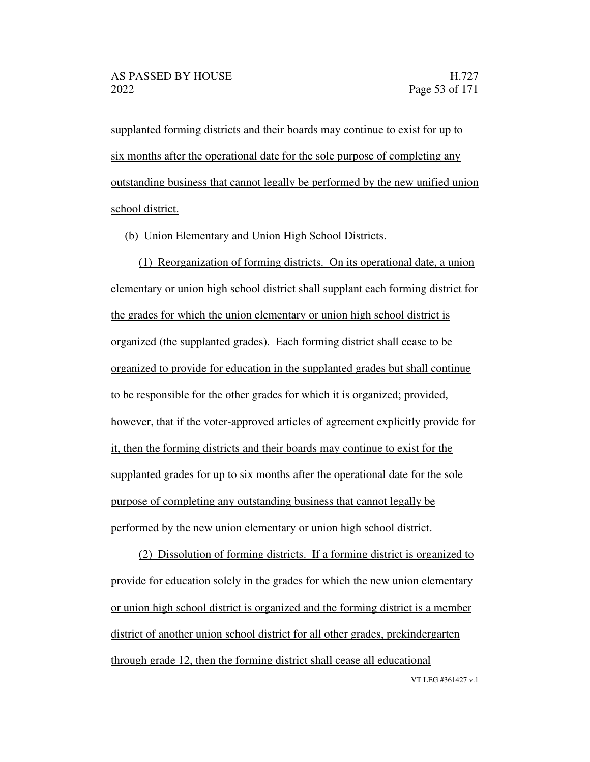supplanted forming districts and their boards may continue to exist for up to six months after the operational date for the sole purpose of completing any outstanding business that cannot legally be performed by the new unified union school district.

(b) Union Elementary and Union High School Districts.

(1) Reorganization of forming districts. On its operational date, a union elementary or union high school district shall supplant each forming district for the grades for which the union elementary or union high school district is organized (the supplanted grades). Each forming district shall cease to be organized to provide for education in the supplanted grades but shall continue to be responsible for the other grades for which it is organized; provided, however, that if the voter-approved articles of agreement explicitly provide for it, then the forming districts and their boards may continue to exist for the supplanted grades for up to six months after the operational date for the sole purpose of completing any outstanding business that cannot legally be performed by the new union elementary or union high school district.

(2) Dissolution of forming districts. If a forming district is organized to provide for education solely in the grades for which the new union elementary or union high school district is organized and the forming district is a member district of another union school district for all other grades, prekindergarten through grade 12, then the forming district shall cease all educational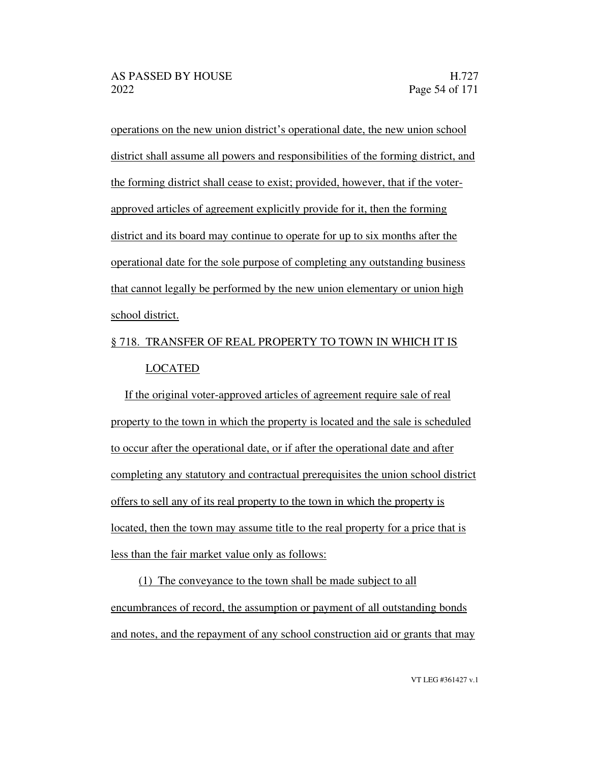operations on the new union district's operational date, the new union school district shall assume all powers and responsibilities of the forming district, and the forming district shall cease to exist; provided, however, that if the voterapproved articles of agreement explicitly provide for it, then the forming district and its board may continue to operate for up to six months after the operational date for the sole purpose of completing any outstanding business that cannot legally be performed by the new union elementary or union high school district.

### § 718. TRANSFER OF REAL PROPERTY TO TOWN IN WHICH IT IS LOCATED

If the original voter-approved articles of agreement require sale of real property to the town in which the property is located and the sale is scheduled to occur after the operational date, or if after the operational date and after completing any statutory and contractual prerequisites the union school district offers to sell any of its real property to the town in which the property is located, then the town may assume title to the real property for a price that is less than the fair market value only as follows:

(1) The conveyance to the town shall be made subject to all encumbrances of record, the assumption or payment of all outstanding bonds and notes, and the repayment of any school construction aid or grants that may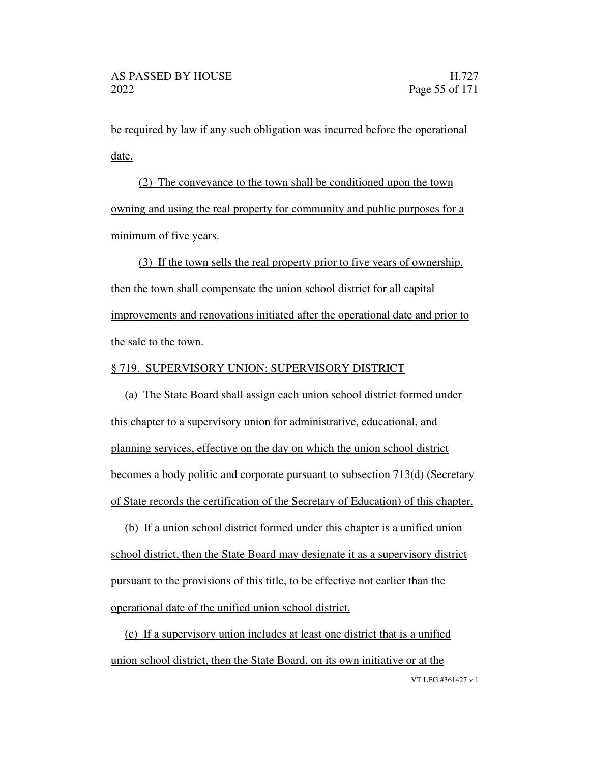be required by law if any such obligation was incurred before the operational date.

(2) The conveyance to the town shall be conditioned upon the town owning and using the real property for community and public purposes for a minimum of five years.

(3) If the town sells the real property prior to five years of ownership, then the town shall compensate the union school district for all capital improvements and renovations initiated after the operational date and prior to the sale to the town.

#### § 719. SUPERVISORY UNION; SUPERVISORY DISTRICT

(a) The State Board shall assign each union school district formed under this chapter to a supervisory union for administrative, educational, and planning services, effective on the day on which the union school district becomes a body politic and corporate pursuant to subsection 713(d) (Secretary of State records the certification of the Secretary of Education) of this chapter.

(b) If a union school district formed under this chapter is a unified union school district, then the State Board may designate it as a supervisory district pursuant to the provisions of this title, to be effective not earlier than the operational date of the unified union school district.

(c) If a supervisory union includes at least one district that is a unified union school district, then the State Board, on its own initiative or at the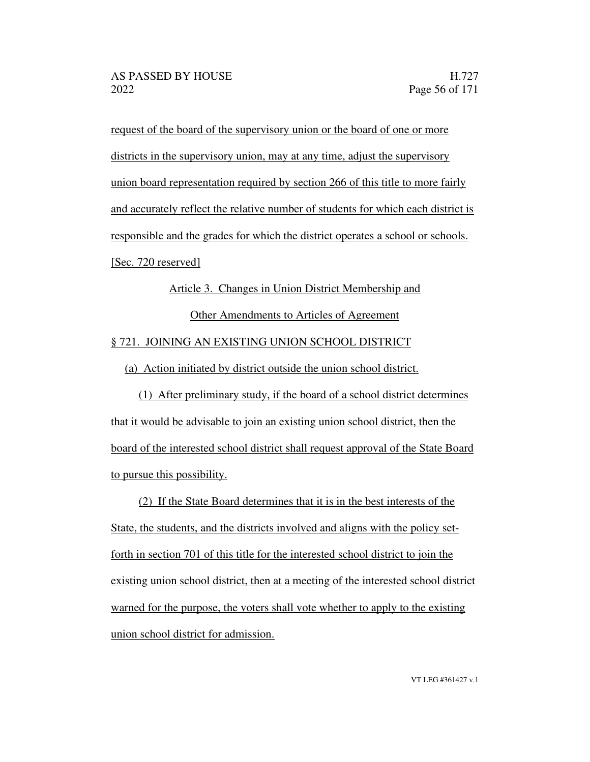request of the board of the supervisory union or the board of one or more districts in the supervisory union, may at any time, adjust the supervisory union board representation required by section 266 of this title to more fairly and accurately reflect the relative number of students for which each district is responsible and the grades for which the district operates a school or schools. [Sec. 720 reserved]

# Article 3. Changes in Union District Membership and Other Amendments to Articles of Agreement § 721. JOINING AN EXISTING UNION SCHOOL DISTRICT

(a) Action initiated by district outside the union school district.

(1) After preliminary study, if the board of a school district determines that it would be advisable to join an existing union school district, then the board of the interested school district shall request approval of the State Board to pursue this possibility.

(2) If the State Board determines that it is in the best interests of the State, the students, and the districts involved and aligns with the policy setforth in section 701 of this title for the interested school district to join the existing union school district, then at a meeting of the interested school district warned for the purpose, the voters shall vote whether to apply to the existing union school district for admission.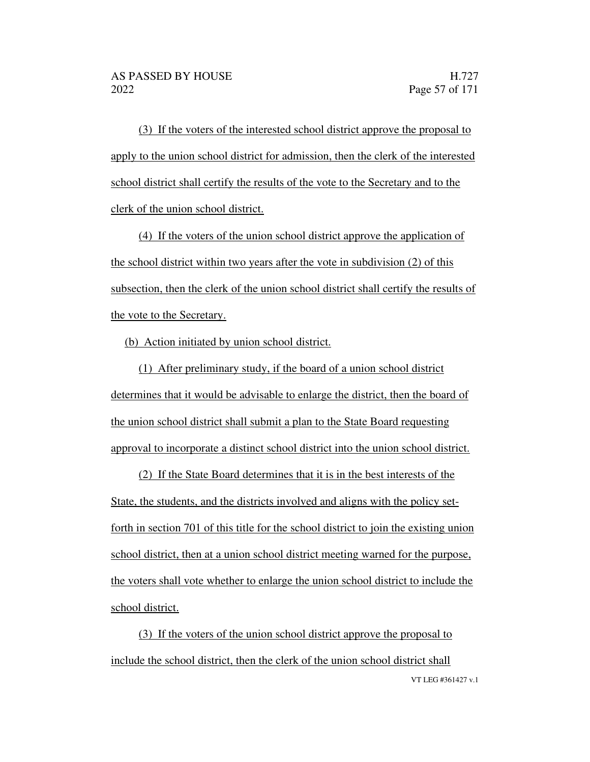(3) If the voters of the interested school district approve the proposal to apply to the union school district for admission, then the clerk of the interested school district shall certify the results of the vote to the Secretary and to the clerk of the union school district.

(4) If the voters of the union school district approve the application of the school district within two years after the vote in subdivision (2) of this subsection, then the clerk of the union school district shall certify the results of the vote to the Secretary.

(b) Action initiated by union school district.

(1) After preliminary study, if the board of a union school district determines that it would be advisable to enlarge the district, then the board of the union school district shall submit a plan to the State Board requesting approval to incorporate a distinct school district into the union school district.

(2) If the State Board determines that it is in the best interests of the State, the students, and the districts involved and aligns with the policy setforth in section 701 of this title for the school district to join the existing union school district, then at a union school district meeting warned for the purpose, the voters shall vote whether to enlarge the union school district to include the school district.

VT LEG #361427 v.1 (3) If the voters of the union school district approve the proposal to include the school district, then the clerk of the union school district shall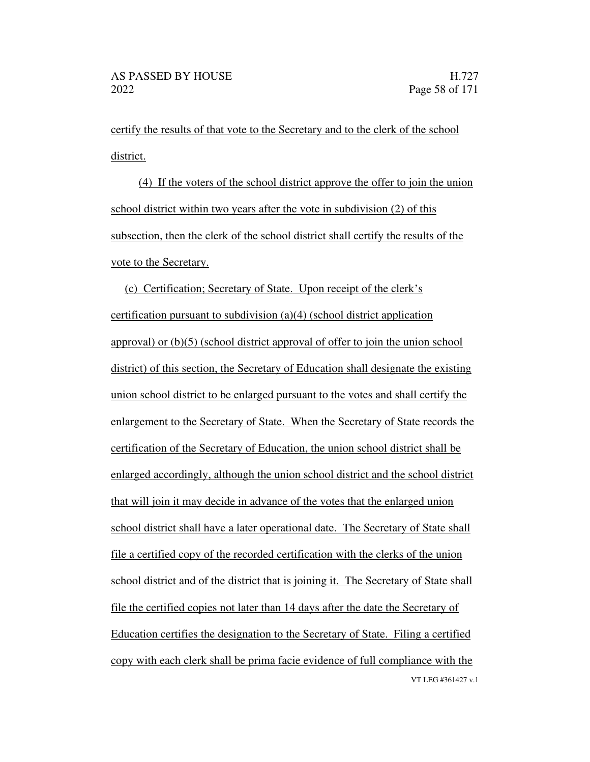certify the results of that vote to the Secretary and to the clerk of the school district.

(4) If the voters of the school district approve the offer to join the union school district within two years after the vote in subdivision (2) of this subsection, then the clerk of the school district shall certify the results of the vote to the Secretary.

VT LEG #361427 v.1 (c) Certification; Secretary of State. Upon receipt of the clerk's certification pursuant to subdivision (a)(4) (school district application approval) or (b)(5) (school district approval of offer to join the union school district) of this section, the Secretary of Education shall designate the existing union school district to be enlarged pursuant to the votes and shall certify the enlargement to the Secretary of State. When the Secretary of State records the certification of the Secretary of Education, the union school district shall be enlarged accordingly, although the union school district and the school district that will join it may decide in advance of the votes that the enlarged union school district shall have a later operational date. The Secretary of State shall file a certified copy of the recorded certification with the clerks of the union school district and of the district that is joining it. The Secretary of State shall file the certified copies not later than 14 days after the date the Secretary of Education certifies the designation to the Secretary of State. Filing a certified copy with each clerk shall be prima facie evidence of full compliance with the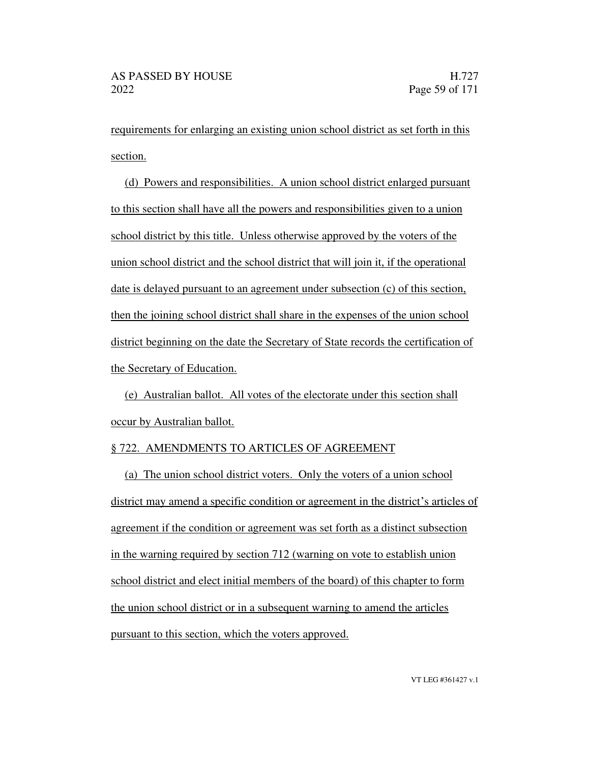requirements for enlarging an existing union school district as set forth in this section.

(d) Powers and responsibilities. A union school district enlarged pursuant to this section shall have all the powers and responsibilities given to a union school district by this title. Unless otherwise approved by the voters of the union school district and the school district that will join it, if the operational date is delayed pursuant to an agreement under subsection (c) of this section, then the joining school district shall share in the expenses of the union school district beginning on the date the Secretary of State records the certification of the Secretary of Education.

(e) Australian ballot. All votes of the electorate under this section shall occur by Australian ballot.

#### § 722. AMENDMENTS TO ARTICLES OF AGREEMENT

(a) The union school district voters. Only the voters of a union school district may amend a specific condition or agreement in the district's articles of agreement if the condition or agreement was set forth as a distinct subsection in the warning required by section 712 (warning on vote to establish union school district and elect initial members of the board) of this chapter to form the union school district or in a subsequent warning to amend the articles pursuant to this section, which the voters approved.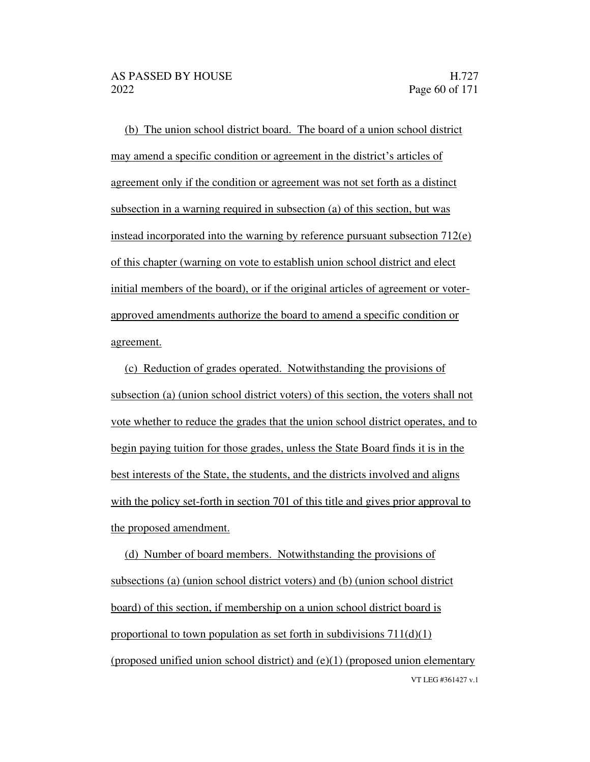(b) The union school district board. The board of a union school district may amend a specific condition or agreement in the district's articles of agreement only if the condition or agreement was not set forth as a distinct subsection in a warning required in subsection (a) of this section, but was instead incorporated into the warning by reference pursuant subsection  $712(e)$ of this chapter (warning on vote to establish union school district and elect initial members of the board), or if the original articles of agreement or voterapproved amendments authorize the board to amend a specific condition or agreement.

(c) Reduction of grades operated. Notwithstanding the provisions of subsection (a) (union school district voters) of this section, the voters shall not vote whether to reduce the grades that the union school district operates, and to begin paying tuition for those grades, unless the State Board finds it is in the best interests of the State, the students, and the districts involved and aligns with the policy set-forth in section 701 of this title and gives prior approval to the proposed amendment.

VT LEG #361427 v.1 (d) Number of board members. Notwithstanding the provisions of subsections (a) (union school district voters) and (b) (union school district board) of this section, if membership on a union school district board is proportional to town population as set forth in subdivisions  $711(d)(1)$ (proposed unified union school district) and (e)(1) (proposed union elementary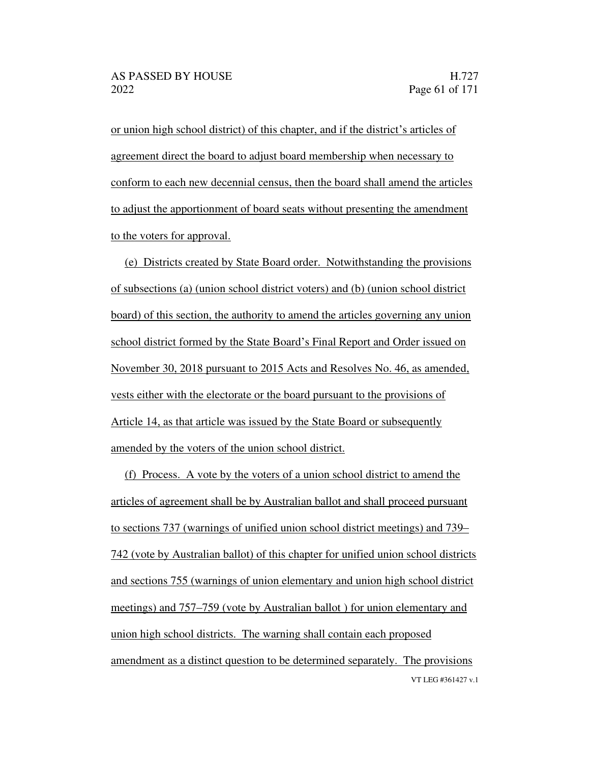or union high school district) of this chapter, and if the district's articles of agreement direct the board to adjust board membership when necessary to conform to each new decennial census, then the board shall amend the articles to adjust the apportionment of board seats without presenting the amendment to the voters for approval.

(e) Districts created by State Board order. Notwithstanding the provisions of subsections (a) (union school district voters) and (b) (union school district board) of this section, the authority to amend the articles governing any union school district formed by the State Board's Final Report and Order issued on November 30, 2018 pursuant to 2015 Acts and Resolves No. 46, as amended, vests either with the electorate or the board pursuant to the provisions of Article 14, as that article was issued by the State Board or subsequently amended by the voters of the union school district.

VT LEG #361427 v.1 (f) Process. A vote by the voters of a union school district to amend the articles of agreement shall be by Australian ballot and shall proceed pursuant to sections 737 (warnings of unified union school district meetings) and 739 742 (vote by Australian ballot) of this chapter for unified union school districts and sections 755 (warnings of union elementary and union high school district meetings) and 757–759 (vote by Australian ballot) for union elementary and union high school districts. The warning shall contain each proposed amendment as a distinct question to be determined separately. The provisions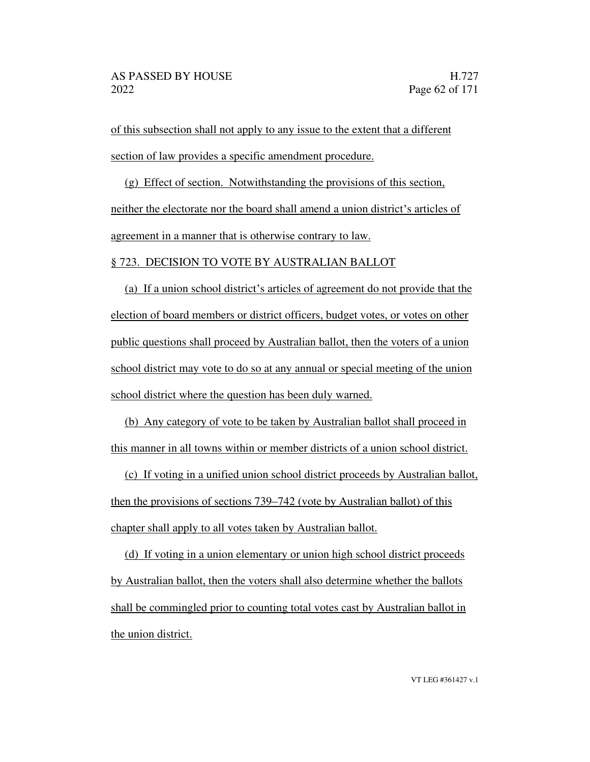of this subsection shall not apply to any issue to the extent that a different section of law provides a specific amendment procedure.

(g) Effect of section. Notwithstanding the provisions of this section, neither the electorate nor the board shall amend a union district's articles of agreement in a manner that is otherwise contrary to law.

#### § 723. DECISION TO VOTE BY AUSTRALIAN BALLOT

(a) If a union school district's articles of agreement do not provide that the election of board members or district officers, budget votes, or votes on other public questions shall proceed by Australian ballot, then the voters of a union school district may vote to do so at any annual or special meeting of the union school district where the question has been duly warned.

(b) Any category of vote to be taken by Australian ballot shall proceed in this manner in all towns within or member districts of a union school district.

(c) If voting in a unified union school district proceeds by Australian ballot, then the provisions of sections 739–742 (vote by Australian ballot) of this chapter shall apply to all votes taken by Australian ballot.

(d) If voting in a union elementary or union high school district proceeds by Australian ballot, then the voters shall also determine whether the ballots shall be commingled prior to counting total votes cast by Australian ballot in the union district.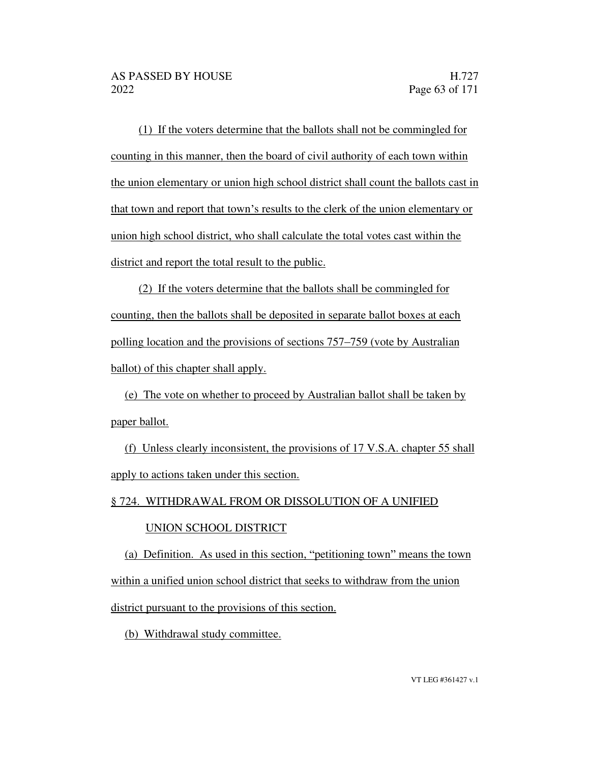(1) If the voters determine that the ballots shall not be commingled for counting in this manner, then the board of civil authority of each town within the union elementary or union high school district shall count the ballots cast in that town and report that town's results to the clerk of the union elementary or union high school district, who shall calculate the total votes cast within the district and report the total result to the public.

(2) If the voters determine that the ballots shall be commingled for counting, then the ballots shall be deposited in separate ballot boxes at each polling location and the provisions of sections 757–759 (vote by Australian ballot) of this chapter shall apply.

(e) The vote on whether to proceed by Australian ballot shall be taken by paper ballot.

(f) Unless clearly inconsistent, the provisions of 17 V.S.A. chapter 55 shall apply to actions taken under this section.

#### § 724. WITHDRAWAL FROM OR DISSOLUTION OF A UNIFIED

#### UNION SCHOOL DISTRICT

(a) Definition. As used in this section, "petitioning town" means the town within a unified union school district that seeks to withdraw from the union district pursuant to the provisions of this section.

(b) Withdrawal study committee.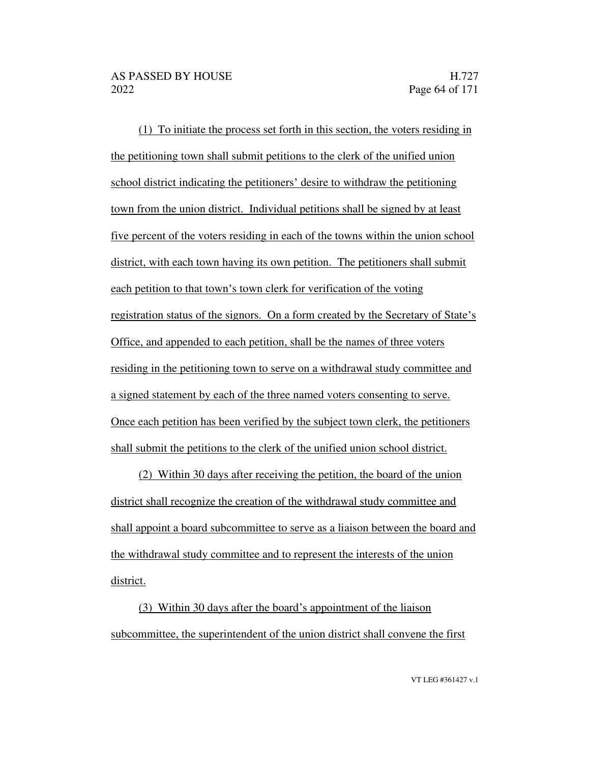(1) To initiate the process set forth in this section, the voters residing in the petitioning town shall submit petitions to the clerk of the unified union school district indicating the petitioners' desire to withdraw the petitioning town from the union district. Individual petitions shall be signed by at least five percent of the voters residing in each of the towns within the union school district, with each town having its own petition. The petitioners shall submit each petition to that town's town clerk for verification of the voting registration status of the signors. On a form created by the Secretary of State's Office, and appended to each petition, shall be the names of three voters residing in the petitioning town to serve on a withdrawal study committee and a signed statement by each of the three named voters consenting to serve. Once each petition has been verified by the subject town clerk, the petitioners shall submit the petitions to the clerk of the unified union school district.

(2) Within 30 days after receiving the petition, the board of the union district shall recognize the creation of the withdrawal study committee and shall appoint a board subcommittee to serve as a liaison between the board and the withdrawal study committee and to represent the interests of the union district.

(3) Within 30 days after the board's appointment of the liaison subcommittee, the superintendent of the union district shall convene the first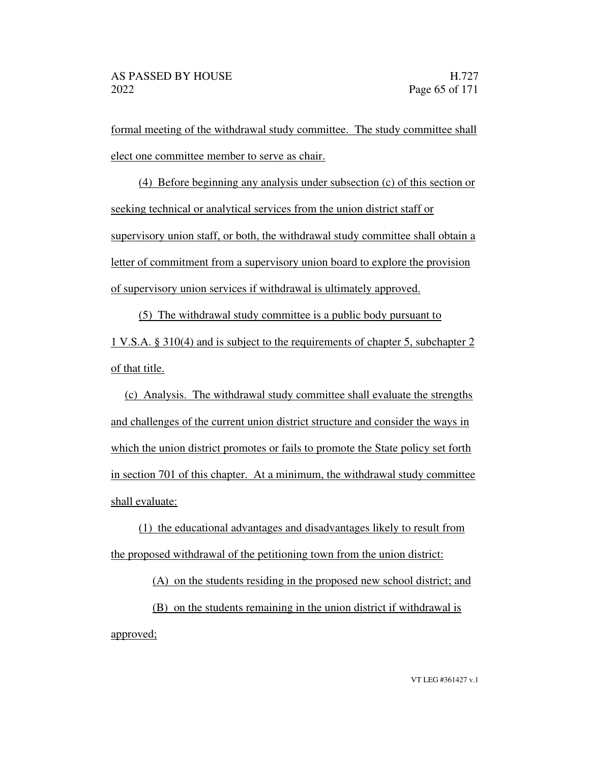formal meeting of the withdrawal study committee. The study committee shall elect one committee member to serve as chair.

(4) Before beginning any analysis under subsection (c) of this section or seeking technical or analytical services from the union district staff or supervisory union staff, or both, the withdrawal study committee shall obtain a letter of commitment from a supervisory union board to explore the provision of supervisory union services if withdrawal is ultimately approved.

(5) The withdrawal study committee is a public body pursuant to 1 V.S.A. § 310(4) and is subject to the requirements of chapter 5, subchapter 2 of that title.

(c) Analysis. The withdrawal study committee shall evaluate the strengths and challenges of the current union district structure and consider the ways in which the union district promotes or fails to promote the State policy set forth in section 701 of this chapter. At a minimum, the withdrawal study committee shall evaluate:

(1) the educational advantages and disadvantages likely to result from the proposed withdrawal of the petitioning town from the union district:

(A) on the students residing in the proposed new school district; and

(B) on the students remaining in the union district if withdrawal is approved;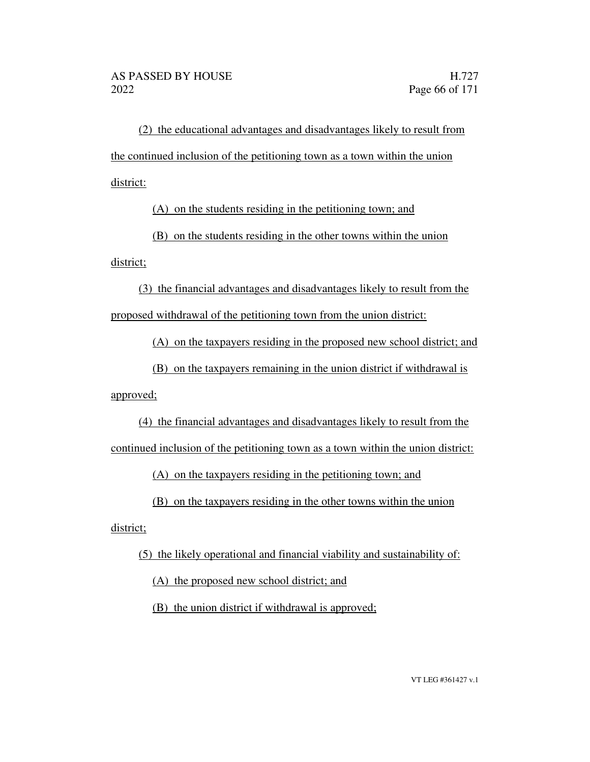(2) the educational advantages and disadvantages likely to result from the continued inclusion of the petitioning town as a town within the union district:

(A) on the students residing in the petitioning town; and

(B) on the students residing in the other towns within the union

district;

(3) the financial advantages and disadvantages likely to result from the proposed withdrawal of the petitioning town from the union district:

(A) on the taxpayers residing in the proposed new school district; and

(B) on the taxpayers remaining in the union district if withdrawal is approved;

(4) the financial advantages and disadvantages likely to result from the continued inclusion of the petitioning town as a town within the union district:

(A) on the taxpayers residing in the petitioning town; and

(B) on the taxpayers residing in the other towns within the union

district;

(5) the likely operational and financial viability and sustainability of:

(A) the proposed new school district; and

(B) the union district if withdrawal is approved;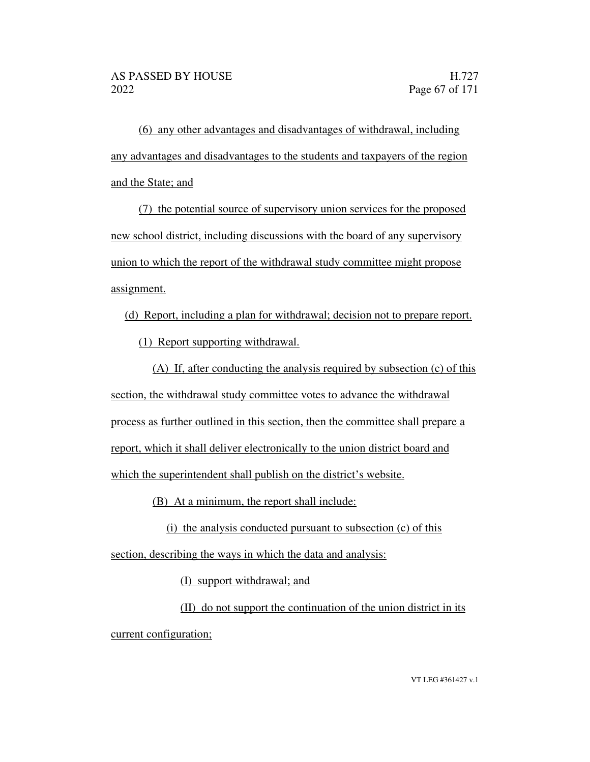(6) any other advantages and disadvantages of withdrawal, including any advantages and disadvantages to the students and taxpayers of the region and the State; and

(7) the potential source of supervisory union services for the proposed new school district, including discussions with the board of any supervisory union to which the report of the withdrawal study committee might propose assignment.

(d) Report, including a plan for withdrawal; decision not to prepare report.

(1) Report supporting withdrawal.

(A) If, after conducting the analysis required by subsection (c) of this section, the withdrawal study committee votes to advance the withdrawal process as further outlined in this section, then the committee shall prepare a report, which it shall deliver electronically to the union district board and which the superintendent shall publish on the district's website.

(B) At a minimum, the report shall include:

 $(i)$  the analysis conducted pursuant to subsection  $(c)$  of this

section, describing the ways in which the data and analysis:

(I) support withdrawal; and

(II) do not support the continuation of the union district in its current configuration;

VT LEG #361427 v.1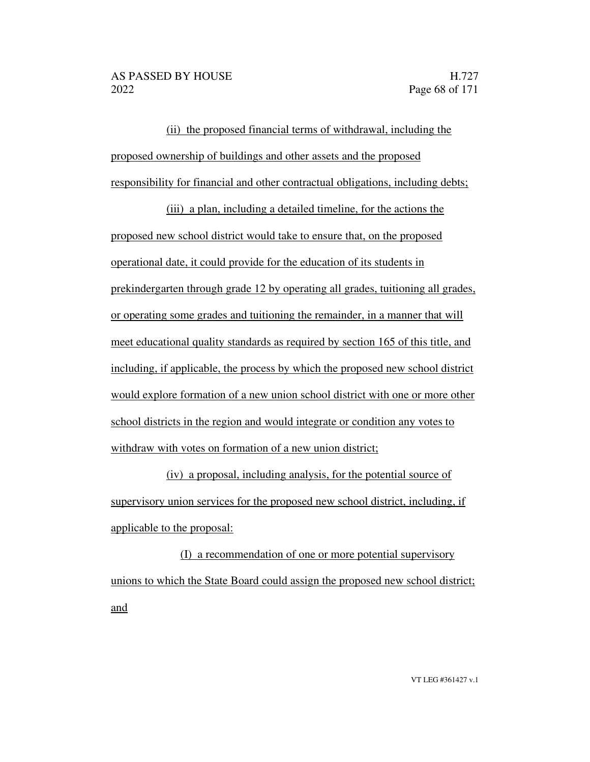(ii) the proposed financial terms of withdrawal, including the proposed ownership of buildings and other assets and the proposed responsibility for financial and other contractual obligations, including debts;

(iii) a plan, including a detailed timeline, for the actions the proposed new school district would take to ensure that, on the proposed operational date, it could provide for the education of its students in prekindergarten through grade 12 by operating all grades, tuitioning all grades, or operating some grades and tuitioning the remainder, in a manner that will meet educational quality standards as required by section 165 of this title, and including, if applicable, the process by which the proposed new school district would explore formation of a new union school district with one or more other school districts in the region and would integrate or condition any votes to withdraw with votes on formation of a new union district;

(iv) a proposal, including analysis, for the potential source of supervisory union services for the proposed new school district, including, if applicable to the proposal:

(I) a recommendation of one or more potential supervisory unions to which the State Board could assign the proposed new school district; and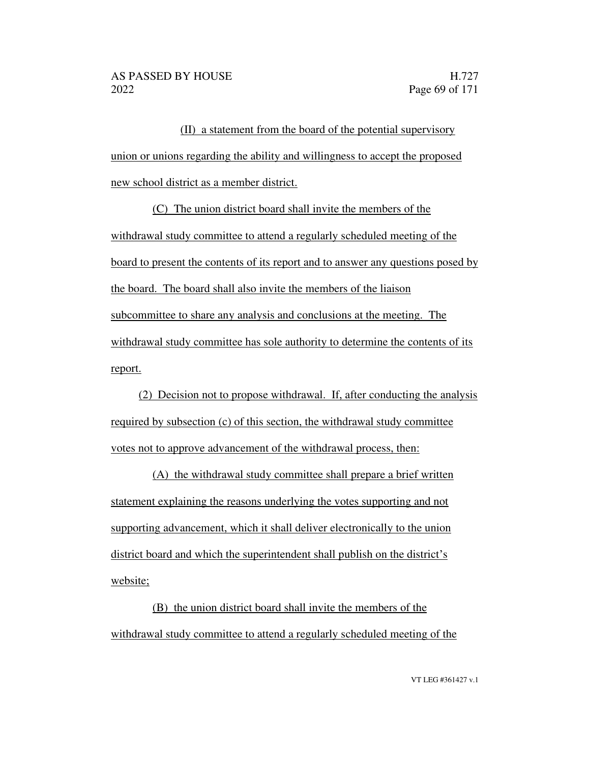(II) a statement from the board of the potential supervisory union or unions regarding the ability and willingness to accept the proposed new school district as a member district.

(C) The union district board shall invite the members of the withdrawal study committee to attend a regularly scheduled meeting of the board to present the contents of its report and to answer any questions posed by the board. The board shall also invite the members of the liaison subcommittee to share any analysis and conclusions at the meeting. The withdrawal study committee has sole authority to determine the contents of its report.

(2) Decision not to propose withdrawal. If, after conducting the analysis required by subsection (c) of this section, the withdrawal study committee votes not to approve advancement of the withdrawal process, then:

(A) the withdrawal study committee shall prepare a brief written statement explaining the reasons underlying the votes supporting and not supporting advancement, which it shall deliver electronically to the union district board and which the superintendent shall publish on the district's website;

(B) the union district board shall invite the members of the withdrawal study committee to attend a regularly scheduled meeting of the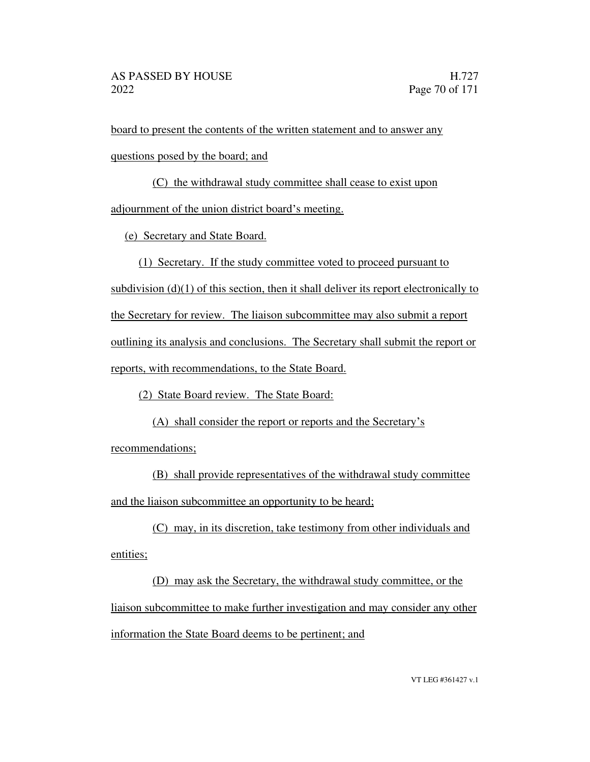board to present the contents of the written statement and to answer any

questions posed by the board; and

(C) the withdrawal study committee shall cease to exist upon

adjournment of the union district board's meeting.

(e) Secretary and State Board.

(1) Secretary. If the study committee voted to proceed pursuant to

subdivision  $(d)(1)$  of this section, then it shall deliver its report electronically to

the Secretary for review. The liaison subcommittee may also submit a report

outlining its analysis and conclusions. The Secretary shall submit the report or

reports, with recommendations, to the State Board.

(2) State Board review. The State Board:

(A) shall consider the report or reports and the Secretary's

recommendations;

(B) shall provide representatives of the withdrawal study committee and the liaison subcommittee an opportunity to be heard;

(C) may, in its discretion, take testimony from other individuals and entities;

(D) may ask the Secretary, the withdrawal study committee, or the liaison subcommittee to make further investigation and may consider any other information the State Board deems to be pertinent; and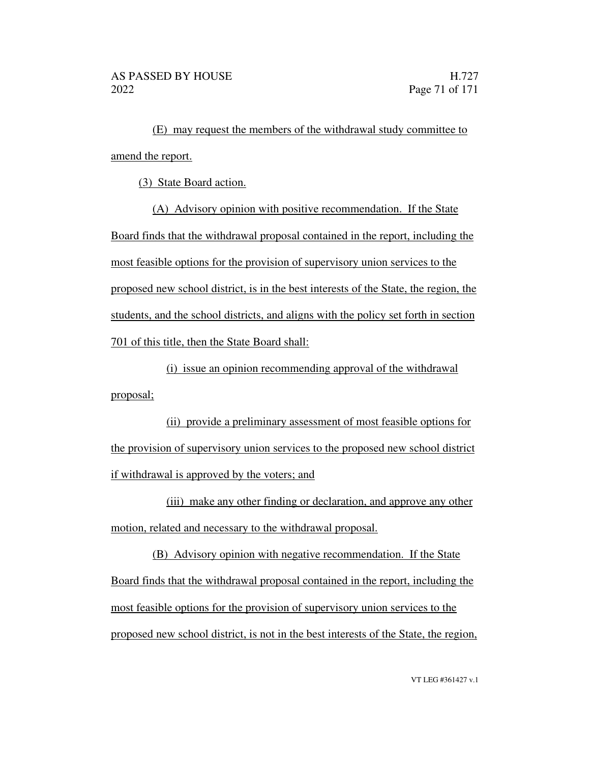(E) may request the members of the withdrawal study committee to amend the report.

(3) State Board action.

(A) Advisory opinion with positive recommendation. If the State Board finds that the withdrawal proposal contained in the report, including the most feasible options for the provision of supervisory union services to the proposed new school district, is in the best interests of the State, the region, the students, and the school districts, and aligns with the policy set forth in section 701 of this title, then the State Board shall:

(i) issue an opinion recommending approval of the withdrawal proposal;

(ii) provide a preliminary assessment of most feasible options for the provision of supervisory union services to the proposed new school district if withdrawal is approved by the voters; and

(iii) make any other finding or declaration, and approve any other motion, related and necessary to the withdrawal proposal.

(B) Advisory opinion with negative recommendation. If the State Board finds that the withdrawal proposal contained in the report, including the most feasible options for the provision of supervisory union services to the proposed new school district, is not in the best interests of the State, the region,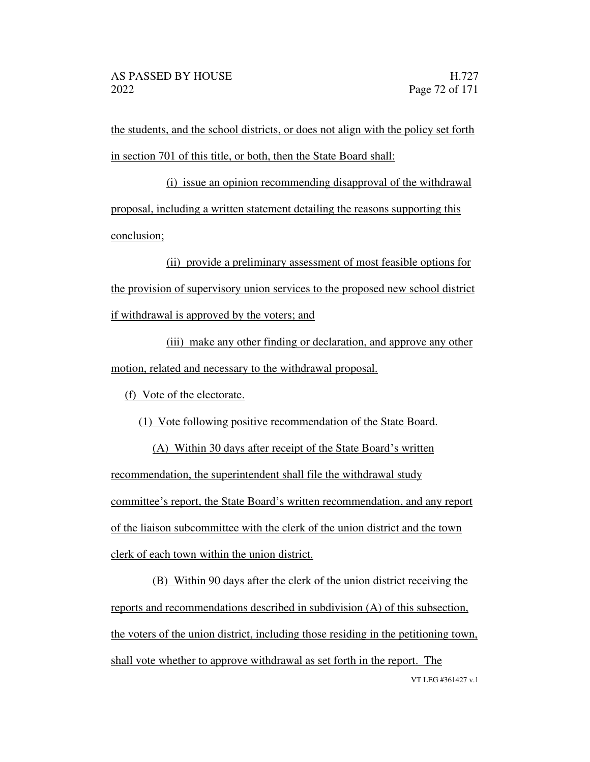the students, and the school districts, or does not align with the policy set forth in section 701 of this title, or both, then the State Board shall:

(i) issue an opinion recommending disapproval of the withdrawal proposal, including a written statement detailing the reasons supporting this conclusion;

(ii) provide a preliminary assessment of most feasible options for the provision of supervisory union services to the proposed new school district if withdrawal is approved by the voters; and

(iii) make any other finding or declaration, and approve any other motion, related and necessary to the withdrawal proposal.

(f) Vote of the electorate.

(1) Vote following positive recommendation of the State Board.

 $(A)$  Within 30 days after receipt of the State Board's written recommendation, the superintendent shall file the withdrawal study committee's report, the State Board's written recommendation, and any report of the liaison subcommittee with the clerk of the union district and the town clerk of each town within the union district.

VT LEG #361427 v.1 (B) Within 90 days after the clerk of the union district receiving the reports and recommendations described in subdivision (A) of this subsection, the voters of the union district, including those residing in the petitioning town, shall vote whether to approve withdrawal as set forth in the report. The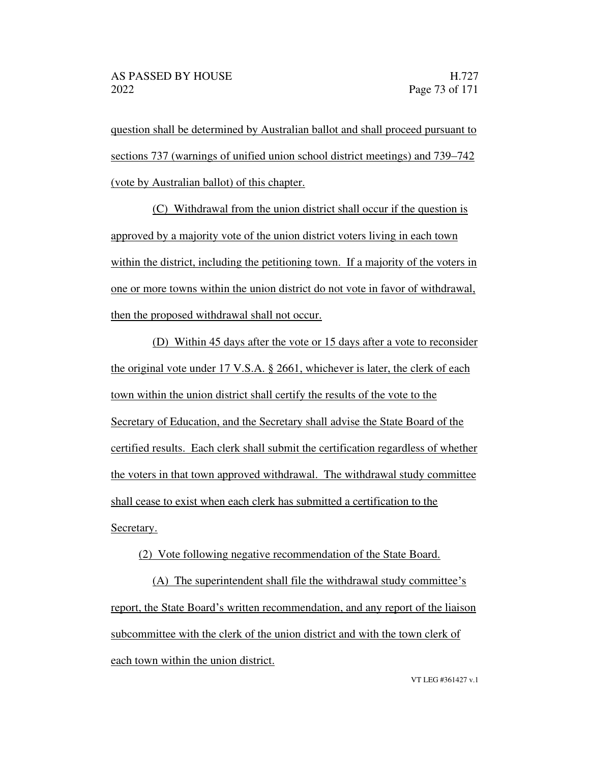question shall be determined by Australian ballot and shall proceed pursuant to sections 737 (warnings of unified union school district meetings) and 739–742 (vote by Australian ballot) of this chapter.

(C) Withdrawal from the union district shall occur if the question is approved by a majority vote of the union district voters living in each town within the district, including the petitioning town. If a majority of the voters in one or more towns within the union district do not vote in favor of withdrawal, then the proposed withdrawal shall not occur.

(D) Within 45 days after the vote or 15 days after a vote to reconsider the original vote under 17 V.S.A. § 2661, whichever is later, the clerk of each town within the union district shall certify the results of the vote to the Secretary of Education, and the Secretary shall advise the State Board of the certified results. Each clerk shall submit the certification regardless of whether the voters in that town approved withdrawal. The withdrawal study committee shall cease to exist when each clerk has submitted a certification to the Secretary.

(2) Vote following negative recommendation of the State Board.

 $(A)$  The superintendent shall file the withdrawal study committee's report, the State Board's written recommendation, and any report of the liaison subcommittee with the clerk of the union district and with the town clerk of each town within the union district.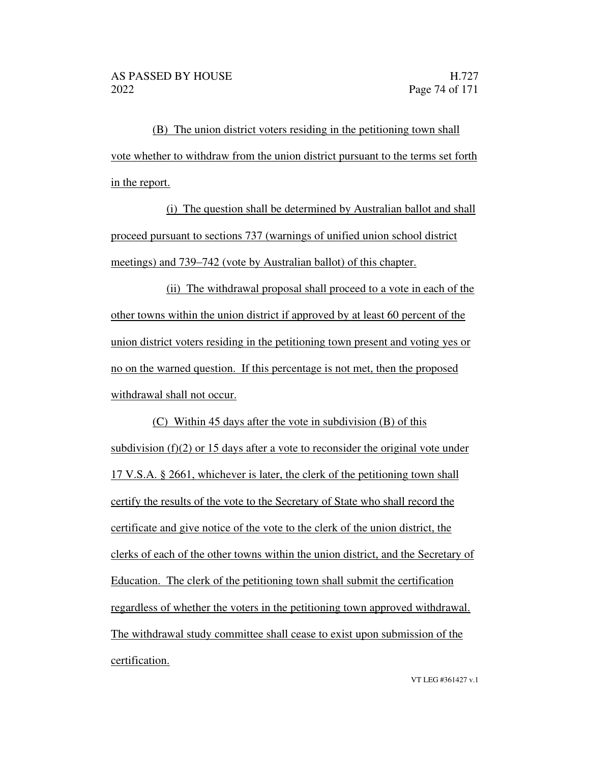(B) The union district voters residing in the petitioning town shall vote whether to withdraw from the union district pursuant to the terms set forth in the report.

(i) The question shall be determined by Australian ballot and shall proceed pursuant to sections 737 (warnings of unified union school district meetings) and 739–742 (vote by Australian ballot) of this chapter.

(ii) The withdrawal proposal shall proceed to a vote in each of the other towns within the union district if approved by at least 60 percent of the union district voters residing in the petitioning town present and voting yes or no on the warned question. If this percentage is not met, then the proposed withdrawal shall not occur.

(C) Within 45 days after the vote in subdivision (B) of this subdivision (f)(2) or 15 days after a vote to reconsider the original vote under 17 V.S.A. § 2661, whichever is later, the clerk of the petitioning town shall certify the results of the vote to the Secretary of State who shall record the certificate and give notice of the vote to the clerk of the union district, the clerks of each of the other towns within the union district, and the Secretary of Education. The clerk of the petitioning town shall submit the certification regardless of whether the voters in the petitioning town approved withdrawal. The withdrawal study committee shall cease to exist upon submission of the certification.

VT LEG #361427 v.1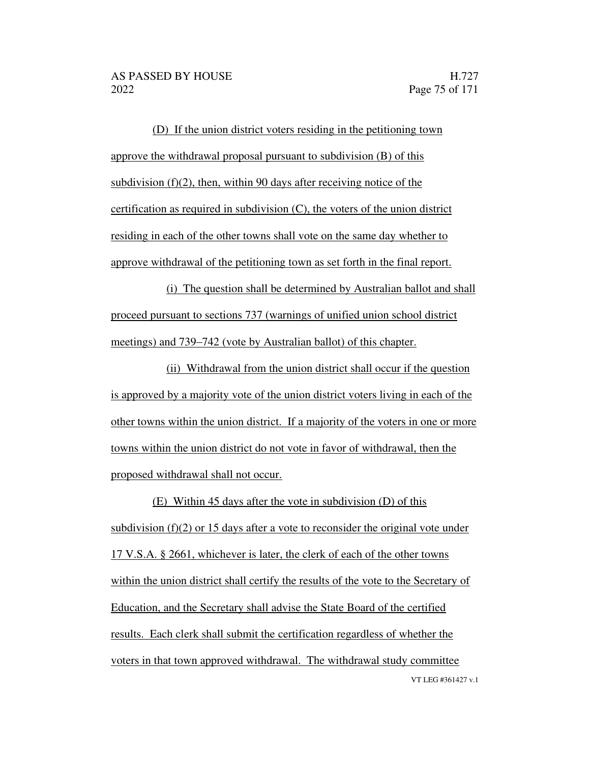(D) If the union district voters residing in the petitioning town approve the withdrawal proposal pursuant to subdivision (B) of this subdivision (f)(2), then, within 90 days after receiving notice of the certification as required in subdivision (C), the voters of the union district residing in each of the other towns shall vote on the same day whether to approve withdrawal of the petitioning town as set forth in the final report.

(i) The question shall be determined by Australian ballot and shall proceed pursuant to sections 737 (warnings of unified union school district meetings) and 739–742 (vote by Australian ballot) of this chapter.

(ii) Withdrawal from the union district shall occur if the question is approved by a majority vote of the union district voters living in each of the other towns within the union district. If a majority of the voters in one or more towns within the union district do not vote in favor of withdrawal, then the proposed withdrawal shall not occur.

VT LEG #361427 v.1 (E) Within 45 days after the vote in subdivision (D) of this subdivision (f)(2) or 15 days after a vote to reconsider the original vote under 17 V.S.A. § 2661, whichever is later, the clerk of each of the other towns within the union district shall certify the results of the vote to the Secretary of Education, and the Secretary shall advise the State Board of the certified results. Each clerk shall submit the certification regardless of whether the voters in that town approved withdrawal. The withdrawal study committee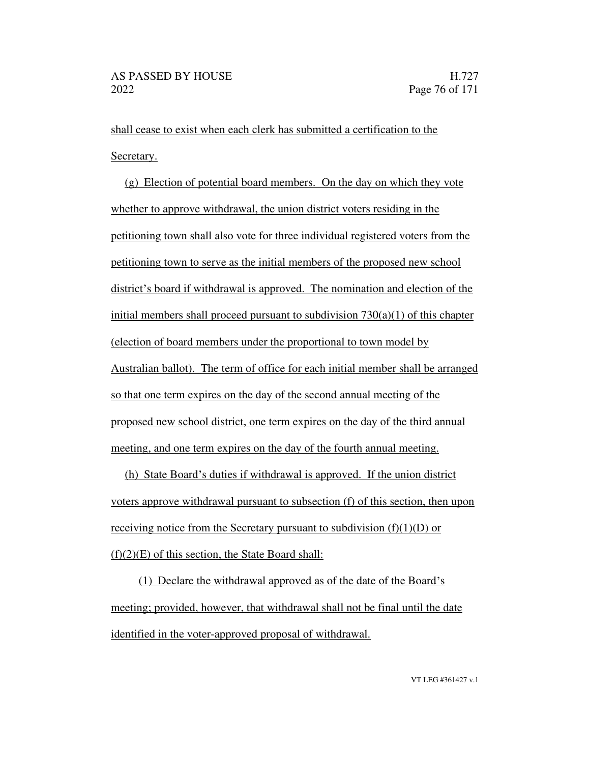shall cease to exist when each clerk has submitted a certification to the Secretary.

(g) Election of potential board members. On the day on which they vote whether to approve withdrawal, the union district voters residing in the petitioning town shall also vote for three individual registered voters from the petitioning town to serve as the initial members of the proposed new school district's board if withdrawal is approved. The nomination and election of the initial members shall proceed pursuant to subdivision  $730(a)(1)$  of this chapter (election of board members under the proportional to town model by Australian ballot). The term of office for each initial member shall be arranged so that one term expires on the day of the second annual meeting of the proposed new school district, one term expires on the day of the third annual meeting, and one term expires on the day of the fourth annual meeting.

(h) State Board's duties if withdrawal is approved. If the union district voters approve withdrawal pursuant to subsection (f) of this section, then upon receiving notice from the Secretary pursuant to subdivision  $(f)(1)(D)$  or  $(f)(2)(E)$  of this section, the State Board shall:

(1) Declare the withdrawal approved as of the date of the Board's meeting; provided, however, that withdrawal shall not be final until the date identified in the voter-approved proposal of withdrawal.

VT LEG #361427 v.1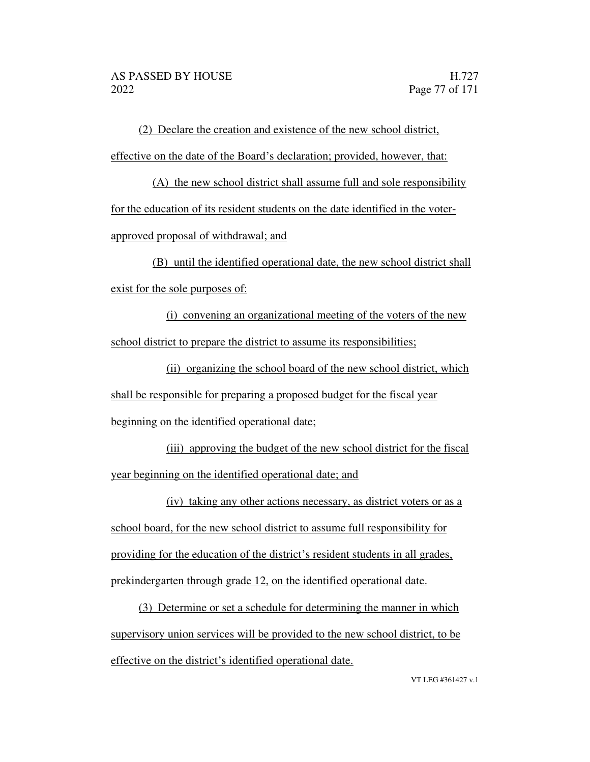(2) Declare the creation and existence of the new school district, effective on the date of the Board's declaration; provided, however, that:

(A) the new school district shall assume full and sole responsibility for the education of its resident students on the date identified in the voterapproved proposal of withdrawal; and

(B) until the identified operational date, the new school district shall exist for the sole purposes of:

(i) convening an organizational meeting of the voters of the new school district to prepare the district to assume its responsibilities;

(ii) organizing the school board of the new school district, which shall be responsible for preparing a proposed budget for the fiscal year

beginning on the identified operational date;

(iii) approving the budget of the new school district for the fiscal year beginning on the identified operational date; and

(iv) taking any other actions necessary, as district voters or as a school board, for the new school district to assume full responsibility for providing for the education of the district's resident students in all grades, prekindergarten through grade 12, on the identified operational date.

(3) Determine or set a schedule for determining the manner in which supervisory union services will be provided to the new school district, to be effective on the district's identified operational date.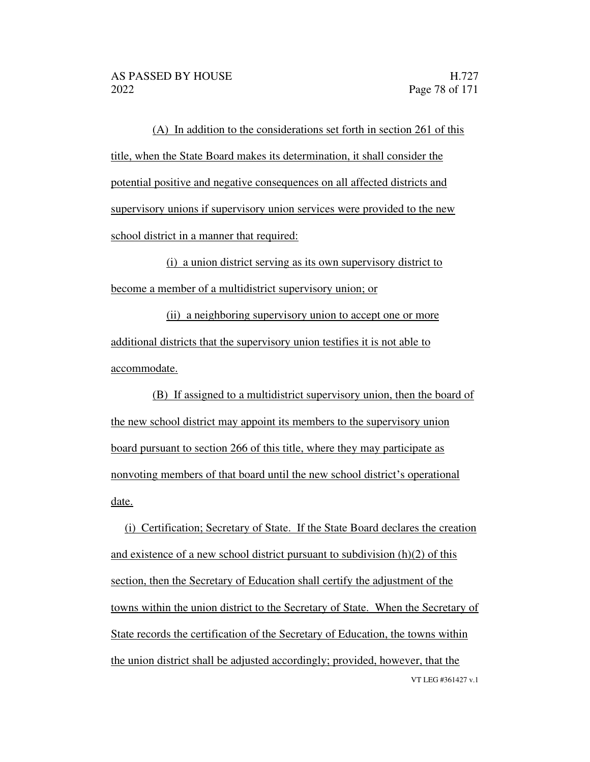(A) In addition to the considerations set forth in section 261 of this title, when the State Board makes its determination, it shall consider the potential positive and negative consequences on all affected districts and supervisory unions if supervisory union services were provided to the new school district in a manner that required:

(i) a union district serving as its own supervisory district to become a member of a multidistrict supervisory union; or

(ii) a neighboring supervisory union to accept one or more additional districts that the supervisory union testifies it is not able to accommodate.

(B) If assigned to a multidistrict supervisory union, then the board of the new school district may appoint its members to the supervisory union board pursuant to section 266 of this title, where they may participate as nonvoting members of that board until the new school district's operational date.

VT LEG #361427 v.1 (i) Certification; Secretary of State. If the State Board declares the creation and existence of a new school district pursuant to subdivision (h)(2) of this section, then the Secretary of Education shall certify the adjustment of the towns within the union district to the Secretary of State. When the Secretary of State records the certification of the Secretary of Education, the towns within the union district shall be adjusted accordingly; provided, however, that the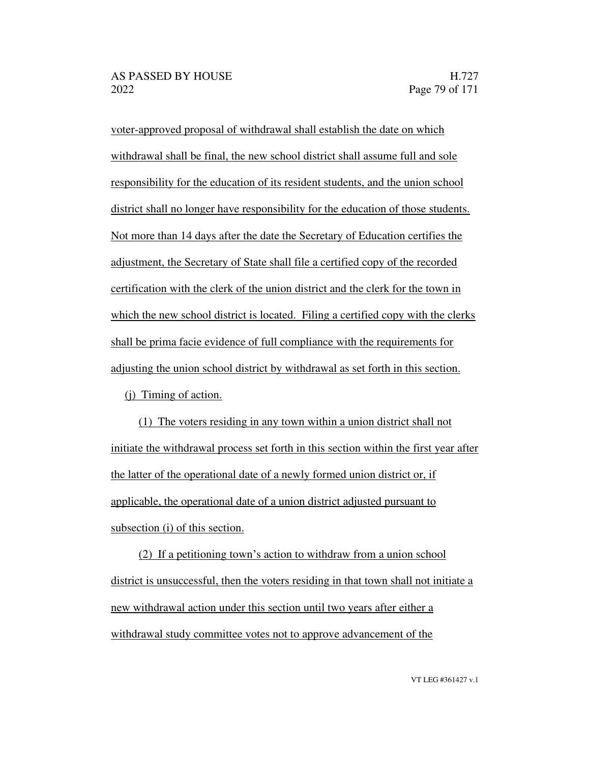voter-approved proposal of withdrawal shall establish the date on which withdrawal shall be final, the new school district shall assume full and sole responsibility for the education of its resident students, and the union school district shall no longer have responsibility for the education of those students. Not more than 14 days after the date the Secretary of Education certifies the adjustment, the Secretary of State shall file a certified copy of the recorded certification with the clerk of the union district and the clerk for the town in which the new school district is located. Filing a certified copy with the clerks shall be prima facie evidence of full compliance with the requirements for adjusting the union school district by withdrawal as set forth in this section.

(j) Timing of action.

(1) The voters residing in any town within a union district shall not initiate the withdrawal process set forth in this section within the first year after the latter of the operational date of a newly formed union district or, if applicable, the operational date of a union district adjusted pursuant to subsection (i) of this section.

 $(2)$  If a petitioning town's action to withdraw from a union school district is unsuccessful, then the voters residing in that town shall not initiate a new withdrawal action under this section until two years after either a withdrawal study committee votes not to approve advancement of the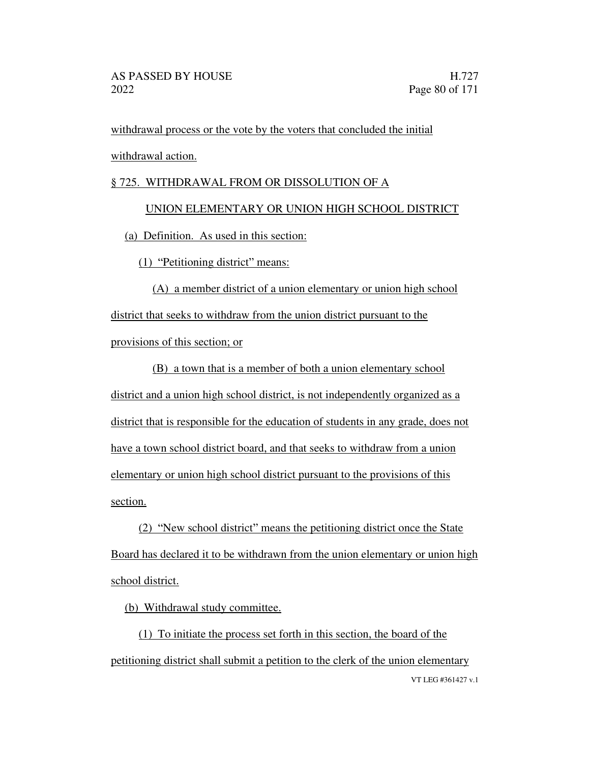withdrawal process or the vote by the voters that concluded the initial withdrawal action.

### § 725. WITHDRAWAL FROM OR DISSOLUTION OF A

## UNION ELEMENTARY OR UNION HIGH SCHOOL DISTRICT

(a) Definition. As used in this section:

 $(1)$  "Petitioning district" means:

(A) a member district of a union elementary or union high school district that seeks to withdraw from the union district pursuant to the provisions of this section; or

(B) a town that is a member of both a union elementary school district and a union high school district, is not independently organized as a district that is responsible for the education of students in any grade, does not have a town school district board, and that seeks to withdraw from a union elementary or union high school district pursuant to the provisions of this section.

 $(2)$  "New school district" means the petitioning district once the State Board has declared it to be withdrawn from the union elementary or union high school district.

(b) Withdrawal study committee.

VT LEG #361427 v.1 (1) To initiate the process set forth in this section, the board of the petitioning district shall submit a petition to the clerk of the union elementary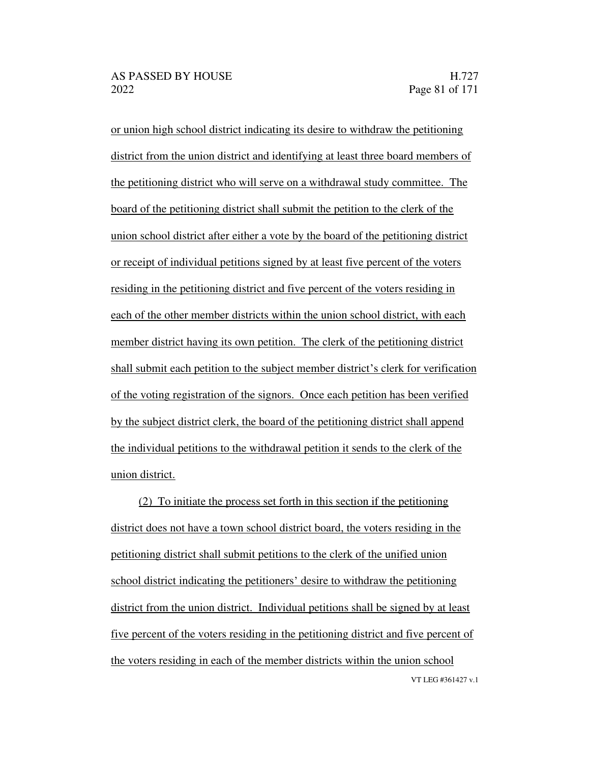or union high school district indicating its desire to withdraw the petitioning district from the union district and identifying at least three board members of the petitioning district who will serve on a withdrawal study committee. The board of the petitioning district shall submit the petition to the clerk of the union school district after either a vote by the board of the petitioning district or receipt of individual petitions signed by at least five percent of the voters residing in the petitioning district and five percent of the voters residing in each of the other member districts within the union school district, with each member district having its own petition. The clerk of the petitioning district shall submit each petition to the subject member district's clerk for verification of the voting registration of the signors. Once each petition has been verified by the subject district clerk, the board of the petitioning district shall append the individual petitions to the withdrawal petition it sends to the clerk of the union district.

VT LEG #361427 v.1 (2) To initiate the process set forth in this section if the petitioning district does not have a town school district board, the voters residing in the petitioning district shall submit petitions to the clerk of the unified union school district indicating the petitioners' desire to withdraw the petitioning district from the union district. Individual petitions shall be signed by at least five percent of the voters residing in the petitioning district and five percent of the voters residing in each of the member districts within the union school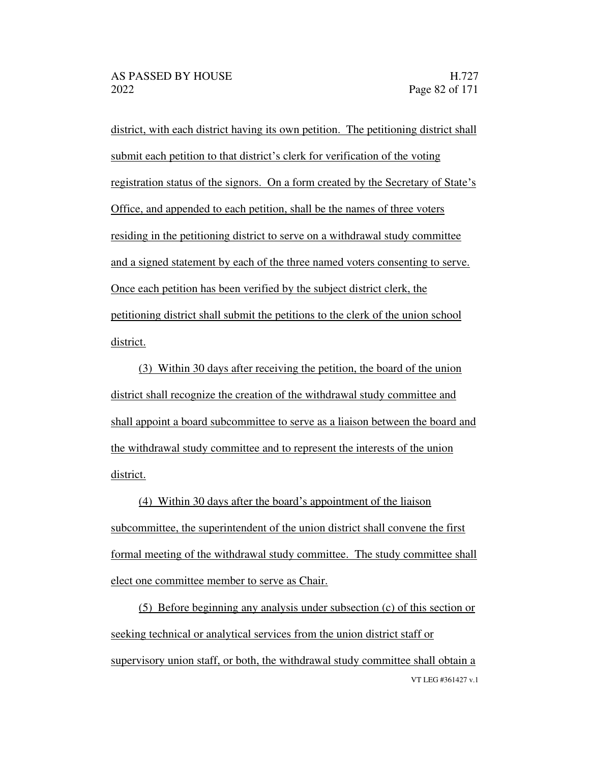district, with each district having its own petition. The petitioning district shall submit each petition to that district's clerk for verification of the voting registration status of the signors. On a form created by the Secretary of State's Office, and appended to each petition, shall be the names of three voters residing in the petitioning district to serve on a withdrawal study committee and a signed statement by each of the three named voters consenting to serve. Once each petition has been verified by the subject district clerk, the petitioning district shall submit the petitions to the clerk of the union school district.

(3) Within 30 days after receiving the petition, the board of the union district shall recognize the creation of the withdrawal study committee and shall appoint a board subcommittee to serve as a liaison between the board and the withdrawal study committee and to represent the interests of the union district.

(4) Within 30 days after the board's appointment of the liaison subcommittee, the superintendent of the union district shall convene the first formal meeting of the withdrawal study committee. The study committee shall elect one committee member to serve as Chair.

VT LEG #361427 v.1 (5) Before beginning any analysis under subsection (c) of this section or seeking technical or analytical services from the union district staff or supervisory union staff, or both, the withdrawal study committee shall obtain a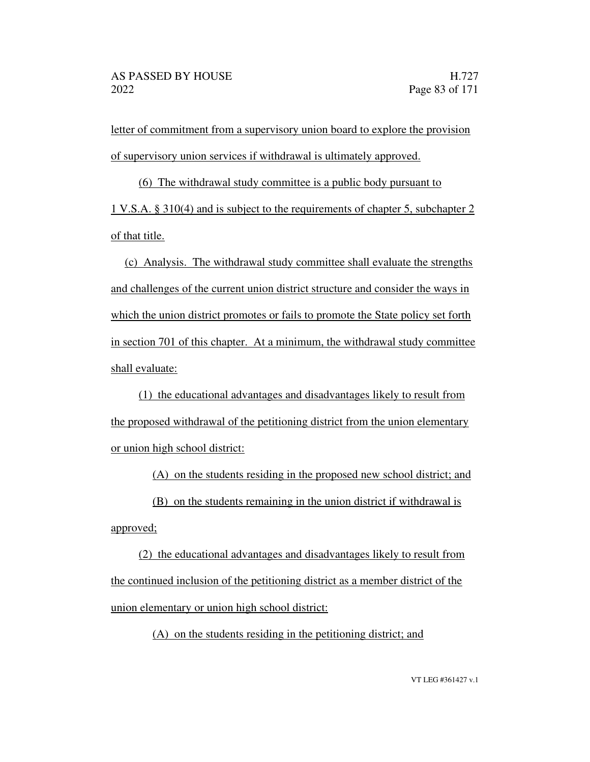letter of commitment from a supervisory union board to explore the provision of supervisory union services if withdrawal is ultimately approved.

(6) The withdrawal study committee is a public body pursuant to 1 V.S.A. § 310(4) and is subject to the requirements of chapter 5, subchapter 2 of that title.

(c) Analysis. The withdrawal study committee shall evaluate the strengths and challenges of the current union district structure and consider the ways in which the union district promotes or fails to promote the State policy set forth in section 701 of this chapter. At a minimum, the withdrawal study committee shall evaluate:

(1) the educational advantages and disadvantages likely to result from the proposed withdrawal of the petitioning district from the union elementary or union high school district:

(A) on the students residing in the proposed new school district; and

(B) on the students remaining in the union district if withdrawal is

approved;

(2) the educational advantages and disadvantages likely to result from the continued inclusion of the petitioning district as a member district of the union elementary or union high school district:

(A) on the students residing in the petitioning district; and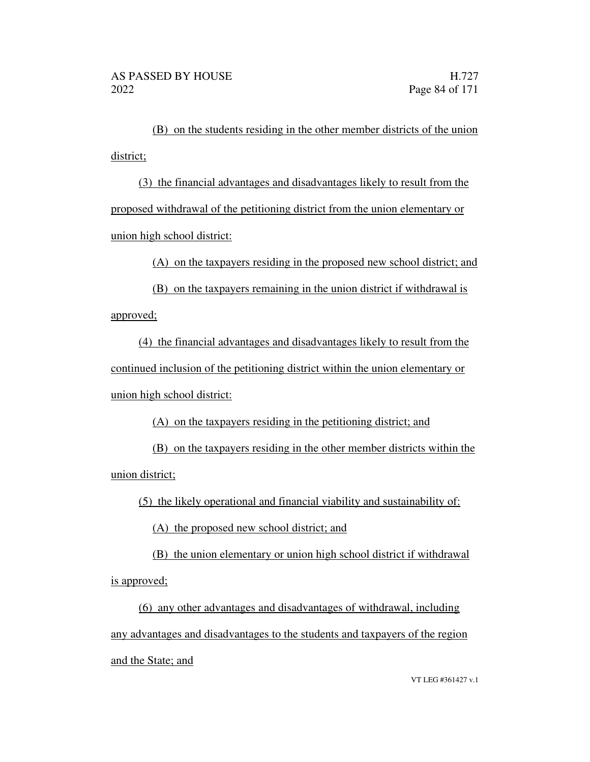(B) on the students residing in the other member districts of the union district;

(3) the financial advantages and disadvantages likely to result from the proposed withdrawal of the petitioning district from the union elementary or union high school district:

(A) on the taxpayers residing in the proposed new school district; and

(B) on the taxpayers remaining in the union district if withdrawal is approved;

(4) the financial advantages and disadvantages likely to result from the continued inclusion of the petitioning district within the union elementary or union high school district:

(A) on the taxpayers residing in the petitioning district; and

(B) on the taxpayers residing in the other member districts within the union district;

(5) the likely operational and financial viability and sustainability of:

(A) the proposed new school district; and

(B) the union elementary or union high school district if withdrawal is approved;

(6) any other advantages and disadvantages of withdrawal, including any advantages and disadvantages to the students and taxpayers of the region and the State; and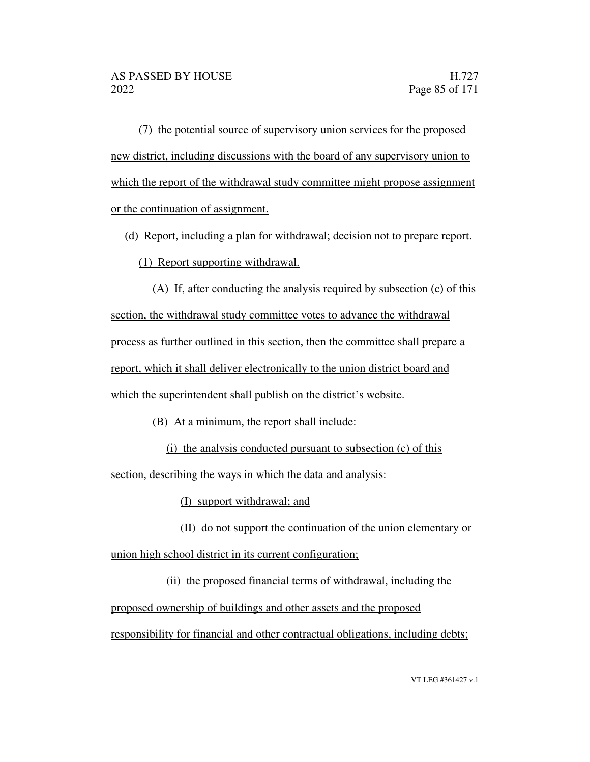(7) the potential source of supervisory union services for the proposed new district, including discussions with the board of any supervisory union to which the report of the withdrawal study committee might propose assignment or the continuation of assignment.

(d) Report, including a plan for withdrawal; decision not to prepare report.

(1) Report supporting withdrawal.

(A) If, after conducting the analysis required by subsection (c) of this section, the withdrawal study committee votes to advance the withdrawal process as further outlined in this section, then the committee shall prepare a report, which it shall deliver electronically to the union district board and which the superintendent shall publish on the district's website.

(B) At a minimum, the report shall include:

(i) the analysis conducted pursuant to subsection (c) of this

section, describing the ways in which the data and analysis:

(I) support withdrawal; and

(II) do not support the continuation of the union elementary or union high school district in its current configuration;

(ii) the proposed financial terms of withdrawal, including the proposed ownership of buildings and other assets and the proposed responsibility for financial and other contractual obligations, including debts;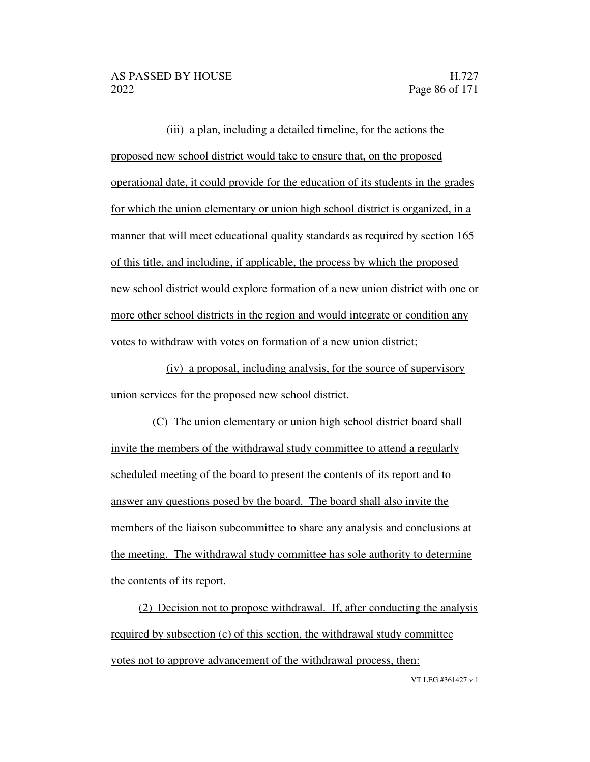(iii) a plan, including a detailed timeline, for the actions the proposed new school district would take to ensure that, on the proposed operational date, it could provide for the education of its students in the grades for which the union elementary or union high school district is organized, in a manner that will meet educational quality standards as required by section 165 of this title, and including, if applicable, the process by which the proposed new school district would explore formation of a new union district with one or more other school districts in the region and would integrate or condition any votes to withdraw with votes on formation of a new union district;

(iv) a proposal, including analysis, for the source of supervisory union services for the proposed new school district.

(C) The union elementary or union high school district board shall invite the members of the withdrawal study committee to attend a regularly scheduled meeting of the board to present the contents of its report and to answer any questions posed by the board. The board shall also invite the members of the liaison subcommittee to share any analysis and conclusions at the meeting. The withdrawal study committee has sole authority to determine the contents of its report.

(2) Decision not to propose withdrawal. If, after conducting the analysis required by subsection (c) of this section, the withdrawal study committee votes not to approve advancement of the withdrawal process, then:

VT LEG #361427 v.1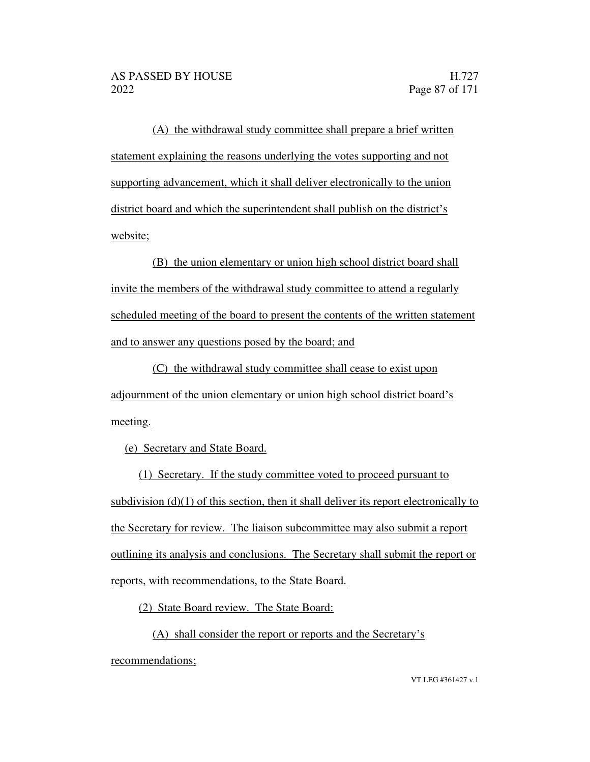(A) the withdrawal study committee shall prepare a brief written statement explaining the reasons underlying the votes supporting and not supporting advancement, which it shall deliver electronically to the union district board and which the superintendent shall publish on the district's website;

(B) the union elementary or union high school district board shall invite the members of the withdrawal study committee to attend a regularly scheduled meeting of the board to present the contents of the written statement and to answer any questions posed by the board; and

(C) the withdrawal study committee shall cease to exist upon adjournment of the union elementary or union high school district board's meeting.

(e) Secretary and State Board.

(1) Secretary. If the study committee voted to proceed pursuant to subdivision  $(d)(1)$  of this section, then it shall deliver its report electronically to the Secretary for review. The liaison subcommittee may also submit a report outlining its analysis and conclusions. The Secretary shall submit the report or reports, with recommendations, to the State Board.

(2) State Board review. The State Board:

(A) shall consider the report or reports and the Secretary's

recommendations;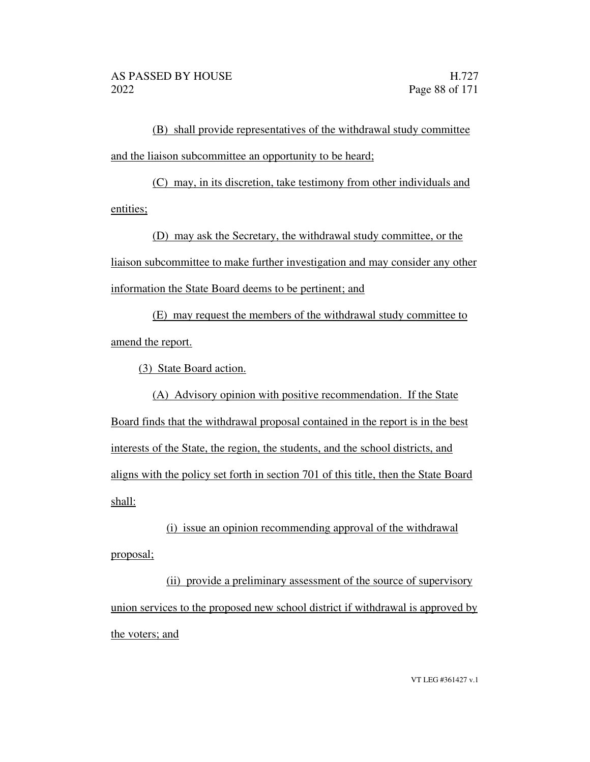(B) shall provide representatives of the withdrawal study committee and the liaison subcommittee an opportunity to be heard;

(C) may, in its discretion, take testimony from other individuals and entities;

(D) may ask the Secretary, the withdrawal study committee, or the liaison subcommittee to make further investigation and may consider any other information the State Board deems to be pertinent; and

(E) may request the members of the withdrawal study committee to amend the report.

(3) State Board action.

(A) Advisory opinion with positive recommendation. If the State Board finds that the withdrawal proposal contained in the report is in the best interests of the State, the region, the students, and the school districts, and aligns with the policy set forth in section 701 of this title, then the State Board shall:

(i) issue an opinion recommending approval of the withdrawal proposal;

(ii) provide a preliminary assessment of the source of supervisory union services to the proposed new school district if withdrawal is approved by the voters; and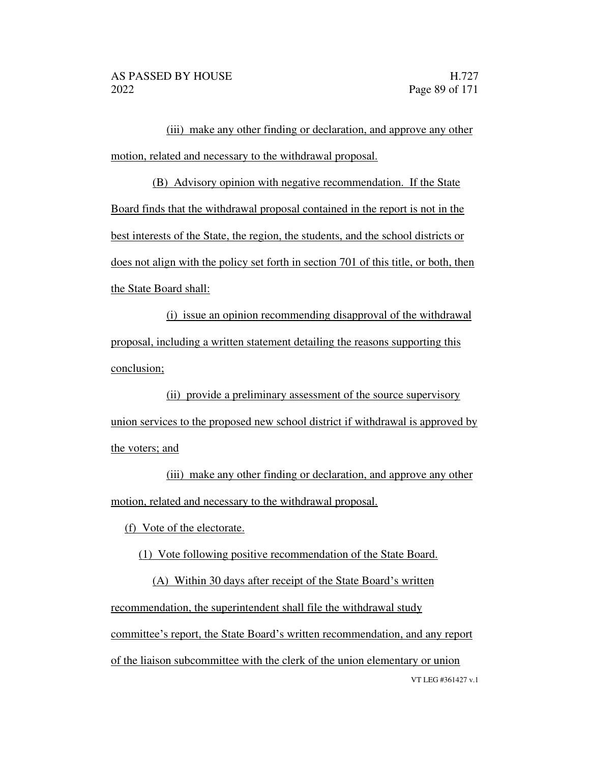(iii) make any other finding or declaration, and approve any other motion, related and necessary to the withdrawal proposal.

(B) Advisory opinion with negative recommendation. If the State Board finds that the withdrawal proposal contained in the report is not in the best interests of the State, the region, the students, and the school districts or does not align with the policy set forth in section 701 of this title, or both, then the State Board shall:

(i) issue an opinion recommending disapproval of the withdrawal proposal, including a written statement detailing the reasons supporting this conclusion;

(ii) provide a preliminary assessment of the source supervisory union services to the proposed new school district if withdrawal is approved by the voters; and

(iii) make any other finding or declaration, and approve any other motion, related and necessary to the withdrawal proposal.

(f) Vote of the electorate.

(1) Vote following positive recommendation of the State Board.

VT LEG #361427 v.1 (A) Within 30 days after receipt of the State Board's written recommendation, the superintendent shall file the withdrawal study committee's report, the State Board's written recommendation, and any report of the liaison subcommittee with the clerk of the union elementary or union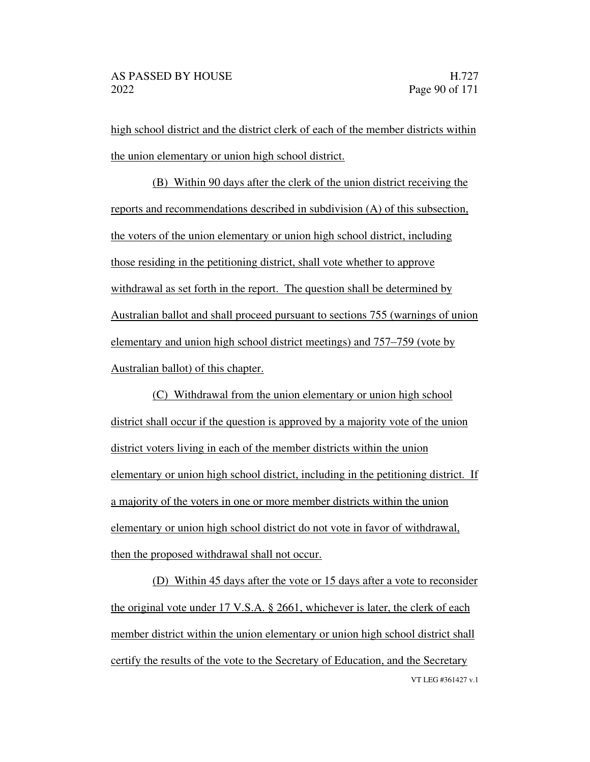high school district and the district clerk of each of the member districts within the union elementary or union high school district.

(B) Within 90 days after the clerk of the union district receiving the reports and recommendations described in subdivision (A) of this subsection, the voters of the union elementary or union high school district, including those residing in the petitioning district, shall vote whether to approve withdrawal as set forth in the report. The question shall be determined by Australian ballot and shall proceed pursuant to sections 755 (warnings of union elementary and union high school district meetings) and  $757-759$  (vote by Australian ballot) of this chapter.

(C) Withdrawal from the union elementary or union high school district shall occur if the question is approved by a majority vote of the union district voters living in each of the member districts within the union elementary or union high school district, including in the petitioning district. If a majority of the voters in one or more member districts within the union elementary or union high school district do not vote in favor of withdrawal, then the proposed withdrawal shall not occur.

VT LEG #361427 v.1 (D) Within 45 days after the vote or 15 days after a vote to reconsider the original vote under 17 V.S.A. § 2661, whichever is later, the clerk of each member district within the union elementary or union high school district shall certify the results of the vote to the Secretary of Education, and the Secretary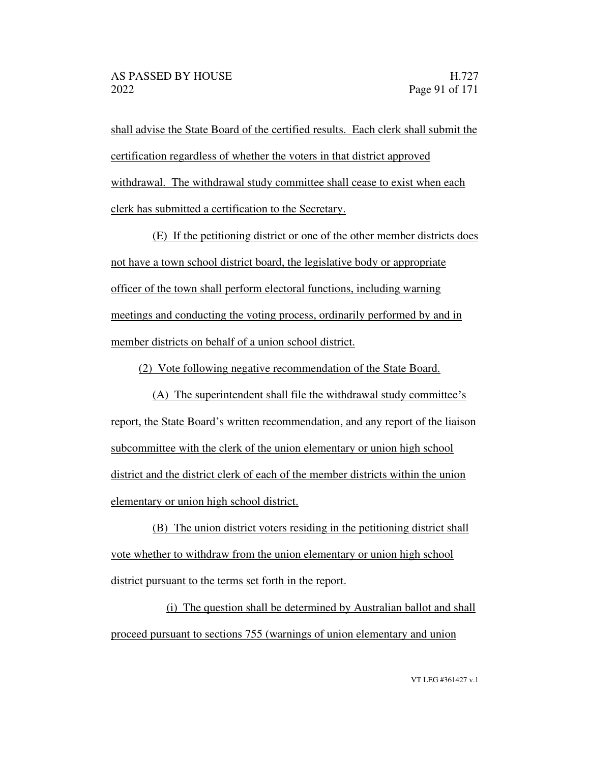shall advise the State Board of the certified results. Each clerk shall submit the certification regardless of whether the voters in that district approved withdrawal. The withdrawal study committee shall cease to exist when each clerk has submitted a certification to the Secretary.

(E) If the petitioning district or one of the other member districts does not have a town school district board, the legislative body or appropriate officer of the town shall perform electoral functions, including warning meetings and conducting the voting process, ordinarily performed by and in member districts on behalf of a union school district.

(2) Vote following negative recommendation of the State Board.

 $(A)$  The superintendent shall file the withdrawal study committee's report, the State Board's written recommendation, and any report of the liaison subcommittee with the clerk of the union elementary or union high school district and the district clerk of each of the member districts within the union elementary or union high school district.

(B) The union district voters residing in the petitioning district shall vote whether to withdraw from the union elementary or union high school district pursuant to the terms set forth in the report.

(i) The question shall be determined by Australian ballot and shall proceed pursuant to sections 755 (warnings of union elementary and union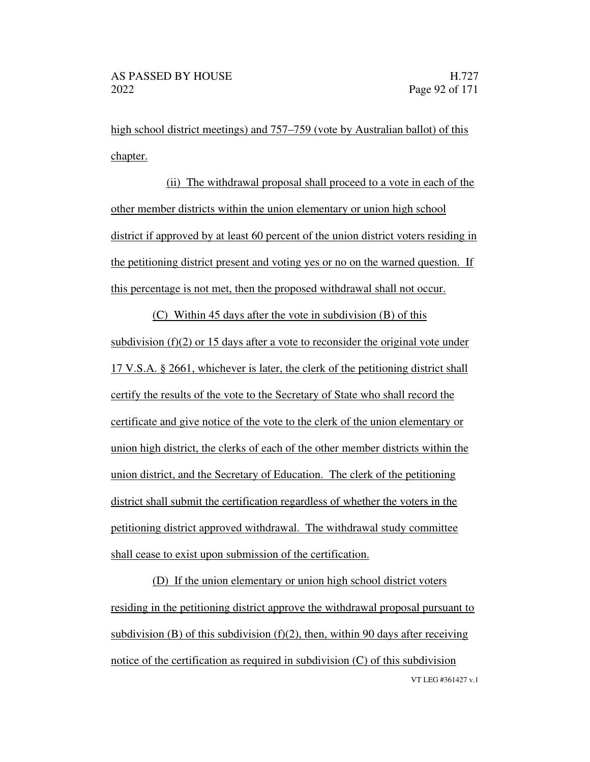high school district meetings) and 757–759 (vote by Australian ballot) of this chapter.

(ii) The withdrawal proposal shall proceed to a vote in each of the other member districts within the union elementary or union high school district if approved by at least 60 percent of the union district voters residing in the petitioning district present and voting yes or no on the warned question. If this percentage is not met, then the proposed withdrawal shall not occur.

(C) Within 45 days after the vote in subdivision (B) of this subdivision (f)(2) or 15 days after a vote to reconsider the original vote under 17 V.S.A. § 2661, whichever is later, the clerk of the petitioning district shall certify the results of the vote to the Secretary of State who shall record the certificate and give notice of the vote to the clerk of the union elementary or union high district, the clerks of each of the other member districts within the union district, and the Secretary of Education. The clerk of the petitioning district shall submit the certification regardless of whether the voters in the petitioning district approved withdrawal. The withdrawal study committee shall cease to exist upon submission of the certification.

VT LEG #361427 v.1 (D) If the union elementary or union high school district voters residing in the petitioning district approve the withdrawal proposal pursuant to subdivision (B) of this subdivision  $(f)(2)$ , then, within 90 days after receiving notice of the certification as required in subdivision (C) of this subdivision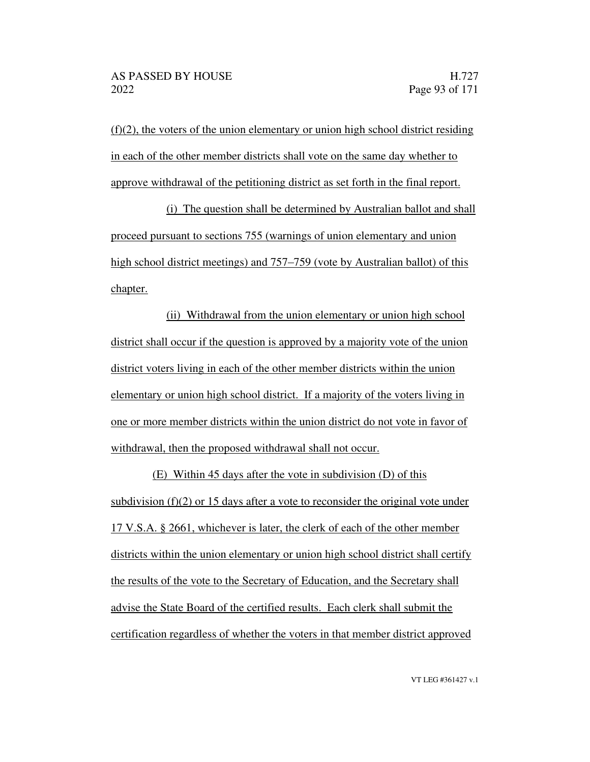$(f)(2)$ , the voters of the union elementary or union high school district residing in each of the other member districts shall vote on the same day whether to approve withdrawal of the petitioning district as set forth in the final report.

(i) The question shall be determined by Australian ballot and shall proceed pursuant to sections 755 (warnings of union elementary and union high school district meetings) and 757–759 (vote by Australian ballot) of this chapter.

(ii) Withdrawal from the union elementary or union high school district shall occur if the question is approved by a majority vote of the union district voters living in each of the other member districts within the union elementary or union high school district. If a majority of the voters living in one or more member districts within the union district do not vote in favor of withdrawal, then the proposed withdrawal shall not occur.

(E) Within 45 days after the vote in subdivision (D) of this subdivision (f)(2) or 15 days after a vote to reconsider the original vote under 17 V.S.A. § 2661, whichever is later, the clerk of each of the other member districts within the union elementary or union high school district shall certify the results of the vote to the Secretary of Education, and the Secretary shall advise the State Board of the certified results. Each clerk shall submit the certification regardless of whether the voters in that member district approved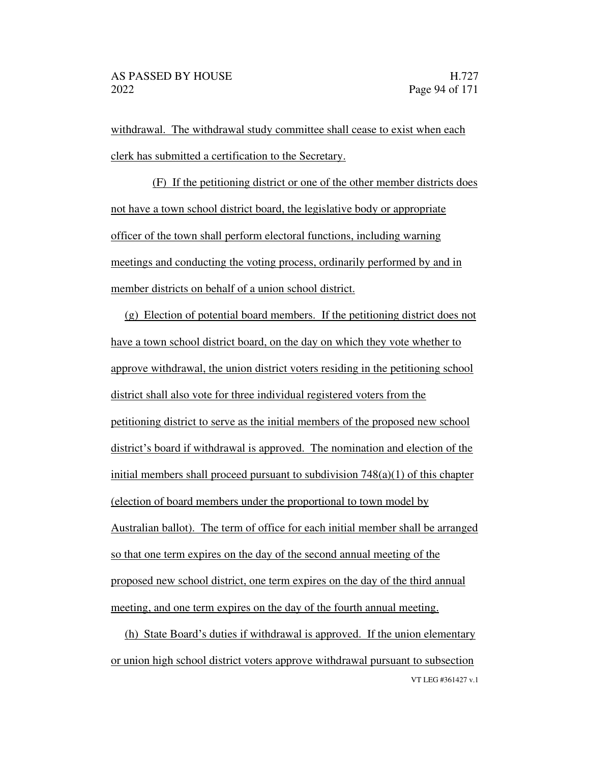withdrawal. The withdrawal study committee shall cease to exist when each clerk has submitted a certification to the Secretary.

(F) If the petitioning district or one of the other member districts does not have a town school district board, the legislative body or appropriate officer of the town shall perform electoral functions, including warning meetings and conducting the voting process, ordinarily performed by and in member districts on behalf of a union school district.

(g) Election of potential board members. If the petitioning district does not have a town school district board, on the day on which they vote whether to approve withdrawal, the union district voters residing in the petitioning school district shall also vote for three individual registered voters from the petitioning district to serve as the initial members of the proposed new school district's board if withdrawal is approved. The nomination and election of the initial members shall proceed pursuant to subdivision  $748(a)(1)$  of this chapter (election of board members under the proportional to town model by Australian ballot). The term of office for each initial member shall be arranged so that one term expires on the day of the second annual meeting of the proposed new school district, one term expires on the day of the third annual meeting, and one term expires on the day of the fourth annual meeting.

VT LEG #361427 v.1 (h) State Board's duties if withdrawal is approved. If the union elementary or union high school district voters approve withdrawal pursuant to subsection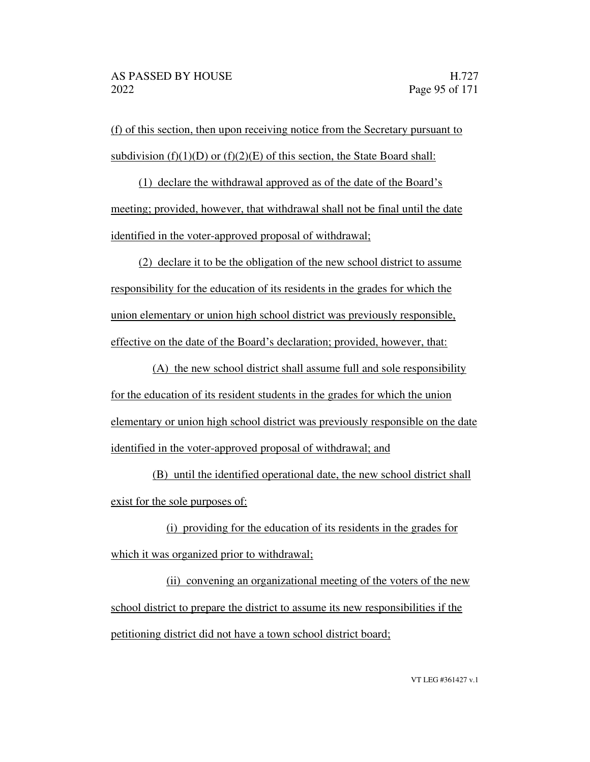(f) of this section, then upon receiving notice from the Secretary pursuant to subdivision (f)(1)(D) or (f)(2)(E) of this section, the State Board shall:

(1) declare the withdrawal approved as of the date of the Board's meeting; provided, however, that withdrawal shall not be final until the date identified in the voter-approved proposal of withdrawal;

(2) declare it to be the obligation of the new school district to assume responsibility for the education of its residents in the grades for which the union elementary or union high school district was previously responsible, effective on the date of the Board's declaration; provided, however, that:

(A) the new school district shall assume full and sole responsibility for the education of its resident students in the grades for which the union elementary or union high school district was previously responsible on the date identified in the voter-approved proposal of withdrawal; and

(B) until the identified operational date, the new school district shall exist for the sole purposes of:

(i) providing for the education of its residents in the grades for which it was organized prior to withdrawal;

(ii) convening an organizational meeting of the voters of the new school district to prepare the district to assume its new responsibilities if the petitioning district did not have a town school district board;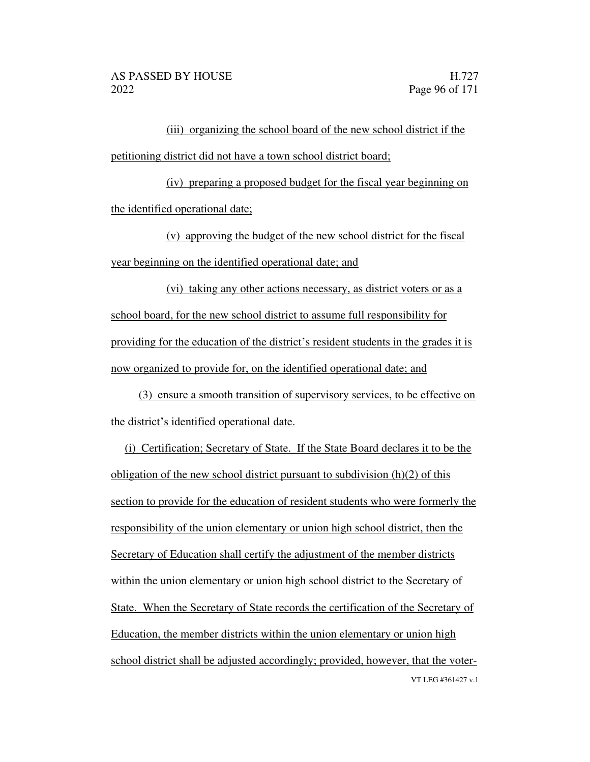(iii) organizing the school board of the new school district if the petitioning district did not have a town school district board;

(iv) preparing a proposed budget for the fiscal year beginning on the identified operational date;

(v) approving the budget of the new school district for the fiscal year beginning on the identified operational date; and

(vi) taking any other actions necessary, as district voters or as a school board, for the new school district to assume full responsibility for providing for the education of the district's resident students in the grades it is now organized to provide for, on the identified operational date; and

(3) ensure a smooth transition of supervisory services, to be effective on the district's identified operational date.

VT LEG #361427 v.1 (i) Certification; Secretary of State. If the State Board declares it to be the obligation of the new school district pursuant to subdivision (h)(2) of this section to provide for the education of resident students who were formerly the responsibility of the union elementary or union high school district, then the Secretary of Education shall certify the adjustment of the member districts within the union elementary or union high school district to the Secretary of State. When the Secretary of State records the certification of the Secretary of Education, the member districts within the union elementary or union high school district shall be adjusted accordingly; provided, however, that the voter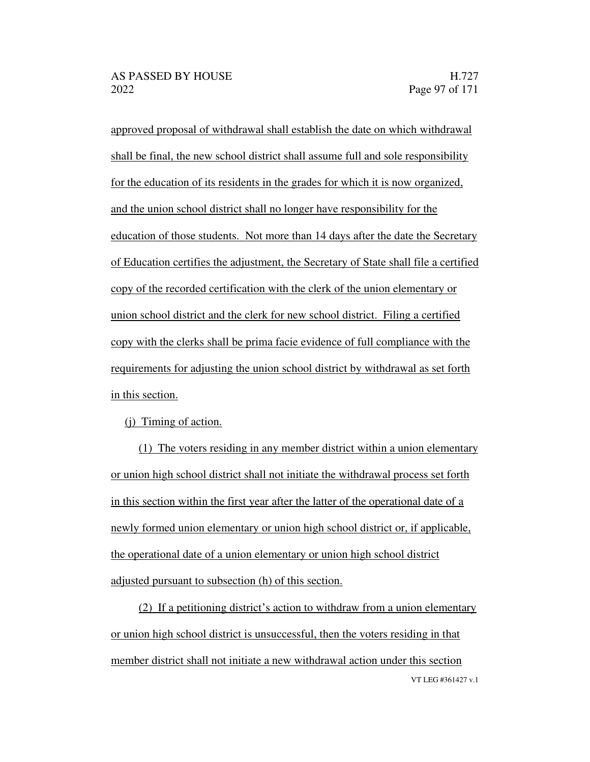approved proposal of withdrawal shall establish the date on which withdrawal shall be final, the new school district shall assume full and sole responsibility for the education of its residents in the grades for which it is now organized, and the union school district shall no longer have responsibility for the education of those students. Not more than 14 days after the date the Secretary of Education certifies the adjustment, the Secretary of State shall file a certified copy of the recorded certification with the clerk of the union elementary or union school district and the clerk for new school district. Filing a certified copy with the clerks shall be prima facie evidence of full compliance with the requirements for adjusting the union school district by withdrawal as set forth in this section.

(j) Timing of action.

(1) The voters residing in any member district within a union elementary or union high school district shall not initiate the withdrawal process set forth in this section within the first year after the latter of the operational date of a newly formed union elementary or union high school district or, if applicable, the operational date of a union elementary or union high school district adjusted pursuant to subsection (h) of this section.

VT LEG #361427 v.1  $(2)$  If a petitioning district's action to withdraw from a union elementary or union high school district is unsuccessful, then the voters residing in that member district shall not initiate a new withdrawal action under this section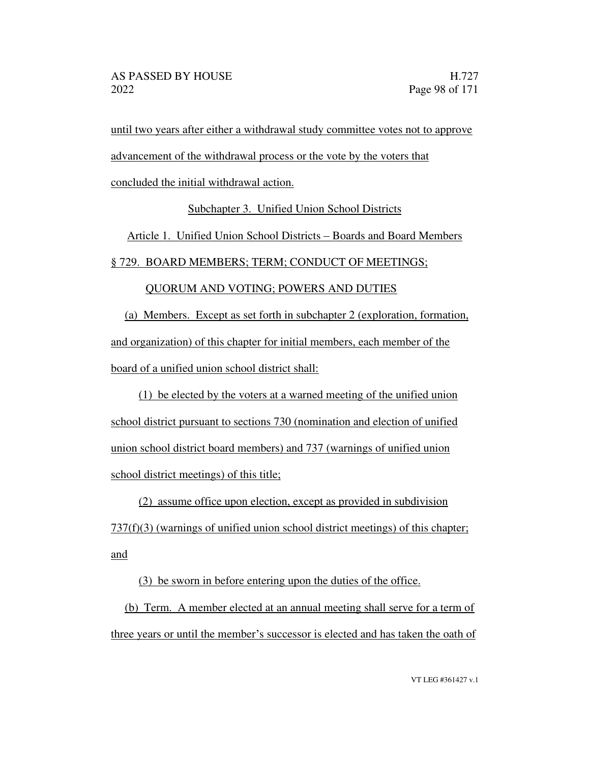until two years after either a withdrawal study committee votes not to approve

advancement of the withdrawal process or the vote by the voters that

concluded the initial withdrawal action.

Subchapter 3. Unified Union School Districts

Article 1. Unified Union School Districts – Boards and Board Members

§ 729. BOARD MEMBERS; TERM; CONDUCT OF MEETINGS;

# QUORUM AND VOTING; POWERS AND DUTIES

(a) Members. Except as set forth in subchapter 2 (exploration, formation, and organization) of this chapter for initial members, each member of the board of a unified union school district shall:

(1) be elected by the voters at a warned meeting of the unified union school district pursuant to sections 730 (nomination and election of unified union school district board members) and 737 (warnings of unified union school district meetings) of this title;

(2) assume office upon election, except as provided in subdivision

 $737(f)(3)$  (warnings of unified union school district meetings) of this chapter; and

(3) be sworn in before entering upon the duties of the office.

(b) Term. A member elected at an annual meeting shall serve for a term of three years or until the member's successor is elected and has taken the oath of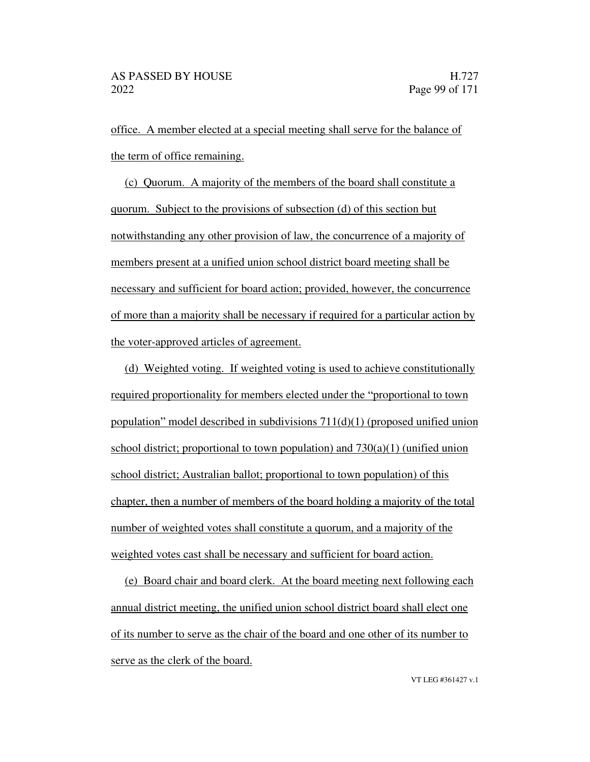office. A member elected at a special meeting shall serve for the balance of the term of office remaining.

(c) Quorum. A majority of the members of the board shall constitute a quorum. Subject to the provisions of subsection (d) of this section but notwithstanding any other provision of law, the concurrence of a majority of members present at a unified union school district board meeting shall be necessary and sufficient for board action; provided, however, the concurrence of more than a majority shall be necessary if required for a particular action by the voter-approved articles of agreement.

(d) Weighted voting. If weighted voting is used to achieve constitutionally required proportionality for members elected under the "proportional to town population" model described in subdivisions  $711(d)(1)$  (proposed unified union school district; proportional to town population) and  $730(a)(1)$  (unified union school district; Australian ballot; proportional to town population) of this chapter, then a number of members of the board holding a majority of the total number of weighted votes shall constitute a quorum, and a majority of the weighted votes cast shall be necessary and sufficient for board action.

(e) Board chair and board clerk. At the board meeting next following each annual district meeting, the unified union school district board shall elect one of its number to serve as the chair of the board and one other of its number to serve as the clerk of the board.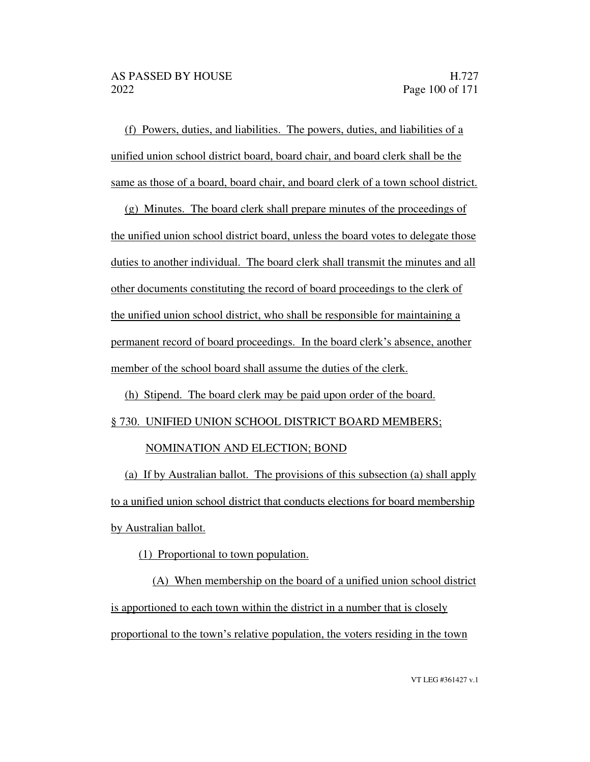(f) Powers, duties, and liabilities. The powers, duties, and liabilities of a unified union school district board, board chair, and board clerk shall be the same as those of a board, board chair, and board clerk of a town school district.

(g) Minutes. The board clerk shall prepare minutes of the proceedings of the unified union school district board, unless the board votes to delegate those duties to another individual. The board clerk shall transmit the minutes and all other documents constituting the record of board proceedings to the clerk of the unified union school district, who shall be responsible for maintaining a permanent record of board proceedings. In the board clerk's absence, another member of the school board shall assume the duties of the clerk.

(h) Stipend. The board clerk may be paid upon order of the board.

#### § 730. UNIFIED UNION SCHOOL DISTRICT BOARD MEMBERS;

#### NOMINATION AND ELECTION; BOND

(a) If by Australian ballot. The provisions of this subsection (a) shall apply to a unified union school district that conducts elections for board membership by Australian ballot.

(1) Proportional to town population.

(A) When membership on the board of a unified union school district is apportioned to each town within the district in a number that is closely proportional to the town's relative population, the voters residing in the town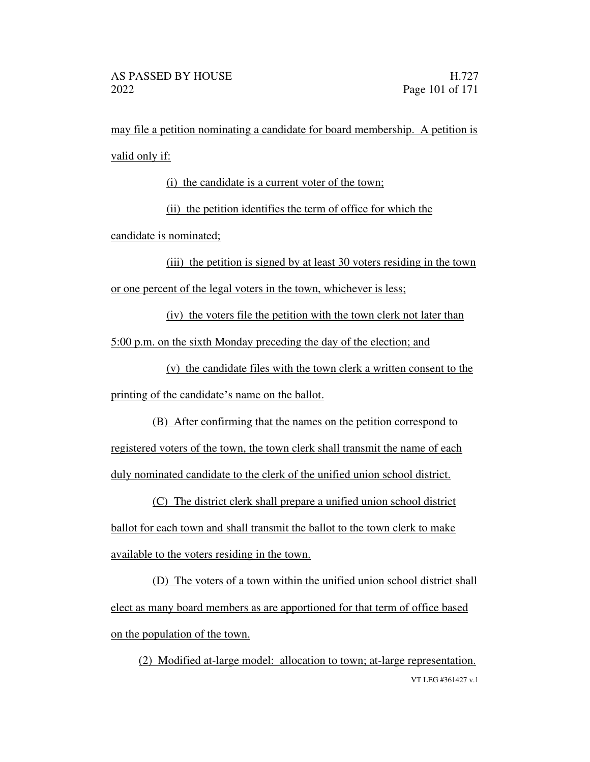may file a petition nominating a candidate for board membership. A petition is valid only if:

(i) the candidate is a current voter of the town;

(ii) the petition identifies the term of office for which the

candidate is nominated;

(iii) the petition is signed by at least 30 voters residing in the town or one percent of the legal voters in the town, whichever is less;

(iv) the voters file the petition with the town clerk not later than 5:00 p.m. on the sixth Monday preceding the day of the election; and

(v) the candidate files with the town clerk a written consent to the printing of the candidate's name on the ballot.

(B) After confirming that the names on the petition correspond to registered voters of the town, the town clerk shall transmit the name of each duly nominated candidate to the clerk of the unified union school district.

(C) The district clerk shall prepare a unified union school district ballot for each town and shall transmit the ballot to the town clerk to make available to the voters residing in the town.

(D) The voters of a town within the unified union school district shall elect as many board members as are apportioned for that term of office based on the population of the town.

VT LEG #361427 v.1 (2) Modified at-large model: allocation to town; at-large representation.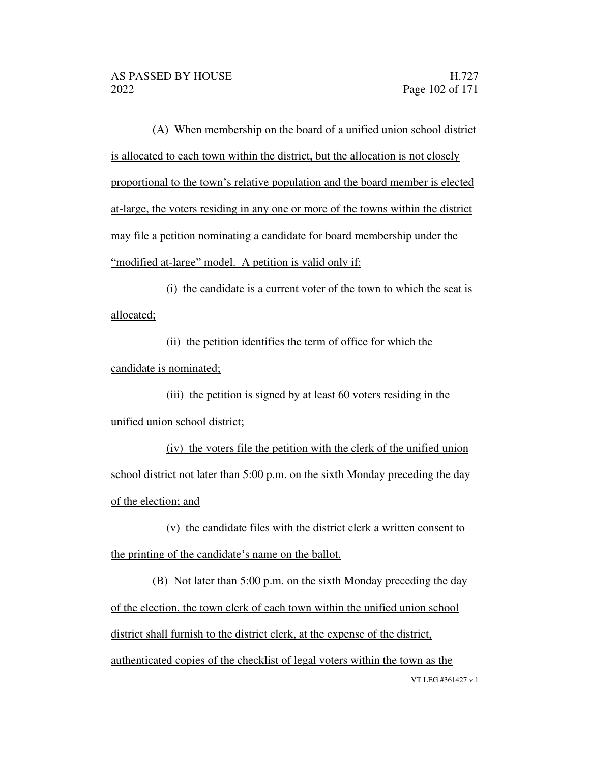(A) When membership on the board of a unified union school district is allocated to each town within the district, but the allocation is not closely proportional to the town's relative population and the board member is elected at-large, the voters residing in any one or more of the towns within the district may file a petition nominating a candidate for board membership under the "modified at-large" model. A petition is valid only if:

(i) the candidate is a current voter of the town to which the seat is allocated;

(ii) the petition identifies the term of office for which the candidate is nominated;

(iii) the petition is signed by at least 60 voters residing in the unified union school district;

(iv) the voters file the petition with the clerk of the unified union school district not later than 5:00 p.m. on the sixth Monday preceding the day of the election; and

(v) the candidate files with the district clerk a written consent to the printing of the candidate's name on the ballot.

VT LEG #361427 v.1 (B) Not later than 5:00 p.m. on the sixth Monday preceding the day of the election, the town clerk of each town within the unified union school district shall furnish to the district clerk, at the expense of the district, authenticated copies of the checklist of legal voters within the town as the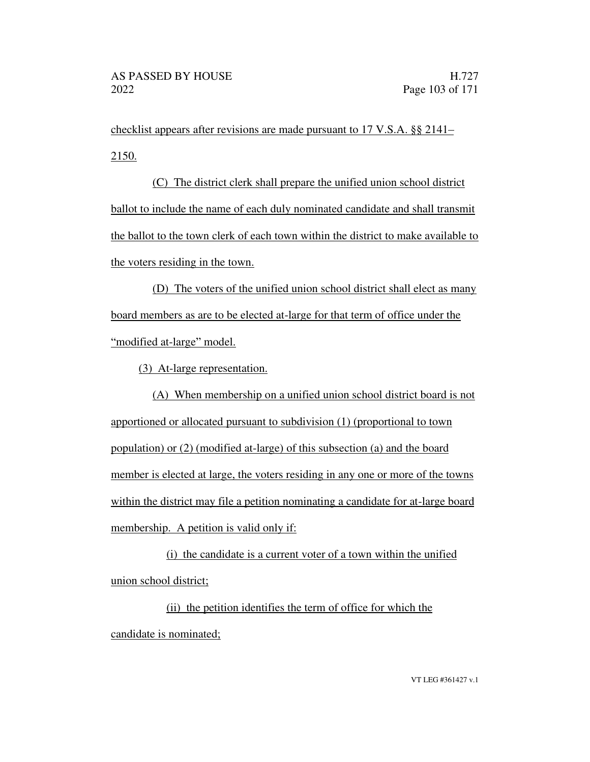checklist appears after revisions are made pursuant to 17 V.S.A. §§ 2141 2150.

(C) The district clerk shall prepare the unified union school district ballot to include the name of each duly nominated candidate and shall transmit the ballot to the town clerk of each town within the district to make available to the voters residing in the town.

(D) The voters of the unified union school district shall elect as many board members as are to be elected at-large for that term of office under the "modified at-large" model.

(3) At-large representation.

(A) When membership on a unified union school district board is not apportioned or allocated pursuant to subdivision (1) (proportional to town population) or (2) (modified at-large) of this subsection (a) and the board member is elected at large, the voters residing in any one or more of the towns within the district may file a petition nominating a candidate for at-large board membership. A petition is valid only if:

(i) the candidate is a current voter of a town within the unified union school district;

(ii) the petition identifies the term of office for which the candidate is nominated;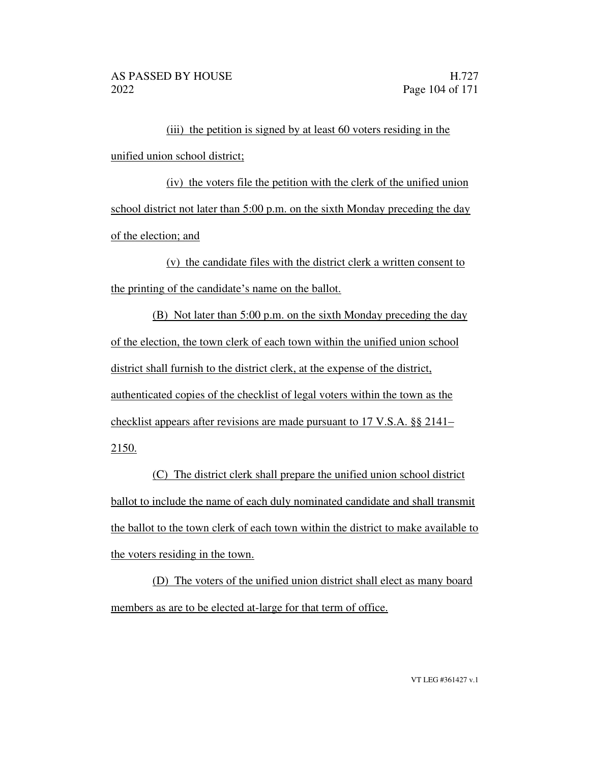(iii) the petition is signed by at least 60 voters residing in the unified union school district;

(iv) the voters file the petition with the clerk of the unified union school district not later than 5:00 p.m. on the sixth Monday preceding the day of the election; and

(v) the candidate files with the district clerk a written consent to the printing of the candidate's name on the ballot.

(B) Not later than 5:00 p.m. on the sixth Monday preceding the day of the election, the town clerk of each town within the unified union school district shall furnish to the district clerk, at the expense of the district, authenticated copies of the checklist of legal voters within the town as the checklist appears after revisions are made pursuant to 17 V.S.A. §§ 2141 2150.

(C) The district clerk shall prepare the unified union school district ballot to include the name of each duly nominated candidate and shall transmit the ballot to the town clerk of each town within the district to make available to the voters residing in the town.

(D) The voters of the unified union district shall elect as many board members as are to be elected at-large for that term of office.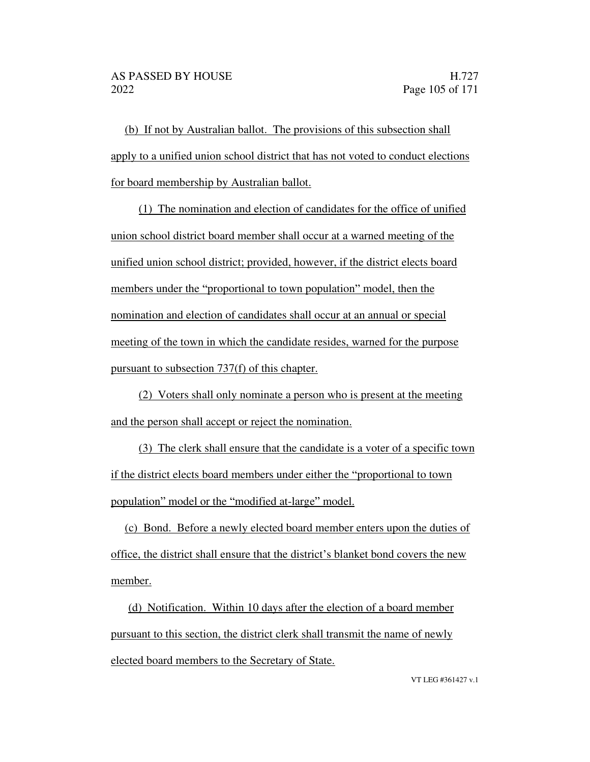(b) If not by Australian ballot. The provisions of this subsection shall apply to a unified union school district that has not voted to conduct elections for board membership by Australian ballot.

(1) The nomination and election of candidates for the office of unified union school district board member shall occur at a warned meeting of the unified union school district; provided, however, if the district elects board members under the "proportional to town population" model, then the nomination and election of candidates shall occur at an annual or special meeting of the town in which the candidate resides, warned for the purpose pursuant to subsection 737(f) of this chapter.

(2) Voters shall only nominate a person who is present at the meeting and the person shall accept or reject the nomination.

(3) The clerk shall ensure that the candidate is a voter of a specific town if the district elects board members under either the "proportional to town" population" model or the "modified at-large" model.

(c) Bond. Before a newly elected board member enters upon the duties of office, the district shall ensure that the district's blanket bond covers the new member.

(d) Notification. Within 10 days after the election of a board member pursuant to this section, the district clerk shall transmit the name of newly elected board members to the Secretary of State.

VT LEG #361427 v.1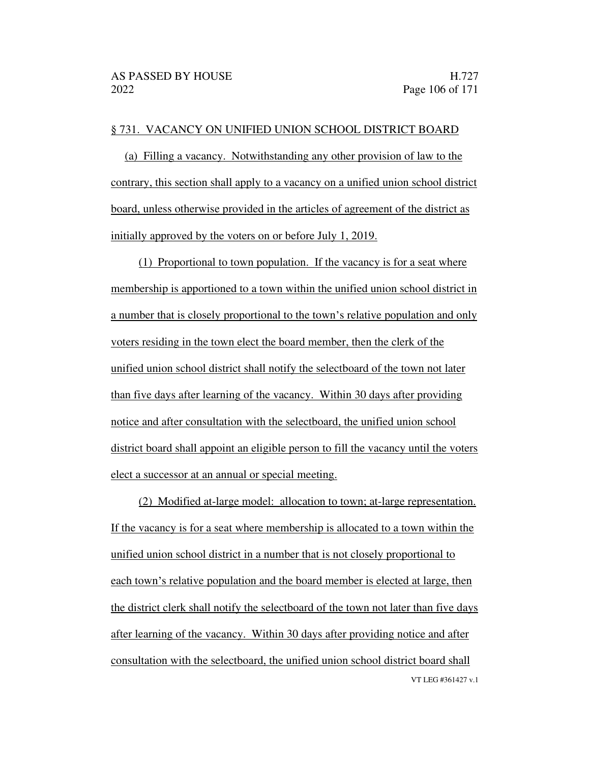#### § 731. VACANCY ON UNIFIED UNION SCHOOL DISTRICT BOARD

(a) Filling a vacancy. Notwithstanding any other provision of law to the contrary, this section shall apply to a vacancy on a unified union school district board, unless otherwise provided in the articles of agreement of the district as initially approved by the voters on or before July 1, 2019.

(1) Proportional to town population. If the vacancy is for a seat where membership is apportioned to a town within the unified union school district in a number that is closely proportional to the town's relative population and only voters residing in the town elect the board member, then the clerk of the unified union school district shall notify the selectboard of the town not later than five days after learning of the vacancy. Within 30 days after providing notice and after consultation with the selectboard, the unified union school district board shall appoint an eligible person to fill the vacancy until the voters elect a successor at an annual or special meeting.

VT LEG #361427 v.1 (2) Modified at-large model: allocation to town; at-large representation. If the vacancy is for a seat where membership is allocated to a town within the unified union school district in a number that is not closely proportional to each town's relative population and the board member is elected at large, then the district clerk shall notify the selectboard of the town not later than five days after learning of the vacancy. Within 30 days after providing notice and after consultation with the selectboard, the unified union school district board shall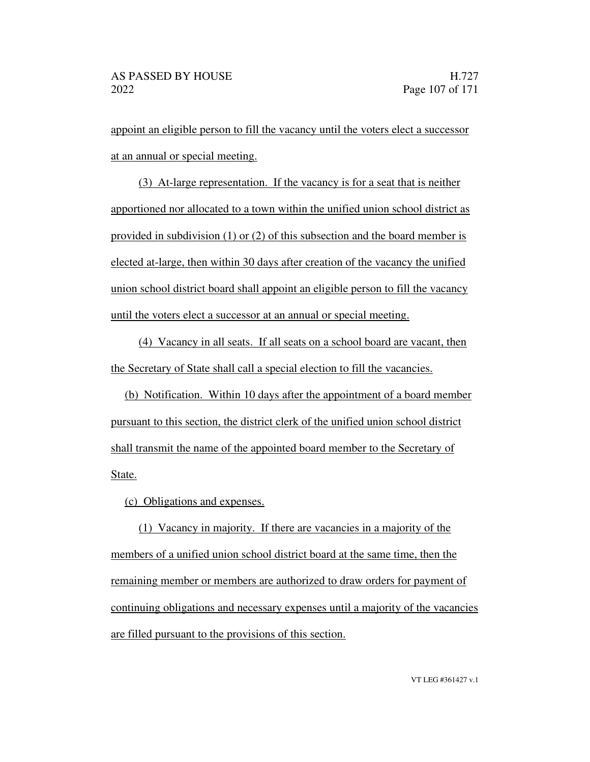appoint an eligible person to fill the vacancy until the voters elect a successor at an annual or special meeting.

(3) At-large representation. If the vacancy is for a seat that is neither apportioned nor allocated to a town within the unified union school district as provided in subdivision (1) or (2) of this subsection and the board member is elected at-large, then within 30 days after creation of the vacancy the unified union school district board shall appoint an eligible person to fill the vacancy until the voters elect a successor at an annual or special meeting.

(4) Vacancy in all seats. If all seats on a school board are vacant, then the Secretary of State shall call a special election to fill the vacancies.

(b) Notification. Within 10 days after the appointment of a board member pursuant to this section, the district clerk of the unified union school district shall transmit the name of the appointed board member to the Secretary of State.

(c) Obligations and expenses.

(1) Vacancy in majority. If there are vacancies in a majority of the members of a unified union school district board at the same time, then the remaining member or members are authorized to draw orders for payment of continuing obligations and necessary expenses until a majority of the vacancies are filled pursuant to the provisions of this section.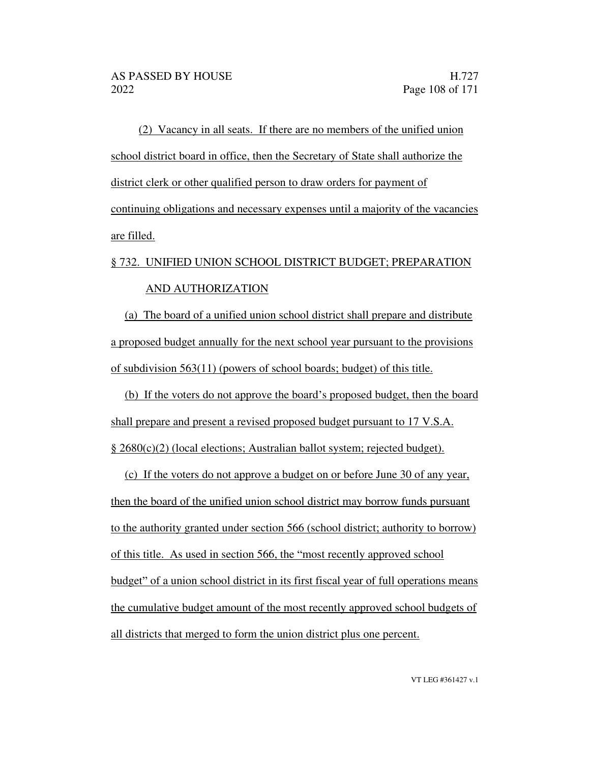(2) Vacancy in all seats. If there are no members of the unified union school district board in office, then the Secretary of State shall authorize the district clerk or other qualified person to draw orders for payment of continuing obligations and necessary expenses until a majority of the vacancies are filled.

# § 732. UNIFIED UNION SCHOOL DISTRICT BUDGET; PREPARATION AND AUTHORIZATION

(a) The board of a unified union school district shall prepare and distribute a proposed budget annually for the next school year pursuant to the provisions of subdivision 563(11) (powers of school boards; budget) of this title.

(b) If the voters do not approve the board's proposed budget, then the board shall prepare and present a revised proposed budget pursuant to 17 V.S.A. § 2680(c)(2) (local elections; Australian ballot system; rejected budget).

(c) If the voters do not approve a budget on or before June 30 of any year, then the board of the unified union school district may borrow funds pursuant to the authority granted under section 566 (school district; authority to borrow) of this title. As used in section 566, the "most recently approved school" budget" of a union school district in its first fiscal year of full operations means the cumulative budget amount of the most recently approved school budgets of all districts that merged to form the union district plus one percent.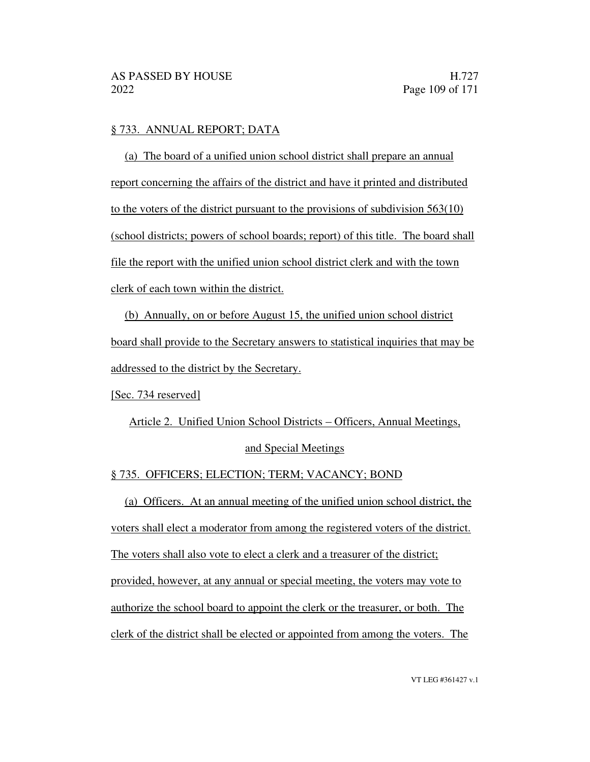### § 733. ANNUAL REPORT; DATA

(a) The board of a unified union school district shall prepare an annual report concerning the affairs of the district and have it printed and distributed to the voters of the district pursuant to the provisions of subdivision 563(10) (school districts; powers of school boards; report) of this title. The board shall file the report with the unified union school district clerk and with the town clerk of each town within the district.

(b) Annually, on or before August 15, the unified union school district board shall provide to the Secretary answers to statistical inquiries that may be addressed to the district by the Secretary.

[Sec. 734 reserved]

Article 2. Unified Union School Districts – Officers, Annual Meetings,

### and Special Meetings

### § 735. OFFICERS; ELECTION; TERM; VACANCY; BOND

(a) Officers. At an annual meeting of the unified union school district, the voters shall elect a moderator from among the registered voters of the district. The voters shall also vote to elect a clerk and a treasurer of the district; provided, however, at any annual or special meeting, the voters may vote to authorize the school board to appoint the clerk or the treasurer, or both. The clerk of the district shall be elected or appointed from among the voters. The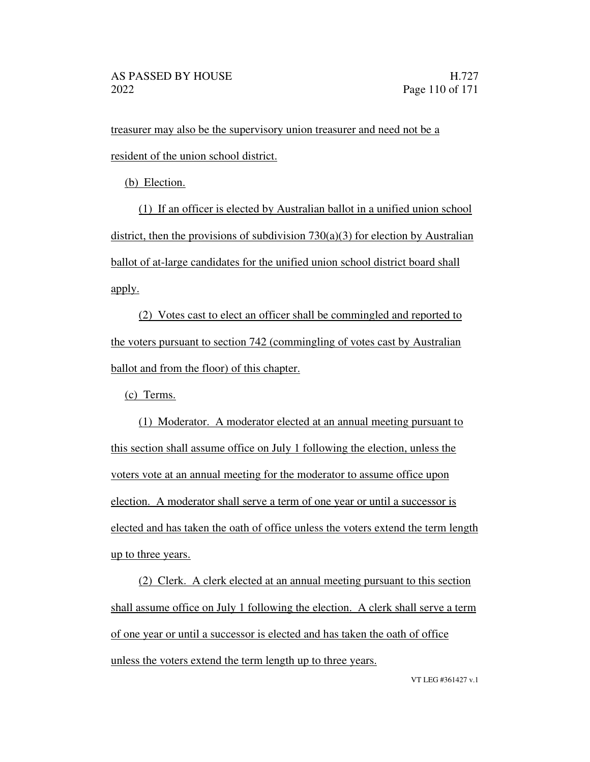treasurer may also be the supervisory union treasurer and need not be a resident of the union school district.

(b) Election.

(1) If an officer is elected by Australian ballot in a unified union school district, then the provisions of subdivision  $730(a)(3)$  for election by Australian ballot of at-large candidates for the unified union school district board shall apply.

(2) Votes cast to elect an officer shall be commingled and reported to the voters pursuant to section 742 (commingling of votes cast by Australian ballot and from the floor) of this chapter.

(c) Terms.

(1) Moderator. A moderator elected at an annual meeting pursuant to this section shall assume office on July 1 following the election, unless the voters vote at an annual meeting for the moderator to assume office upon election. A moderator shall serve a term of one year or until a successor is elected and has taken the oath of office unless the voters extend the term length up to three years.

(2) Clerk. A clerk elected at an annual meeting pursuant to this section shall assume office on July 1 following the election. A clerk shall serve a term of one year or until a successor is elected and has taken the oath of office unless the voters extend the term length up to three years.

VT LEG #361427 v.1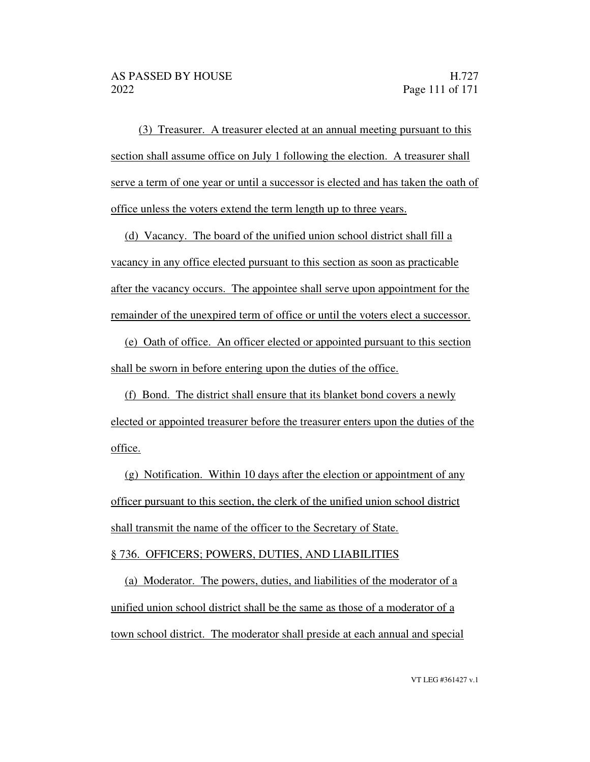(3) Treasurer. A treasurer elected at an annual meeting pursuant to this section shall assume office on July 1 following the election. A treasurer shall serve a term of one year or until a successor is elected and has taken the oath of office unless the voters extend the term length up to three years.

(d) Vacancy. The board of the unified union school district shall fill a vacancy in any office elected pursuant to this section as soon as practicable after the vacancy occurs. The appointee shall serve upon appointment for the remainder of the unexpired term of office or until the voters elect a successor.

(e) Oath of office. An officer elected or appointed pursuant to this section shall be sworn in before entering upon the duties of the office.

(f) Bond. The district shall ensure that its blanket bond covers a newly elected or appointed treasurer before the treasurer enters upon the duties of the office.

(g) Notification. Within 10 days after the election or appointment of any officer pursuant to this section, the clerk of the unified union school district shall transmit the name of the officer to the Secretary of State.

### § 736. OFFICERS; POWERS, DUTIES, AND LIABILITIES

(a) Moderator. The powers, duties, and liabilities of the moderator of a unified union school district shall be the same as those of a moderator of a town school district. The moderator shall preside at each annual and special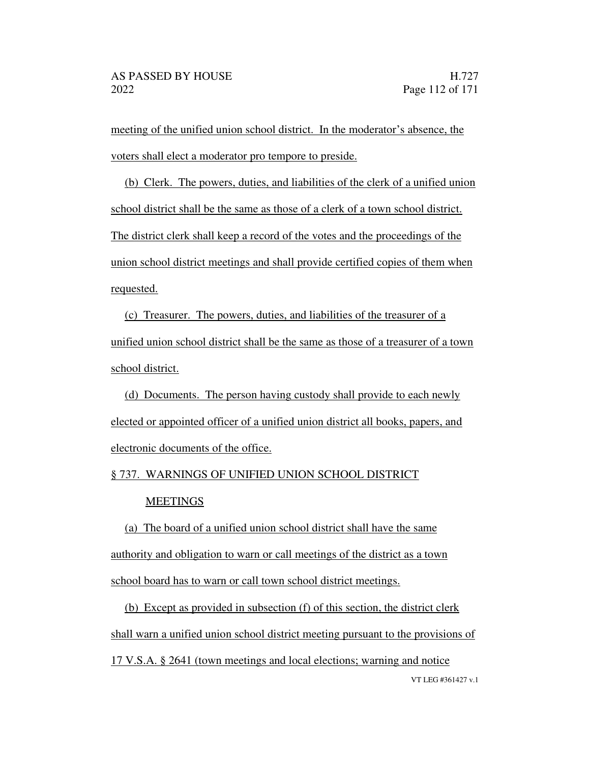meeting of the unified union school district. In the moderator's absence, the voters shall elect a moderator pro tempore to preside.

(b) Clerk. The powers, duties, and liabilities of the clerk of a unified union school district shall be the same as those of a clerk of a town school district. The district clerk shall keep a record of the votes and the proceedings of the union school district meetings and shall provide certified copies of them when requested.

(c) Treasurer. The powers, duties, and liabilities of the treasurer of a unified union school district shall be the same as those of a treasurer of a town school district.

(d) Documents. The person having custody shall provide to each newly elected or appointed officer of a unified union district all books, papers, and electronic documents of the office.

# § 737. WARNINGS OF UNIFIED UNION SCHOOL DISTRICT

### **MEETINGS**

(a) The board of a unified union school district shall have the same authority and obligation to warn or call meetings of the district as a town school board has to warn or call town school district meetings.

VT LEG #361427 v.1 (b) Except as provided in subsection (f) of this section, the district clerk shall warn a unified union school district meeting pursuant to the provisions of 17 V.S.A. § 2641 (town meetings and local elections; warning and notice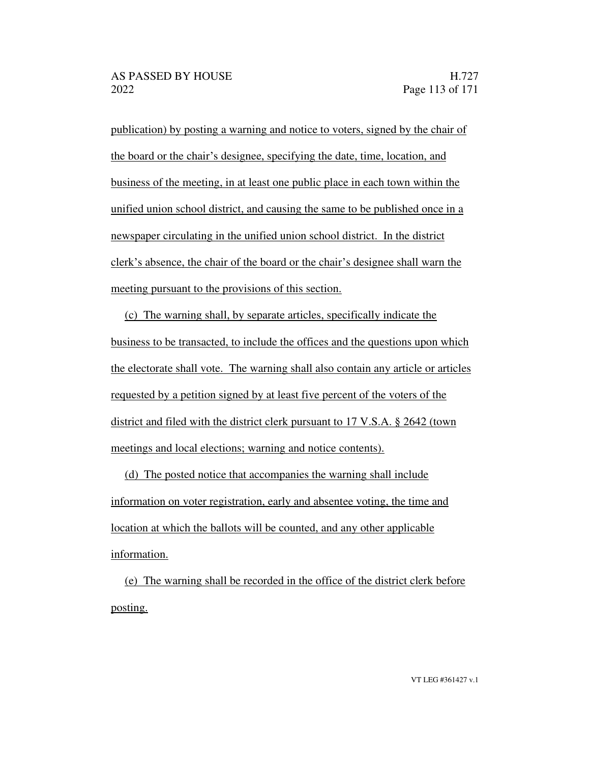publication) by posting a warning and notice to voters, signed by the chair of the board or the chair's designee, specifying the date, time, location, and business of the meeting, in at least one public place in each town within the unified union school district, and causing the same to be published once in a newspaper circulating in the unified union school district. In the district clerk's absence, the chair of the board or the chair's designee shall warn the meeting pursuant to the provisions of this section.

(c) The warning shall, by separate articles, specifically indicate the business to be transacted, to include the offices and the questions upon which the electorate shall vote. The warning shall also contain any article or articles requested by a petition signed by at least five percent of the voters of the district and filed with the district clerk pursuant to 17 V.S.A. § 2642 (town meetings and local elections; warning and notice contents).

(d) The posted notice that accompanies the warning shall include information on voter registration, early and absentee voting, the time and location at which the ballots will be counted, and any other applicable information.

(e) The warning shall be recorded in the office of the district clerk before posting.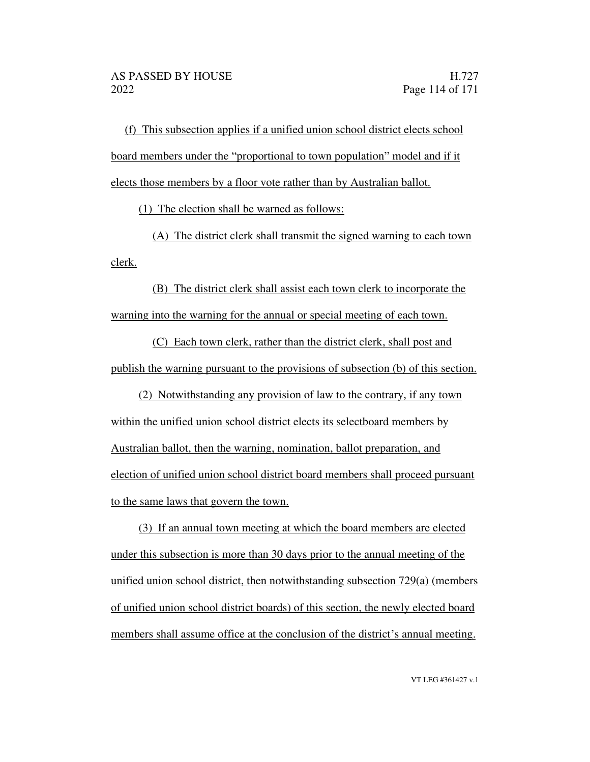(f) This subsection applies if a unified union school district elects school board members under the "proportional to town population" model and if it elects those members by a floor vote rather than by Australian ballot.

(1) The election shall be warned as follows:

(A) The district clerk shall transmit the signed warning to each town clerk.

(B) The district clerk shall assist each town clerk to incorporate the warning into the warning for the annual or special meeting of each town.

(C) Each town clerk, rather than the district clerk, shall post and publish the warning pursuant to the provisions of subsection (b) of this section.

(2) Notwithstanding any provision of law to the contrary, if any town within the unified union school district elects its selectboard members by Australian ballot, then the warning, nomination, ballot preparation, and election of unified union school district board members shall proceed pursuant to the same laws that govern the town.

(3) If an annual town meeting at which the board members are elected under this subsection is more than 30 days prior to the annual meeting of the unified union school district, then notwithstanding subsection 729(a) (members of unified union school district boards) of this section, the newly elected board members shall assume office at the conclusion of the district's annual meeting.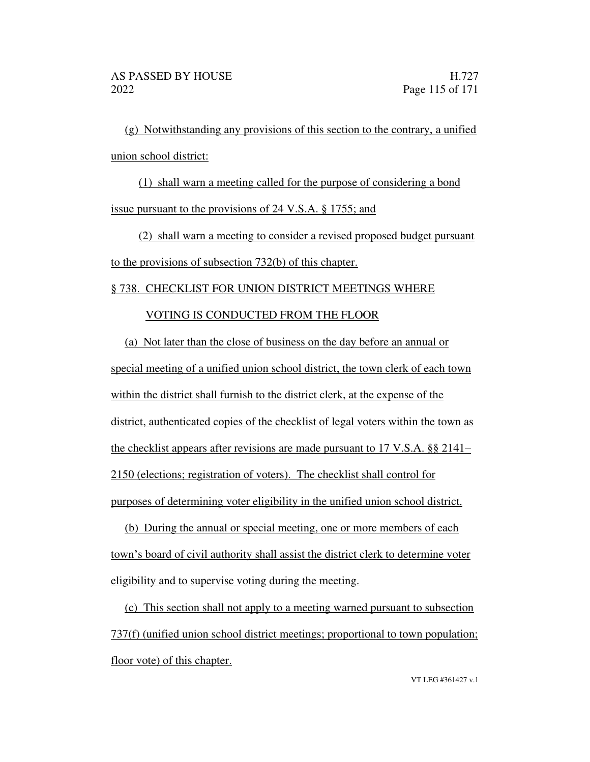(g) Notwithstanding any provisions of this section to the contrary, a unified union school district:

(1) shall warn a meeting called for the purpose of considering a bond issue pursuant to the provisions of 24 V.S.A. § 1755; and

(2) shall warn a meeting to consider a revised proposed budget pursuant to the provisions of subsection 732(b) of this chapter.

### § 738. CHECKLIST FOR UNION DISTRICT MEETINGS WHERE

### VOTING IS CONDUCTED FROM THE FLOOR

(a) Not later than the close of business on the day before an annual or special meeting of a unified union school district, the town clerk of each town within the district shall furnish to the district clerk, at the expense of the district, authenticated copies of the checklist of legal voters within the town as the checklist appears after revisions are made pursuant to 17 V.S.A. §§ 2141 2150 (elections; registration of voters). The checklist shall control for purposes of determining voter eligibility in the unified union school district.

(b) During the annual or special meeting, one or more members of each town's board of civil authority shall assist the district clerk to determine voter eligibility and to supervise voting during the meeting.

(c) This section shall not apply to a meeting warned pursuant to subsection 737(f) (unified union school district meetings; proportional to town population; floor vote) of this chapter.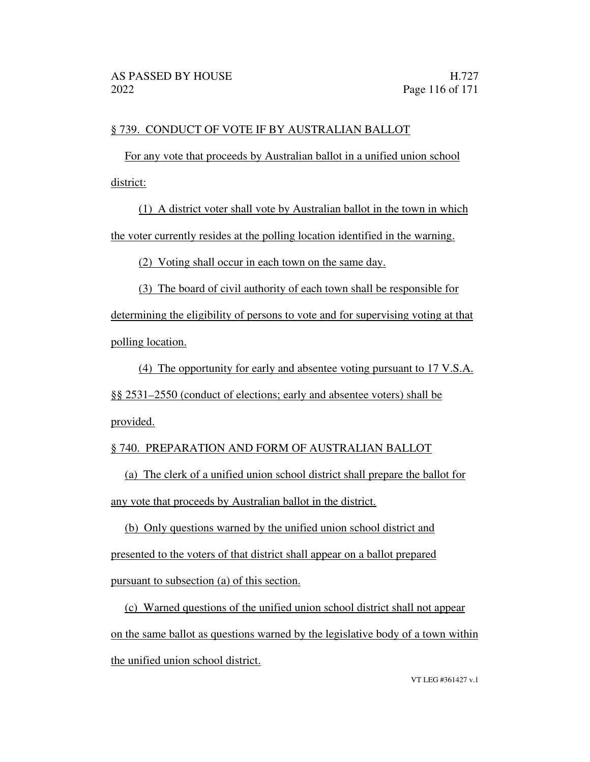## § 739. CONDUCT OF VOTE IF BY AUSTRALIAN BALLOT

For any vote that proceeds by Australian ballot in a unified union school district:

(1) A district voter shall vote by Australian ballot in the town in which the voter currently resides at the polling location identified in the warning.

(2) Voting shall occur in each town on the same day.

(3) The board of civil authority of each town shall be responsible for determining the eligibility of persons to vote and for supervising voting at that polling location.

(4) The opportunity for early and absentee voting pursuant to 17 V.S.A. §§ 2531 2550 (conduct of elections; early and absentee voters) shall be provided.

# § 740. PREPARATION AND FORM OF AUSTRALIAN BALLOT

(a) The clerk of a unified union school district shall prepare the ballot for any vote that proceeds by Australian ballot in the district.

(b) Only questions warned by the unified union school district and presented to the voters of that district shall appear on a ballot prepared pursuant to subsection (a) of this section.

(c) Warned questions of the unified union school district shall not appear on the same ballot as questions warned by the legislative body of a town within the unified union school district.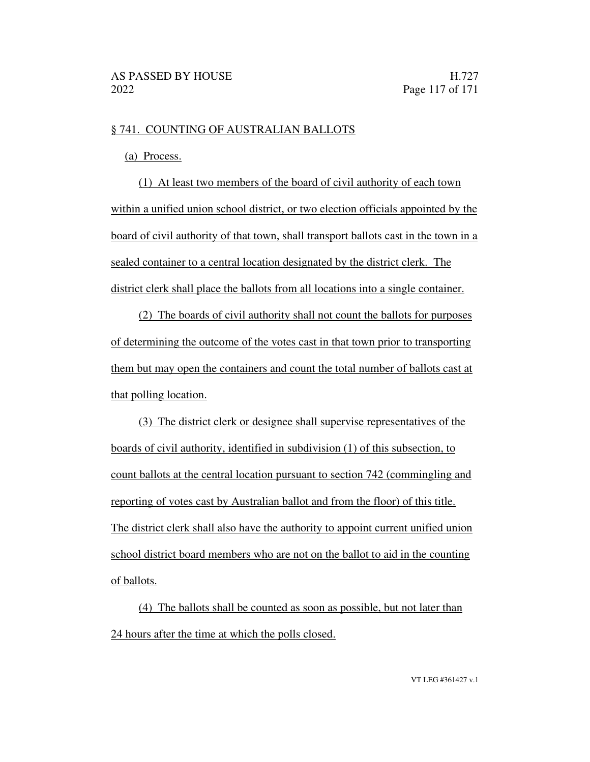### § 741. COUNTING OF AUSTRALIAN BALLOTS

(a) Process.

(1) At least two members of the board of civil authority of each town within a unified union school district, or two election officials appointed by the board of civil authority of that town, shall transport ballots cast in the town in a sealed container to a central location designated by the district clerk. The district clerk shall place the ballots from all locations into a single container.

(2) The boards of civil authority shall not count the ballots for purposes of determining the outcome of the votes cast in that town prior to transporting them but may open the containers and count the total number of ballots cast at that polling location.

(3) The district clerk or designee shall supervise representatives of the boards of civil authority, identified in subdivision (1) of this subsection, to count ballots at the central location pursuant to section 742 (commingling and reporting of votes cast by Australian ballot and from the floor) of this title. The district clerk shall also have the authority to appoint current unified union school district board members who are not on the ballot to aid in the counting of ballots.

(4) The ballots shall be counted as soon as possible, but not later than 24 hours after the time at which the polls closed.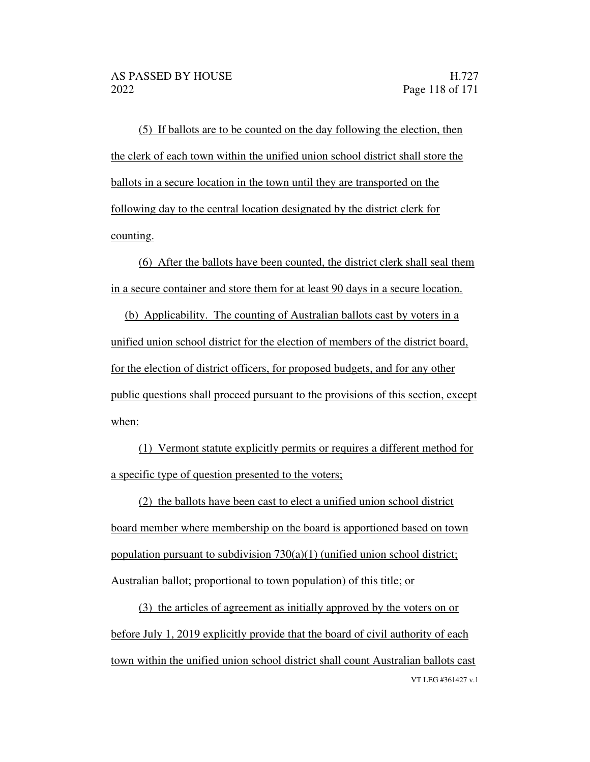(5) If ballots are to be counted on the day following the election, then the clerk of each town within the unified union school district shall store the ballots in a secure location in the town until they are transported on the following day to the central location designated by the district clerk for counting.

(6) After the ballots have been counted, the district clerk shall seal them in a secure container and store them for at least 90 days in a secure location.

(b) Applicability. The counting of Australian ballots cast by voters in a unified union school district for the election of members of the district board, for the election of district officers, for proposed budgets, and for any other public questions shall proceed pursuant to the provisions of this section, except when:

(1) Vermont statute explicitly permits or requires a different method for a specific type of question presented to the voters;

(2) the ballots have been cast to elect a unified union school district board member where membership on the board is apportioned based on town population pursuant to subdivision  $730(a)(1)$  (unified union school district; Australian ballot; proportional to town population) of this title; or

VT LEG #361427 v.1 (3) the articles of agreement as initially approved by the voters on or before July 1, 2019 explicitly provide that the board of civil authority of each town within the unified union school district shall count Australian ballots cast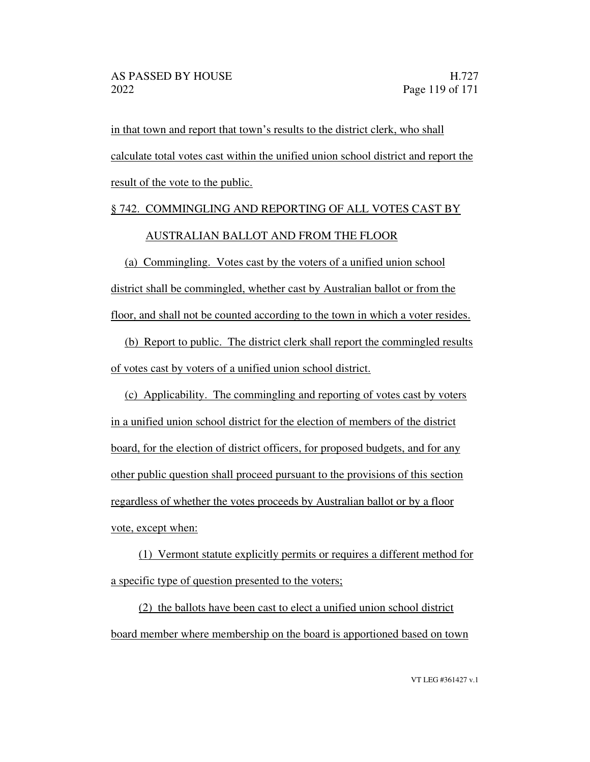in that town and report that town's results to the district clerk, who shall calculate total votes cast within the unified union school district and report the result of the vote to the public.

# § 742. COMMINGLING AND REPORTING OF ALL VOTES CAST BY AUSTRALIAN BALLOT AND FROM THE FLOOR

(a) Commingling. Votes cast by the voters of a unified union school district shall be commingled, whether cast by Australian ballot or from the floor, and shall not be counted according to the town in which a voter resides.

(b) Report to public. The district clerk shall report the commingled results of votes cast by voters of a unified union school district.

(c) Applicability. The commingling and reporting of votes cast by voters in a unified union school district for the election of members of the district board, for the election of district officers, for proposed budgets, and for any other public question shall proceed pursuant to the provisions of this section regardless of whether the votes proceeds by Australian ballot or by a floor vote, except when:

(1) Vermont statute explicitly permits or requires a different method for a specific type of question presented to the voters;

(2) the ballots have been cast to elect a unified union school district board member where membership on the board is apportioned based on town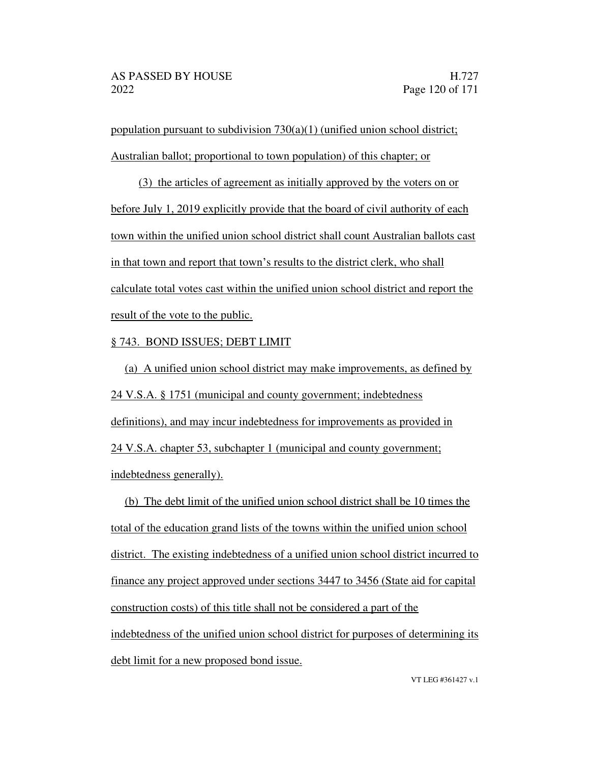population pursuant to subdivision  $730(a)(1)$  (unified union school district; Australian ballot; proportional to town population) of this chapter; or

(3) the articles of agreement as initially approved by the voters on or before July 1, 2019 explicitly provide that the board of civil authority of each town within the unified union school district shall count Australian ballots cast in that town and report that town's results to the district clerk, who shall calculate total votes cast within the unified union school district and report the result of the vote to the public.

### § 743. BOND ISSUES; DEBT LIMIT

(a) A unified union school district may make improvements, as defined by 24 V.S.A. § 1751 (municipal and county government; indebtedness definitions), and may incur indebtedness for improvements as provided in 24 V.S.A. chapter 53, subchapter 1 (municipal and county government; indebtedness generally).

(b) The debt limit of the unified union school district shall be 10 times the total of the education grand lists of the towns within the unified union school district. The existing indebtedness of a unified union school district incurred to finance any project approved under sections 3447 to 3456 (State aid for capital construction costs) of this title shall not be considered a part of the indebtedness of the unified union school district for purposes of determining its debt limit for a new proposed bond issue.

VT LEG #361427 v.1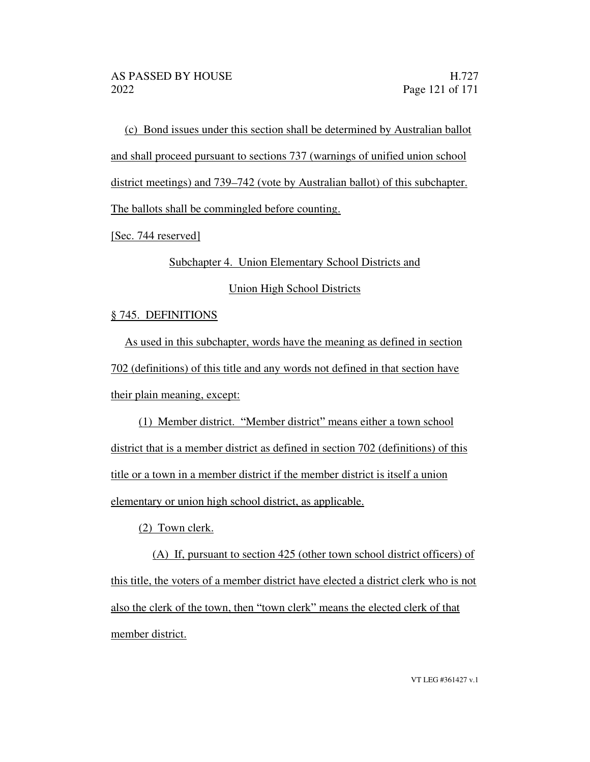(c) Bond issues under this section shall be determined by Australian ballot and shall proceed pursuant to sections 737 (warnings of unified union school district meetings) and 739–742 (vote by Australian ballot) of this subchapter. The ballots shall be commingled before counting.

[Sec. 744 reserved]

Subchapter 4. Union Elementary School Districts and

Union High School Districts

# § 745. DEFINITIONS

As used in this subchapter, words have the meaning as defined in section 702 (definitions) of this title and any words not defined in that section have their plain meaning, except:

(1) Member district. "Member district" means either a town school district that is a member district as defined in section 702 (definitions) of this title or a town in a member district if the member district is itself a union elementary or union high school district, as applicable.

(2) Town clerk.

(A) If, pursuant to section 425 (other town school district officers) of this title, the voters of a member district have elected a district clerk who is not also the clerk of the town, then "town clerk" means the elected clerk of that member district.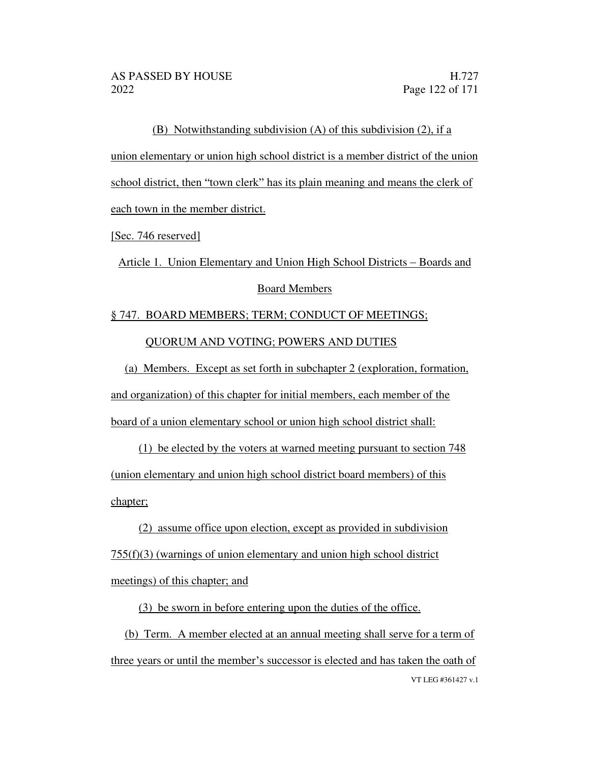(B) Notwithstanding subdivision (A) of this subdivision (2), if a union elementary or union high school district is a member district of the union school district, then "town clerk" has its plain meaning and means the clerk of each town in the member district.

[Sec. 746 reserved]

Article 1. Union Elementary and Union High School Districts – Boards and Board Members

§ 747. BOARD MEMBERS; TERM; CONDUCT OF MEETINGS; QUORUM AND VOTING; POWERS AND DUTIES

(a) Members. Except as set forth in subchapter 2 (exploration, formation, and organization) of this chapter for initial members, each member of the board of a union elementary school or union high school district shall:

(1) be elected by the voters at warned meeting pursuant to section 748 (union elementary and union high school district board members) of this chapter;

(2) assume office upon election, except as provided in subdivision 755(f)(3) (warnings of union elementary and union high school district meetings) of this chapter; and

(3) be sworn in before entering upon the duties of the office.

VT LEG #361427 v.1 (b) Term. A member elected at an annual meeting shall serve for a term of three years or until the member's successor is elected and has taken the oath of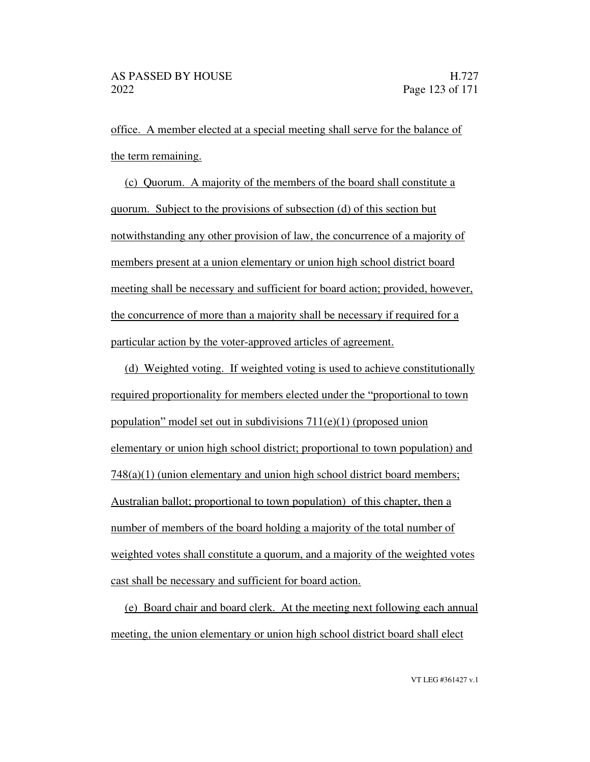office. A member elected at a special meeting shall serve for the balance of the term remaining.

(c) Quorum. A majority of the members of the board shall constitute a quorum. Subject to the provisions of subsection (d) of this section but notwithstanding any other provision of law, the concurrence of a majority of members present at a union elementary or union high school district board meeting shall be necessary and sufficient for board action; provided, however, the concurrence of more than a majority shall be necessary if required for a particular action by the voter-approved articles of agreement.

(d) Weighted voting. If weighted voting is used to achieve constitutionally required proportionality for members elected under the "proportional to town population" model set out in subdivisions  $711(e)(1)$  (proposed union elementary or union high school district; proportional to town population) and 748(a)(1) (union elementary and union high school district board members; Australian ballot; proportional to town population) of this chapter, then a number of members of the board holding a majority of the total number of weighted votes shall constitute a quorum, and a majority of the weighted votes cast shall be necessary and sufficient for board action.

(e) Board chair and board clerk. At the meeting next following each annual meeting, the union elementary or union high school district board shall elect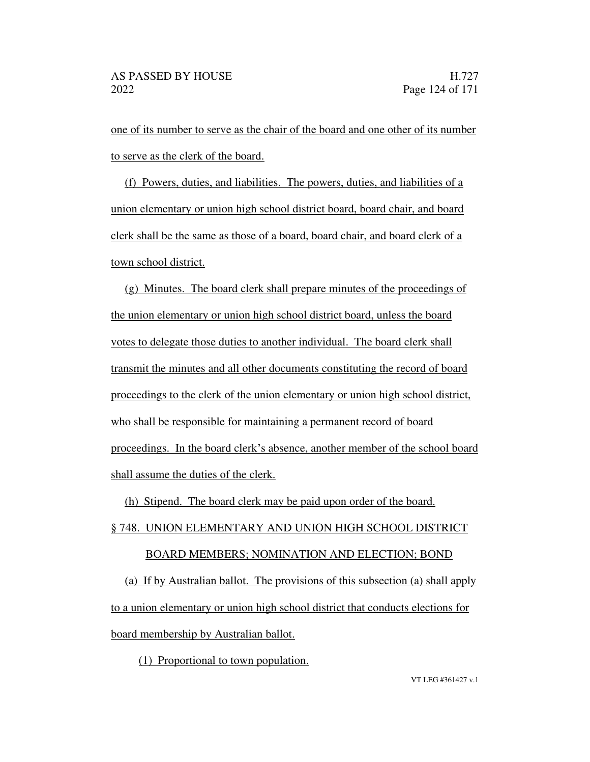one of its number to serve as the chair of the board and one other of its number to serve as the clerk of the board.

(f) Powers, duties, and liabilities. The powers, duties, and liabilities of a union elementary or union high school district board, board chair, and board clerk shall be the same as those of a board, board chair, and board clerk of a town school district.

(g) Minutes. The board clerk shall prepare minutes of the proceedings of the union elementary or union high school district board, unless the board votes to delegate those duties to another individual. The board clerk shall transmit the minutes and all other documents constituting the record of board proceedings to the clerk of the union elementary or union high school district, who shall be responsible for maintaining a permanent record of board proceedings. In the board clerk's absence, another member of the school board shall assume the duties of the clerk.

(h) Stipend. The board clerk may be paid upon order of the board.

# § 748. UNION ELEMENTARY AND UNION HIGH SCHOOL DISTRICT

### BOARD MEMBERS; NOMINATION AND ELECTION; BOND

(a) If by Australian ballot. The provisions of this subsection (a) shall apply to a union elementary or union high school district that conducts elections for board membership by Australian ballot.

(1) Proportional to town population.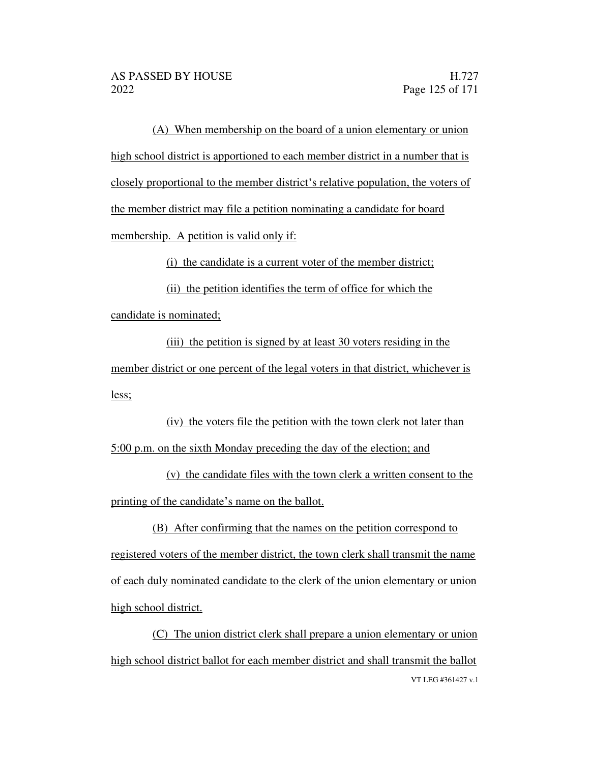(A) When membership on the board of a union elementary or union high school district is apportioned to each member district in a number that is closely proportional to the member district's relative population, the voters of the member district may file a petition nominating a candidate for board membership. A petition is valid only if:

(i) the candidate is a current voter of the member district;

(ii) the petition identifies the term of office for which the

candidate is nominated;

(iii) the petition is signed by at least 30 voters residing in the member district or one percent of the legal voters in that district, whichever is less;

(iv) the voters file the petition with the town clerk not later than 5:00 p.m. on the sixth Monday preceding the day of the election; and

(v) the candidate files with the town clerk a written consent to the printing of the candidate's name on the ballot.

(B) After confirming that the names on the petition correspond to registered voters of the member district, the town clerk shall transmit the name of each duly nominated candidate to the clerk of the union elementary or union high school district.

VT LEG #361427 v.1 (C) The union district clerk shall prepare a union elementary or union high school district ballot for each member district and shall transmit the ballot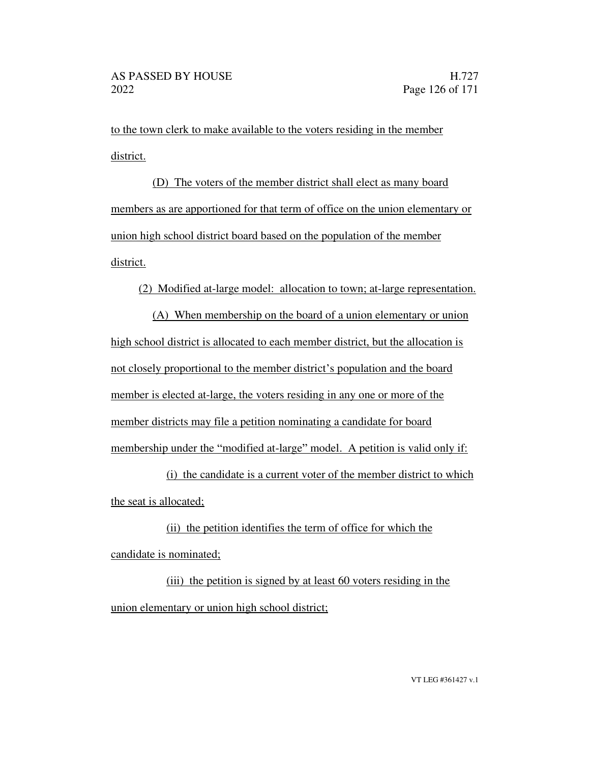to the town clerk to make available to the voters residing in the member district.

(D) The voters of the member district shall elect as many board members as are apportioned for that term of office on the union elementary or union high school district board based on the population of the member district.

(2) Modified at-large model: allocation to town; at-large representation.

(A) When membership on the board of a union elementary or union high school district is allocated to each member district, but the allocation is not closely proportional to the member district's population and the board member is elected at-large, the voters residing in any one or more of the member districts may file a petition nominating a candidate for board membership under the "modified at-large" model. A petition is valid only if:

(i) the candidate is a current voter of the member district to which the seat is allocated;

(ii) the petition identifies the term of office for which the candidate is nominated;

(iii) the petition is signed by at least 60 voters residing in the union elementary or union high school district;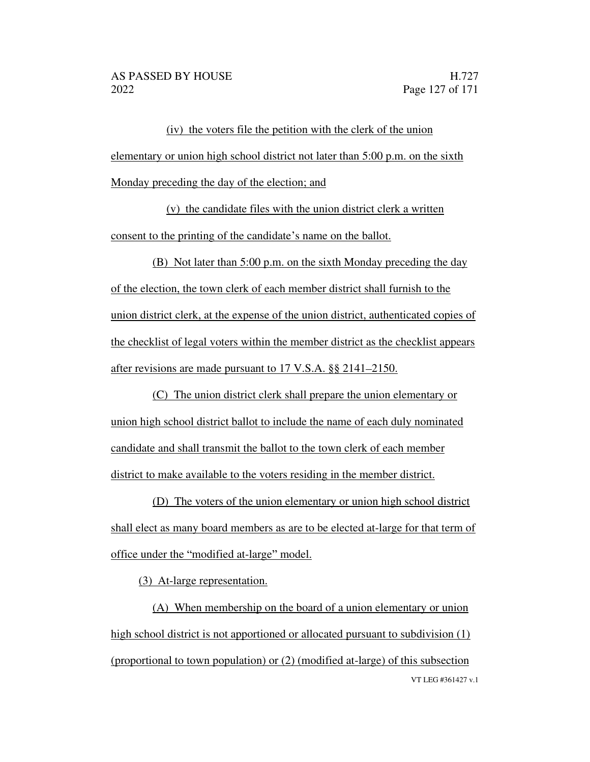(iv) the voters file the petition with the clerk of the union elementary or union high school district not later than 5:00 p.m. on the sixth Monday preceding the day of the election; and

(v) the candidate files with the union district clerk a written consent to the printing of the candidate's name on the ballot.

(B) Not later than 5:00 p.m. on the sixth Monday preceding the day of the election, the town clerk of each member district shall furnish to the union district clerk, at the expense of the union district, authenticated copies of the checklist of legal voters within the member district as the checklist appears after revisions are made pursuant to 17 V.S.A. §§ 2141–2150.

(C) The union district clerk shall prepare the union elementary or union high school district ballot to include the name of each duly nominated candidate and shall transmit the ballot to the town clerk of each member district to make available to the voters residing in the member district.

(D) The voters of the union elementary or union high school district shall elect as many board members as are to be elected at-large for that term of office under the "modified at-large" model.

(3) At-large representation.

VT LEG #361427 v.1 (A) When membership on the board of a union elementary or union high school district is not apportioned or allocated pursuant to subdivision (1) (proportional to town population) or (2) (modified at-large) of this subsection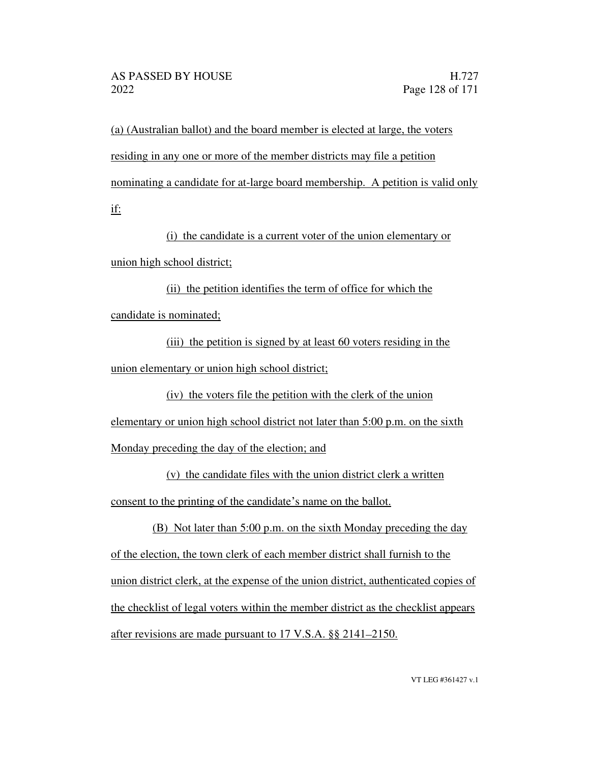(a) (Australian ballot) and the board member is elected at large, the voters residing in any one or more of the member districts may file a petition nominating a candidate for at-large board membership. A petition is valid only if:

(i) the candidate is a current voter of the union elementary or union high school district;

(ii) the petition identifies the term of office for which the candidate is nominated;

(iii) the petition is signed by at least 60 voters residing in the union elementary or union high school district;

(iv) the voters file the petition with the clerk of the union elementary or union high school district not later than 5:00 p.m. on the sixth

Monday preceding the day of the election; and

(v) the candidate files with the union district clerk a written consent to the printing of the candidate's name on the ballot.

(B) Not later than 5:00 p.m. on the sixth Monday preceding the day of the election, the town clerk of each member district shall furnish to the union district clerk, at the expense of the union district, authenticated copies of the checklist of legal voters within the member district as the checklist appears after revisions are made pursuant to  $17$  V.S.A. §§  $2141-2150$ .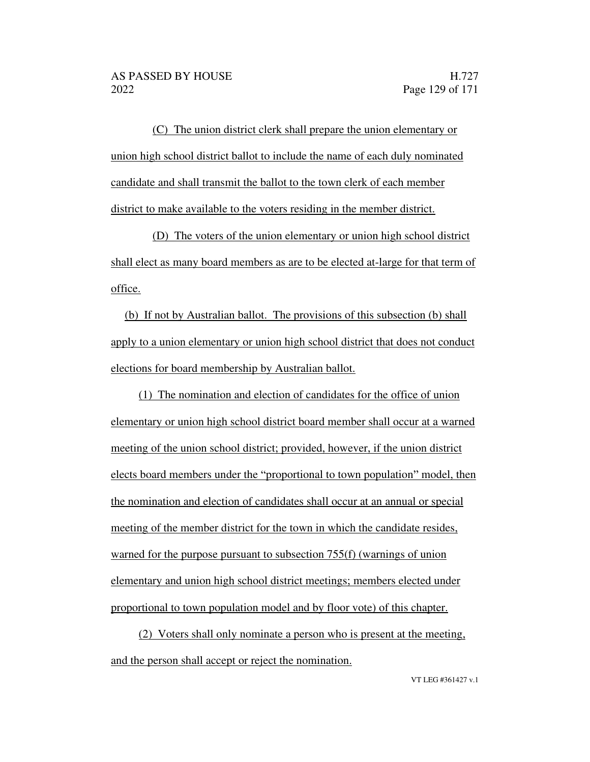(C) The union district clerk shall prepare the union elementary or union high school district ballot to include the name of each duly nominated candidate and shall transmit the ballot to the town clerk of each member district to make available to the voters residing in the member district.

(D) The voters of the union elementary or union high school district shall elect as many board members as are to be elected at-large for that term of office.

(b) If not by Australian ballot. The provisions of this subsection (b) shall apply to a union elementary or union high school district that does not conduct elections for board membership by Australian ballot.

(1) The nomination and election of candidates for the office of union elementary or union high school district board member shall occur at a warned meeting of the union school district; provided, however, if the union district elects board members under the "proportional to town population" model, then the nomination and election of candidates shall occur at an annual or special meeting of the member district for the town in which the candidate resides, warned for the purpose pursuant to subsection 755(f) (warnings of union elementary and union high school district meetings; members elected under proportional to town population model and by floor vote) of this chapter.

(2) Voters shall only nominate a person who is present at the meeting, and the person shall accept or reject the nomination.

VT LEG #361427 v.1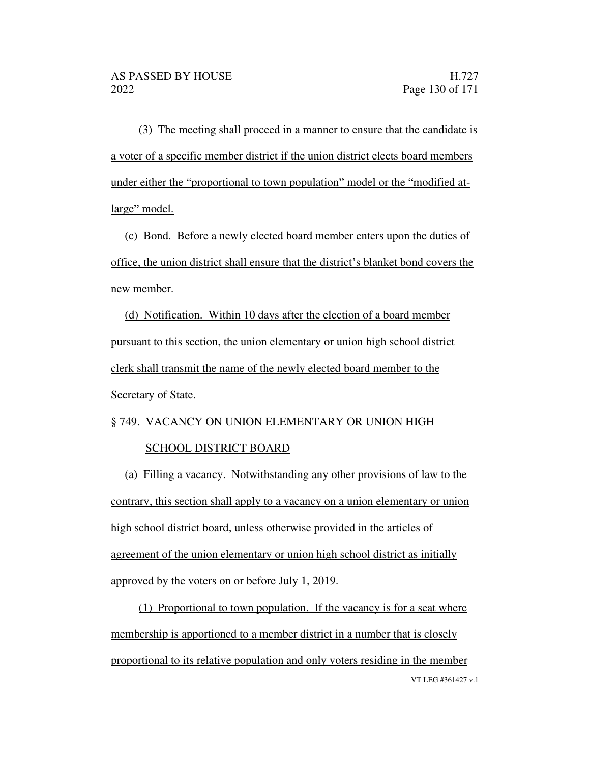(3) The meeting shall proceed in a manner to ensure that the candidate is a voter of a specific member district if the union district elects board members under either the "proportional to town population" model or the "modified atlarge" model.

(c) Bond. Before a newly elected board member enters upon the duties of office, the union district shall ensure that the district's blanket bond covers the new member.

(d) Notification. Within 10 days after the election of a board member pursuant to this section, the union elementary or union high school district clerk shall transmit the name of the newly elected board member to the Secretary of State.

# § 749. VACANCY ON UNION ELEMENTARY OR UNION HIGH SCHOOL DISTRICT BOARD

(a) Filling a vacancy. Notwithstanding any other provisions of law to the contrary, this section shall apply to a vacancy on a union elementary or union high school district board, unless otherwise provided in the articles of agreement of the union elementary or union high school district as initially approved by the voters on or before July 1, 2019.

VT LEG #361427 v.1 (1) Proportional to town population. If the vacancy is for a seat where membership is apportioned to a member district in a number that is closely proportional to its relative population and only voters residing in the member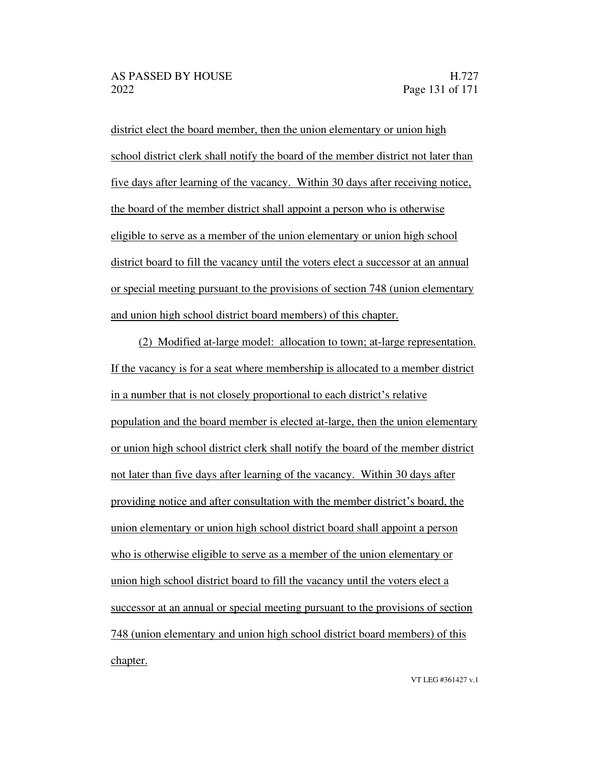district elect the board member, then the union elementary or union high school district clerk shall notify the board of the member district not later than five days after learning of the vacancy. Within 30 days after receiving notice, the board of the member district shall appoint a person who is otherwise eligible to serve as a member of the union elementary or union high school district board to fill the vacancy until the voters elect a successor at an annual or special meeting pursuant to the provisions of section 748 (union elementary and union high school district board members) of this chapter.

(2) Modified at-large model: allocation to town; at-large representation. If the vacancy is for a seat where membership is allocated to a member district in a number that is not closely proportional to each district's relative population and the board member is elected at-large, then the union elementary or union high school district clerk shall notify the board of the member district not later than five days after learning of the vacancy. Within 30 days after providing notice and after consultation with the member district's board, the union elementary or union high school district board shall appoint a person who is otherwise eligible to serve as a member of the union elementary or union high school district board to fill the vacancy until the voters elect a successor at an annual or special meeting pursuant to the provisions of section 748 (union elementary and union high school district board members) of this chapter.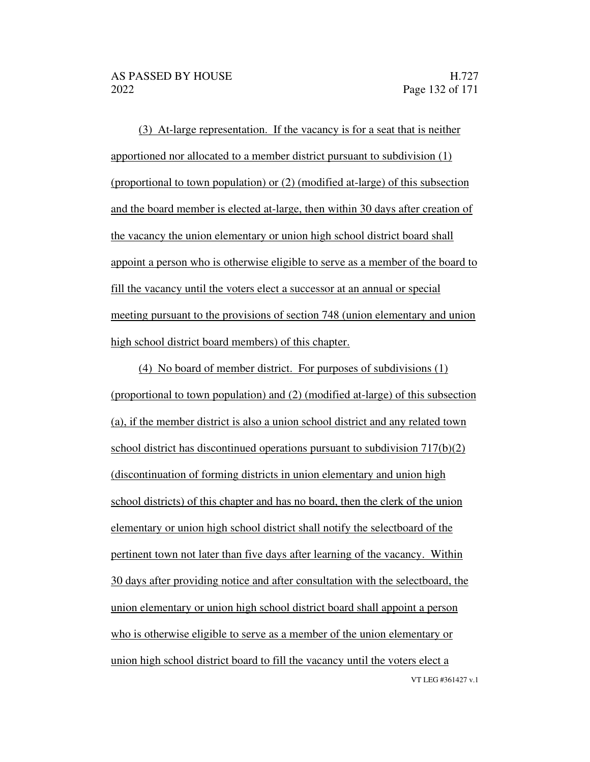(3) At-large representation. If the vacancy is for a seat that is neither apportioned nor allocated to a member district pursuant to subdivision (1) (proportional to town population) or (2) (modified at-large) of this subsection and the board member is elected at-large, then within 30 days after creation of the vacancy the union elementary or union high school district board shall appoint a person who is otherwise eligible to serve as a member of the board to fill the vacancy until the voters elect a successor at an annual or special meeting pursuant to the provisions of section 748 (union elementary and union high school district board members) of this chapter.

VT LEG #361427 v.1 (4) No board of member district. For purposes of subdivisions (1) (proportional to town population) and (2) (modified at-large) of this subsection (a), if the member district is also a union school district and any related town school district has discontinued operations pursuant to subdivision 717(b)(2) (discontinuation of forming districts in union elementary and union high school districts) of this chapter and has no board, then the clerk of the union elementary or union high school district shall notify the selectboard of the pertinent town not later than five days after learning of the vacancy. Within 30 days after providing notice and after consultation with the selectboard, the union elementary or union high school district board shall appoint a person who is otherwise eligible to serve as a member of the union elementary or union high school district board to fill the vacancy until the voters elect a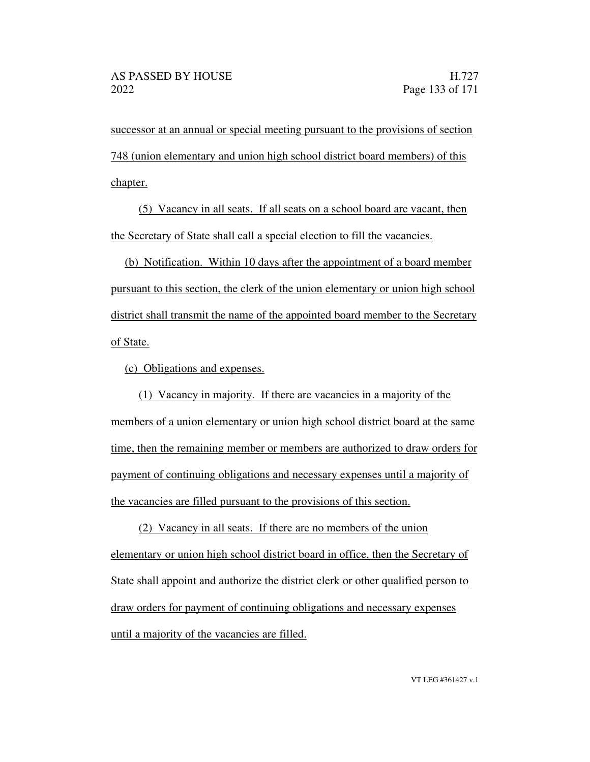successor at an annual or special meeting pursuant to the provisions of section 748 (union elementary and union high school district board members) of this chapter.

(5) Vacancy in all seats. If all seats on a school board are vacant, then the Secretary of State shall call a special election to fill the vacancies.

(b) Notification. Within 10 days after the appointment of a board member pursuant to this section, the clerk of the union elementary or union high school district shall transmit the name of the appointed board member to the Secretary of State.

(c) Obligations and expenses.

(1) Vacancy in majority. If there are vacancies in a majority of the members of a union elementary or union high school district board at the same time, then the remaining member or members are authorized to draw orders for payment of continuing obligations and necessary expenses until a majority of the vacancies are filled pursuant to the provisions of this section.

(2) Vacancy in all seats. If there are no members of the union elementary or union high school district board in office, then the Secretary of State shall appoint and authorize the district clerk or other qualified person to draw orders for payment of continuing obligations and necessary expenses until a majority of the vacancies are filled.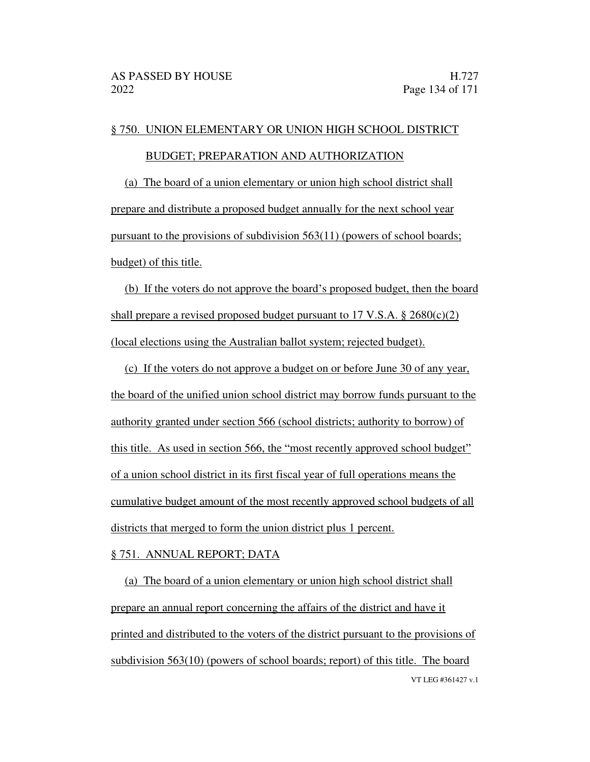### § 750. UNION ELEMENTARY OR UNION HIGH SCHOOL DISTRICT

### BUDGET; PREPARATION AND AUTHORIZATION

(a) The board of a union elementary or union high school district shall prepare and distribute a proposed budget annually for the next school year pursuant to the provisions of subdivision 563(11) (powers of school boards; budget) of this title.

(b) If the voters do not approve the board's proposed budget, then the board shall prepare a revised proposed budget pursuant to 17 V.S.A.  $\S 2680(c)(2)$ (local elections using the Australian ballot system; rejected budget).

(c) If the voters do not approve a budget on or before June 30 of any year, the board of the unified union school district may borrow funds pursuant to the authority granted under section 566 (school districts; authority to borrow) of this title. As used in section 566, the "most recently approved school budget" of a union school district in its first fiscal year of full operations means the cumulative budget amount of the most recently approved school budgets of all districts that merged to form the union district plus 1 percent.

#### § 751. ANNUAL REPORT; DATA

VT LEG #361427 v.1 (a) The board of a union elementary or union high school district shall prepare an annual report concerning the affairs of the district and have it printed and distributed to the voters of the district pursuant to the provisions of subdivision 563(10) (powers of school boards; report) of this title. The board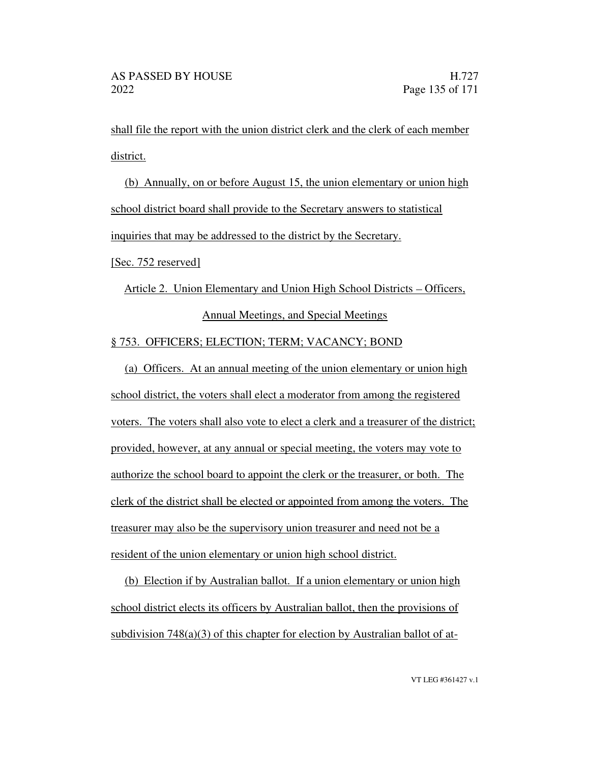shall file the report with the union district clerk and the clerk of each member district.

(b) Annually, on or before August 15, the union elementary or union high school district board shall provide to the Secretary answers to statistical inquiries that may be addressed to the district by the Secretary.

[Sec. 752 reserved]

Article 2. Union Elementary and Union High School Districts – Officers, Annual Meetings, and Special Meetings

## § 753. OFFICERS; ELECTION; TERM; VACANCY; BOND

(a) Officers. At an annual meeting of the union elementary or union high school district, the voters shall elect a moderator from among the registered voters. The voters shall also vote to elect a clerk and a treasurer of the district; provided, however, at any annual or special meeting, the voters may vote to authorize the school board to appoint the clerk or the treasurer, or both. The clerk of the district shall be elected or appointed from among the voters. The treasurer may also be the supervisory union treasurer and need not be a resident of the union elementary or union high school district.

(b) Election if by Australian ballot. If a union elementary or union high school district elects its officers by Australian ballot, then the provisions of subdivision 748(a)(3) of this chapter for election by Australian ballot of at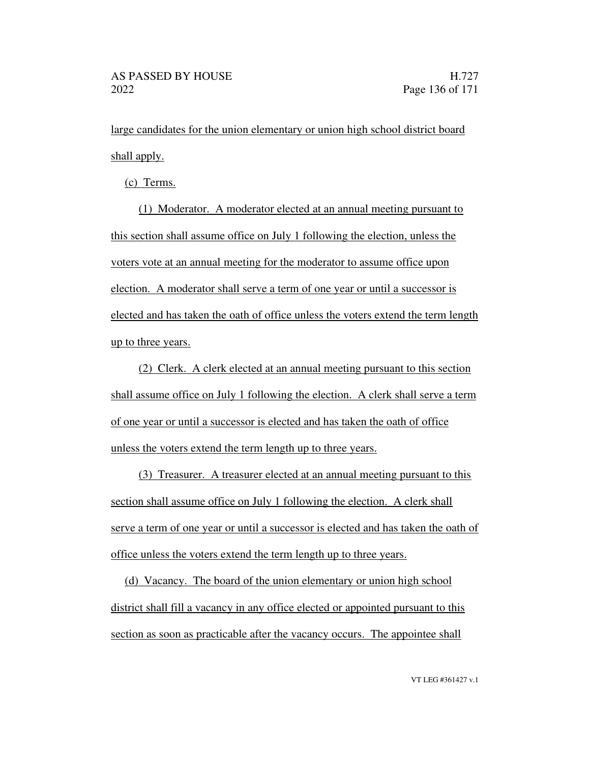large candidates for the union elementary or union high school district board shall apply.

(c) Terms.

(1) Moderator. A moderator elected at an annual meeting pursuant to this section shall assume office on July 1 following the election, unless the voters vote at an annual meeting for the moderator to assume office upon election. A moderator shall serve a term of one year or until a successor is elected and has taken the oath of office unless the voters extend the term length up to three years.

(2) Clerk. A clerk elected at an annual meeting pursuant to this section shall assume office on July 1 following the election. A clerk shall serve a term of one year or until a successor is elected and has taken the oath of office unless the voters extend the term length up to three years.

(3) Treasurer. A treasurer elected at an annual meeting pursuant to this section shall assume office on July 1 following the election. A clerk shall serve a term of one year or until a successor is elected and has taken the oath of office unless the voters extend the term length up to three years.

(d) Vacancy. The board of the union elementary or union high school district shall fill a vacancy in any office elected or appointed pursuant to this section as soon as practicable after the vacancy occurs. The appointee shall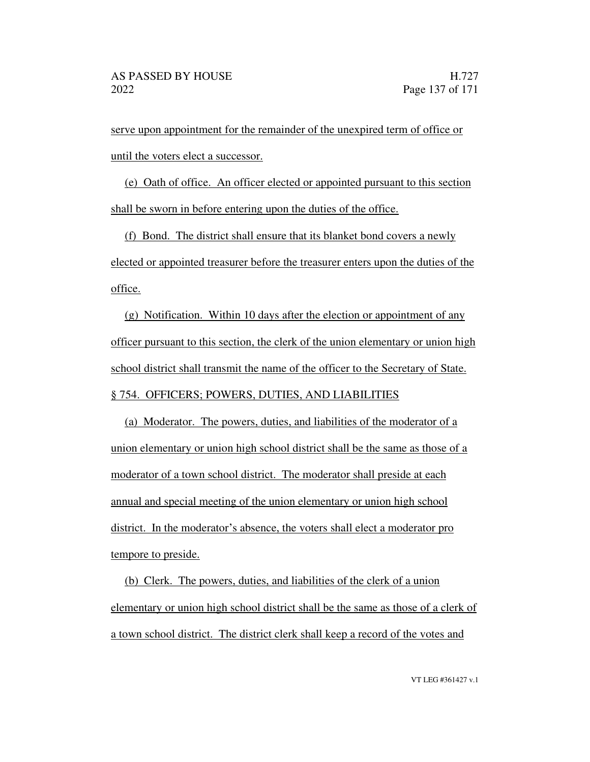serve upon appointment for the remainder of the unexpired term of office or until the voters elect a successor.

(e) Oath of office. An officer elected or appointed pursuant to this section shall be sworn in before entering upon the duties of the office.

(f) Bond. The district shall ensure that its blanket bond covers a newly elected or appointed treasurer before the treasurer enters upon the duties of the office.

(g) Notification. Within 10 days after the election or appointment of any officer pursuant to this section, the clerk of the union elementary or union high school district shall transmit the name of the officer to the Secretary of State. § 754. OFFICERS; POWERS, DUTIES, AND LIABILITIES

(a) Moderator. The powers, duties, and liabilities of the moderator of a union elementary or union high school district shall be the same as those of a moderator of a town school district. The moderator shall preside at each annual and special meeting of the union elementary or union high school district. In the moderator's absence, the voters shall elect a moderator pro tempore to preside.

(b) Clerk. The powers, duties, and liabilities of the clerk of a union elementary or union high school district shall be the same as those of a clerk of a town school district. The district clerk shall keep a record of the votes and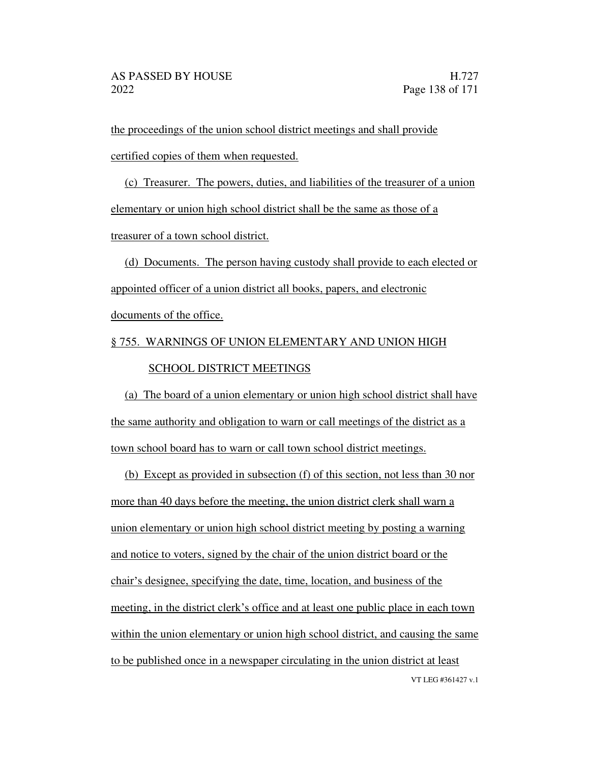the proceedings of the union school district meetings and shall provide certified copies of them when requested.

(c) Treasurer. The powers, duties, and liabilities of the treasurer of a union elementary or union high school district shall be the same as those of a treasurer of a town school district.

(d) Documents. The person having custody shall provide to each elected or appointed officer of a union district all books, papers, and electronic documents of the office.

§ 755. WARNINGS OF UNION ELEMENTARY AND UNION HIGH

### SCHOOL DISTRICT MEETINGS

(a) The board of a union elementary or union high school district shall have the same authority and obligation to warn or call meetings of the district as a town school board has to warn or call town school district meetings.

VT LEG #361427 v.1 (b) Except as provided in subsection (f) of this section, not less than 30 nor more than 40 days before the meeting, the union district clerk shall warn a union elementary or union high school district meeting by posting a warning and notice to voters, signed by the chair of the union district board or the chair's designee, specifying the date, time, location, and business of the meeting, in the district clerk's office and at least one public place in each town within the union elementary or union high school district, and causing the same to be published once in a newspaper circulating in the union district at least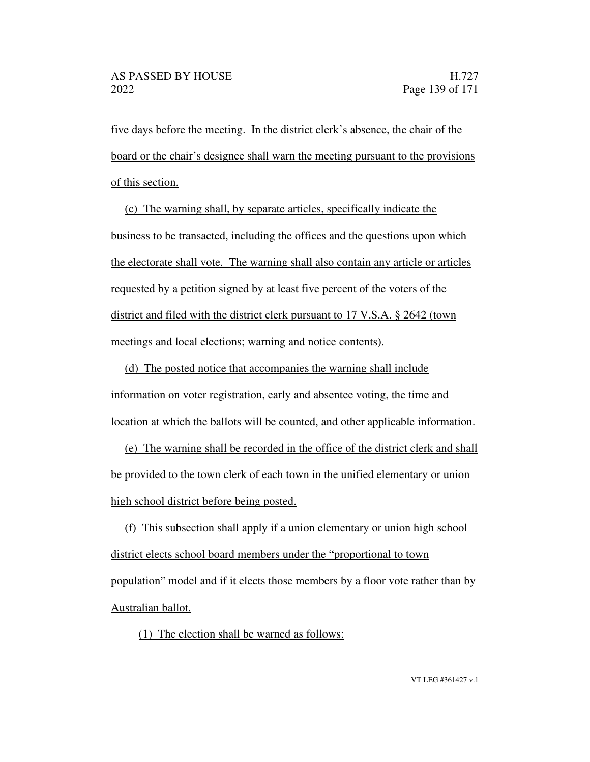five days before the meeting. In the district clerk's absence, the chair of the board or the chair's designee shall warn the meeting pursuant to the provisions of this section.

(c) The warning shall, by separate articles, specifically indicate the business to be transacted, including the offices and the questions upon which the electorate shall vote. The warning shall also contain any article or articles requested by a petition signed by at least five percent of the voters of the district and filed with the district clerk pursuant to 17 V.S.A. § 2642 (town meetings and local elections; warning and notice contents).

(d) The posted notice that accompanies the warning shall include information on voter registration, early and absentee voting, the time and location at which the ballots will be counted, and other applicable information.

(e) The warning shall be recorded in the office of the district clerk and shall be provided to the town clerk of each town in the unified elementary or union high school district before being posted.

(f) This subsection shall apply if a union elementary or union high school district elects school board members under the "proportional to town" population model and if it elects those members by a floor vote rather than by Australian ballot.

(1) The election shall be warned as follows: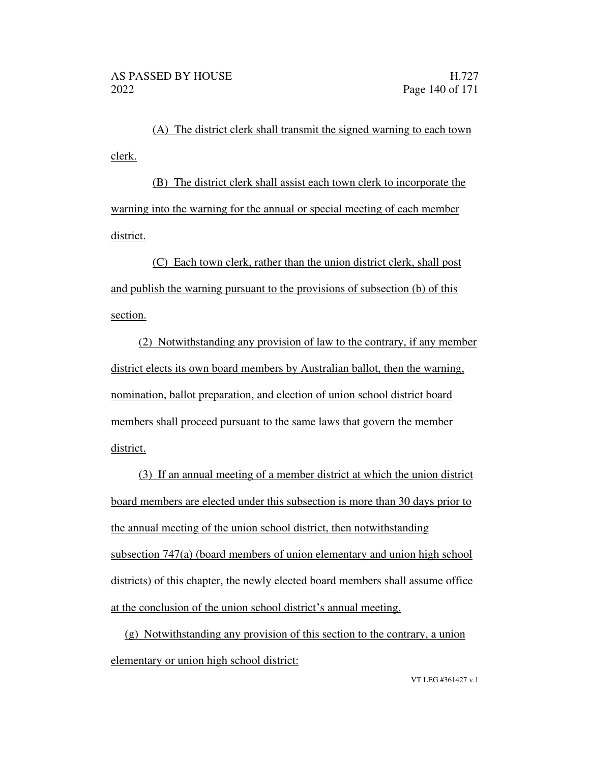(A) The district clerk shall transmit the signed warning to each town clerk.

(B) The district clerk shall assist each town clerk to incorporate the warning into the warning for the annual or special meeting of each member district.

(C) Each town clerk, rather than the union district clerk, shall post and publish the warning pursuant to the provisions of subsection (b) of this section.

(2) Notwithstanding any provision of law to the contrary, if any member district elects its own board members by Australian ballot, then the warning, nomination, ballot preparation, and election of union school district board members shall proceed pursuant to the same laws that govern the member district.

(3) If an annual meeting of a member district at which the union district board members are elected under this subsection is more than 30 days prior to the annual meeting of the union school district, then notwithstanding subsection 747(a) (board members of union elementary and union high school districts) of this chapter, the newly elected board members shall assume office at the conclusion of the union school district's annual meeting.

(g) Notwithstanding any provision of this section to the contrary, a union elementary or union high school district: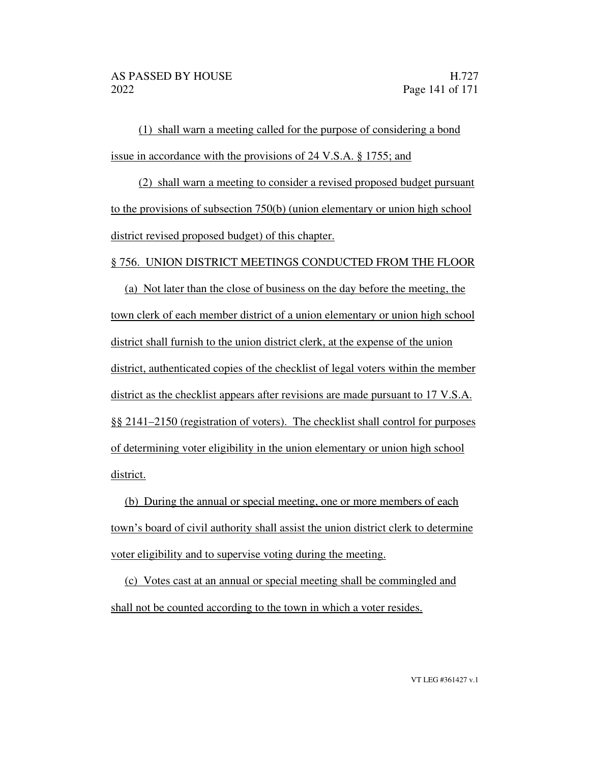(1) shall warn a meeting called for the purpose of considering a bond issue in accordance with the provisions of 24 V.S.A. § 1755; and

(2) shall warn a meeting to consider a revised proposed budget pursuant to the provisions of subsection 750(b) (union elementary or union high school district revised proposed budget) of this chapter.

### § 756. UNION DISTRICT MEETINGS CONDUCTED FROM THE FLOOR

(a) Not later than the close of business on the day before the meeting, the town clerk of each member district of a union elementary or union high school district shall furnish to the union district clerk, at the expense of the union district, authenticated copies of the checklist of legal voters within the member district as the checklist appears after revisions are made pursuant to 17 V.S.A. §§ 2141 2150 (registration of voters). The checklist shall control for purposes of determining voter eligibility in the union elementary or union high school district.

(b) During the annual or special meeting, one or more members of each town's board of civil authority shall assist the union district clerk to determine voter eligibility and to supervise voting during the meeting.

(c) Votes cast at an annual or special meeting shall be commingled and shall not be counted according to the town in which a voter resides.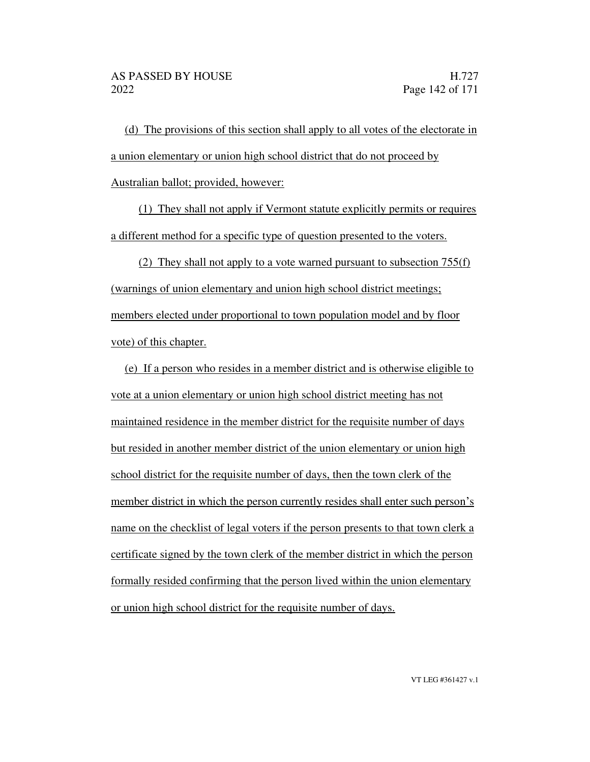(d) The provisions of this section shall apply to all votes of the electorate in a union elementary or union high school district that do not proceed by Australian ballot; provided, however:

(1) They shall not apply if Vermont statute explicitly permits or requires a different method for a specific type of question presented to the voters.

(2) They shall not apply to a vote warned pursuant to subsection 755(f) (warnings of union elementary and union high school district meetings; members elected under proportional to town population model and by floor vote) of this chapter.

(e) If a person who resides in a member district and is otherwise eligible to vote at a union elementary or union high school district meeting has not maintained residence in the member district for the requisite number of days but resided in another member district of the union elementary or union high school district for the requisite number of days, then the town clerk of the member district in which the person currently resides shall enter such person's name on the checklist of legal voters if the person presents to that town clerk a certificate signed by the town clerk of the member district in which the person formally resided confirming that the person lived within the union elementary or union high school district for the requisite number of days.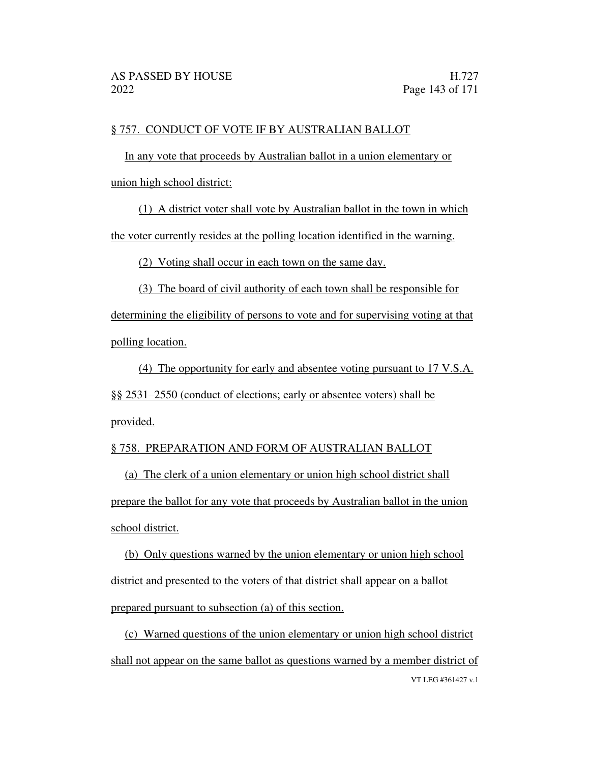### § 757. CONDUCT OF VOTE IF BY AUSTRALIAN BALLOT

In any vote that proceeds by Australian ballot in a union elementary or union high school district:

(1) A district voter shall vote by Australian ballot in the town in which the voter currently resides at the polling location identified in the warning.

(2) Voting shall occur in each town on the same day.

(3) The board of civil authority of each town shall be responsible for determining the eligibility of persons to vote and for supervising voting at that polling location.

(4) The opportunity for early and absentee voting pursuant to 17 V.S.A. §§ 2531 2550 (conduct of elections; early or absentee voters) shall be provided.

### § 758. PREPARATION AND FORM OF AUSTRALIAN BALLOT

(a) The clerk of a union elementary or union high school district shall prepare the ballot for any vote that proceeds by Australian ballot in the union school district.

(b) Only questions warned by the union elementary or union high school district and presented to the voters of that district shall appear on a ballot prepared pursuant to subsection (a) of this section.

VT LEG #361427 v.1 (c) Warned questions of the union elementary or union high school district shall not appear on the same ballot as questions warned by a member district of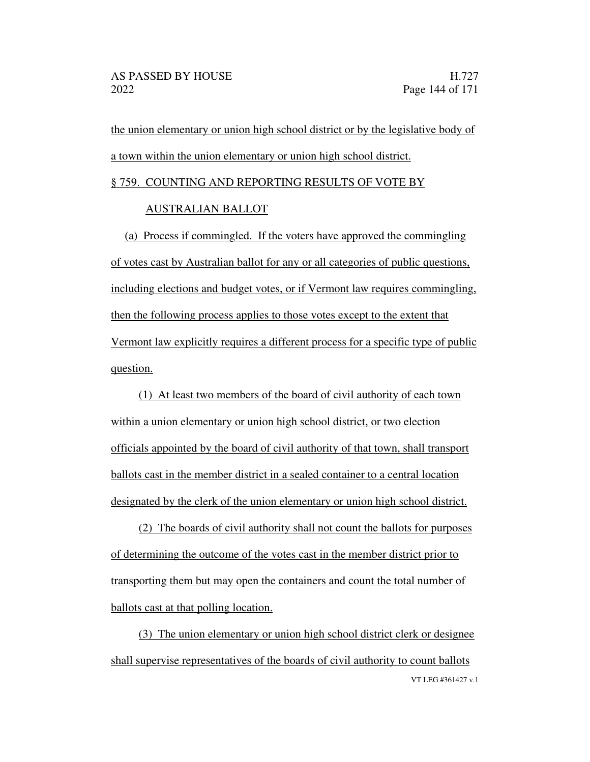the union elementary or union high school district or by the legislative body of a town within the union elementary or union high school district.

### § 759. COUNTING AND REPORTING RESULTS OF VOTE BY

### AUSTRALIAN BALLOT

(a) Process if commingled. If the voters have approved the commingling of votes cast by Australian ballot for any or all categories of public questions, including elections and budget votes, or if Vermont law requires commingling, then the following process applies to those votes except to the extent that Vermont law explicitly requires a different process for a specific type of public question.

(1) At least two members of the board of civil authority of each town within a union elementary or union high school district, or two election officials appointed by the board of civil authority of that town, shall transport ballots cast in the member district in a sealed container to a central location designated by the clerk of the union elementary or union high school district.

(2) The boards of civil authority shall not count the ballots for purposes of determining the outcome of the votes cast in the member district prior to transporting them but may open the containers and count the total number of ballots cast at that polling location.

VT LEG #361427 v.1 (3) The union elementary or union high school district clerk or designee shall supervise representatives of the boards of civil authority to count ballots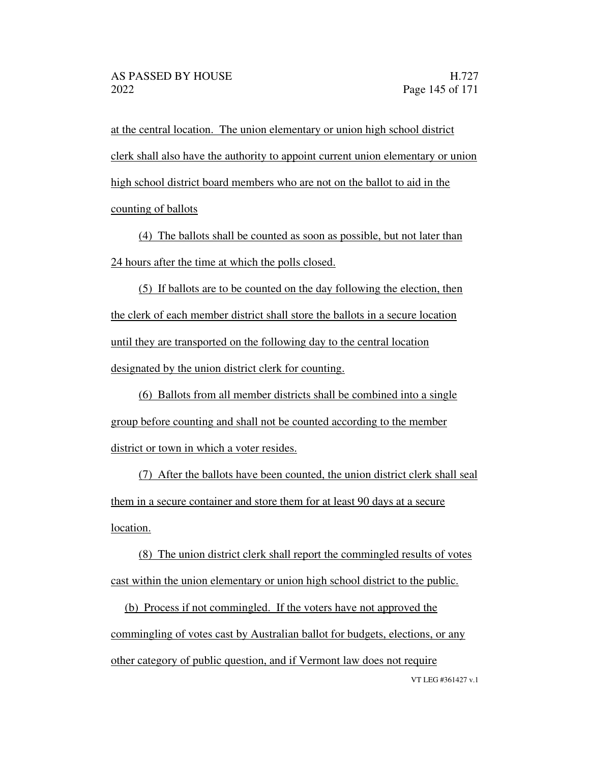at the central location. The union elementary or union high school district clerk shall also have the authority to appoint current union elementary or union high school district board members who are not on the ballot to aid in the counting of ballots

(4) The ballots shall be counted as soon as possible, but not later than 24 hours after the time at which the polls closed.

(5) If ballots are to be counted on the day following the election, then the clerk of each member district shall store the ballots in a secure location until they are transported on the following day to the central location designated by the union district clerk for counting.

(6) Ballots from all member districts shall be combined into a single group before counting and shall not be counted according to the member district or town in which a voter resides.

(7) After the ballots have been counted, the union district clerk shall seal them in a secure container and store them for at least 90 days at a secure location.

(8) The union district clerk shall report the commingled results of votes cast within the union elementary or union high school district to the public.

(b) Process if not commingled. If the voters have not approved the commingling of votes cast by Australian ballot for budgets, elections, or any other category of public question, and if Vermont law does not require

VT LEG #361427 v.1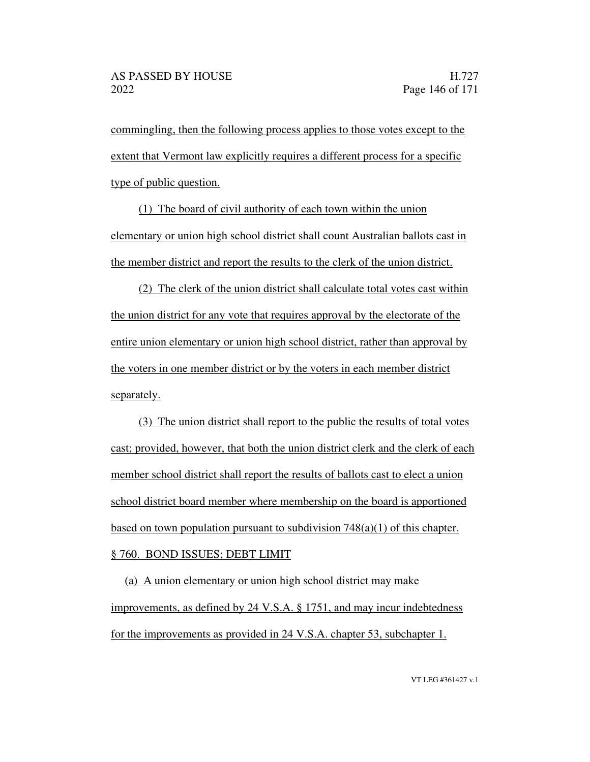commingling, then the following process applies to those votes except to the extent that Vermont law explicitly requires a different process for a specific type of public question.

(1) The board of civil authority of each town within the union elementary or union high school district shall count Australian ballots cast in the member district and report the results to the clerk of the union district.

(2) The clerk of the union district shall calculate total votes cast within the union district for any vote that requires approval by the electorate of the entire union elementary or union high school district, rather than approval by the voters in one member district or by the voters in each member district separately.

(3) The union district shall report to the public the results of total votes cast; provided, however, that both the union district clerk and the clerk of each member school district shall report the results of ballots cast to elect a union school district board member where membership on the board is apportioned based on town population pursuant to subdivision  $748(a)(1)$  of this chapter. § 760. BOND ISSUES; DEBT LIMIT

(a) A union elementary or union high school district may make improvements, as defined by 24 V.S.A. § 1751, and may incur indebtedness for the improvements as provided in 24 V.S.A. chapter 53, subchapter 1.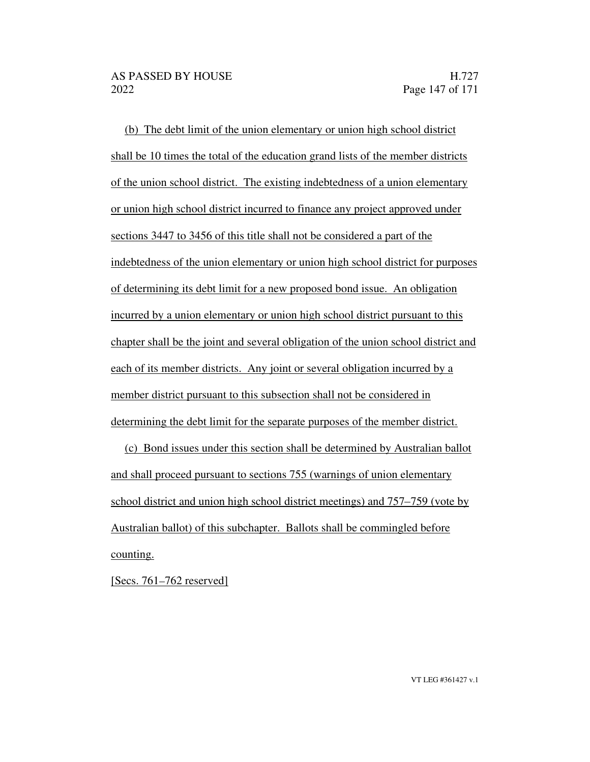(b) The debt limit of the union elementary or union high school district shall be 10 times the total of the education grand lists of the member districts of the union school district. The existing indebtedness of a union elementary or union high school district incurred to finance any project approved under sections 3447 to 3456 of this title shall not be considered a part of the indebtedness of the union elementary or union high school district for purposes of determining its debt limit for a new proposed bond issue. An obligation incurred by a union elementary or union high school district pursuant to this chapter shall be the joint and several obligation of the union school district and each of its member districts. Any joint or several obligation incurred by a member district pursuant to this subsection shall not be considered in determining the debt limit for the separate purposes of the member district.

(c) Bond issues under this section shall be determined by Australian ballot and shall proceed pursuant to sections 755 (warnings of union elementary school district and union high school district meetings) and 757–759 (vote by Australian ballot) of this subchapter. Ballots shall be commingled before counting.

[Secs.  $761 - 762$  reserved]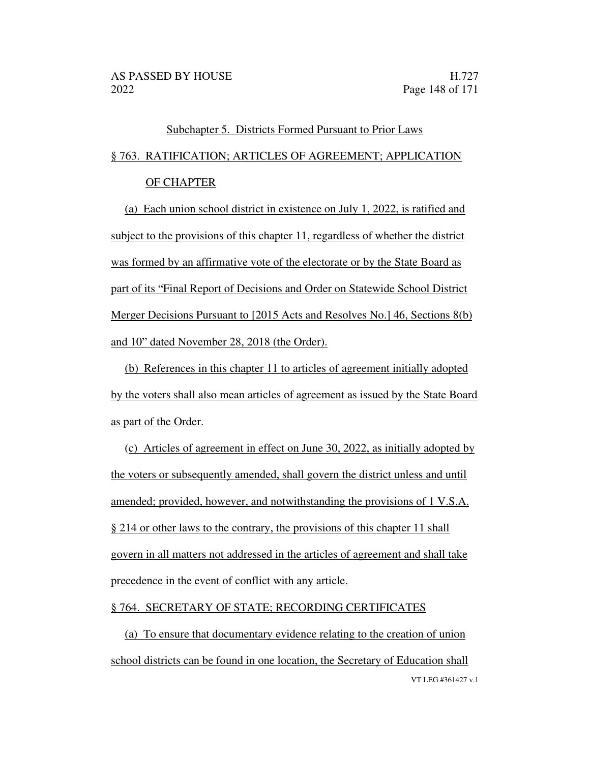## Subchapter 5. Districts Formed Pursuant to Prior Laws

### § 763. RATIFICATION; ARTICLES OF AGREEMENT; APPLICATION

### OF CHAPTER

(a) Each union school district in existence on July 1, 2022, is ratified and subject to the provisions of this chapter 11, regardless of whether the district was formed by an affirmative vote of the electorate or by the State Board as part of its "Final Report of Decisions and Order on Statewide School District Merger Decisions Pursuant to [2015 Acts and Resolves No.] 46, Sections 8(b) and 10" dated November 28, 2018 (the Order).

(b) References in this chapter 11 to articles of agreement initially adopted by the voters shall also mean articles of agreement as issued by the State Board as part of the Order.

(c) Articles of agreement in effect on June 30, 2022, as initially adopted by the voters or subsequently amended, shall govern the district unless and until amended; provided, however, and notwithstanding the provisions of 1 V.S.A. § 214 or other laws to the contrary, the provisions of this chapter 11 shall govern in all matters not addressed in the articles of agreement and shall take precedence in the event of conflict with any article.

#### § 764. SECRETARY OF STATE; RECORDING CERTIFICATES

VT LEG #361427 v.1 (a) To ensure that documentary evidence relating to the creation of union school districts can be found in one location, the Secretary of Education shall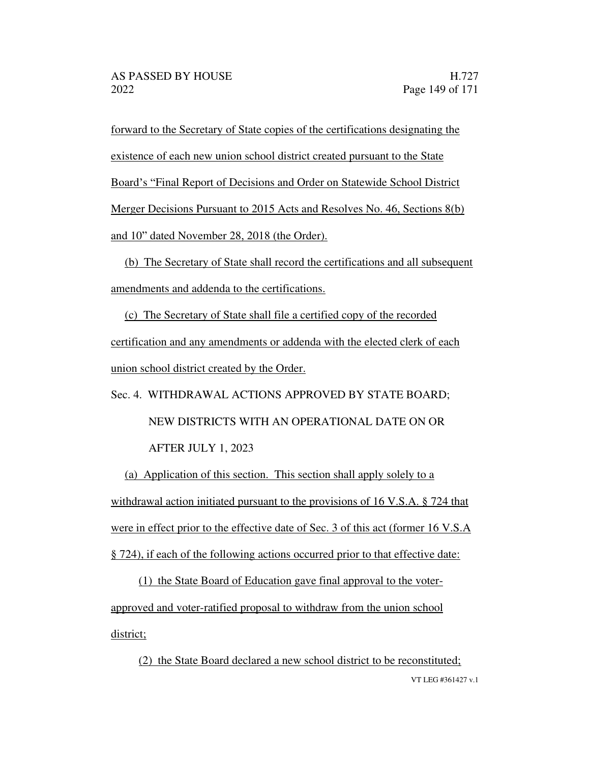forward to the Secretary of State copies of the certifications designating the existence of each new union school district created pursuant to the State Board's "Final Report of Decisions and Order on Statewide School District Merger Decisions Pursuant to 2015 Acts and Resolves No. 46, Sections 8(b) and 10" dated November 28, 2018 (the Order).

(b) The Secretary of State shall record the certifications and all subsequent amendments and addenda to the certifications.

(c) The Secretary of State shall file a certified copy of the recorded certification and any amendments or addenda with the elected clerk of each union school district created by the Order.

# Sec. 4. WITHDRAWAL ACTIONS APPROVED BY STATE BOARD; NEW DISTRICTS WITH AN OPERATIONAL DATE ON OR AFTER JULY 1, 2023

(a) Application of this section. This section shall apply solely to a withdrawal action initiated pursuant to the provisions of 16 V.S.A. § 724 that were in effect prior to the effective date of Sec. 3 of this act (former 16 V.S.A) § 724), if each of the following actions occurred prior to that effective date:

(1) the State Board of Education gave final approval to the voterapproved and voter-ratified proposal to withdraw from the union school district;

VT LEG #361427 v.1 (2) the State Board declared a new school district to be reconstituted;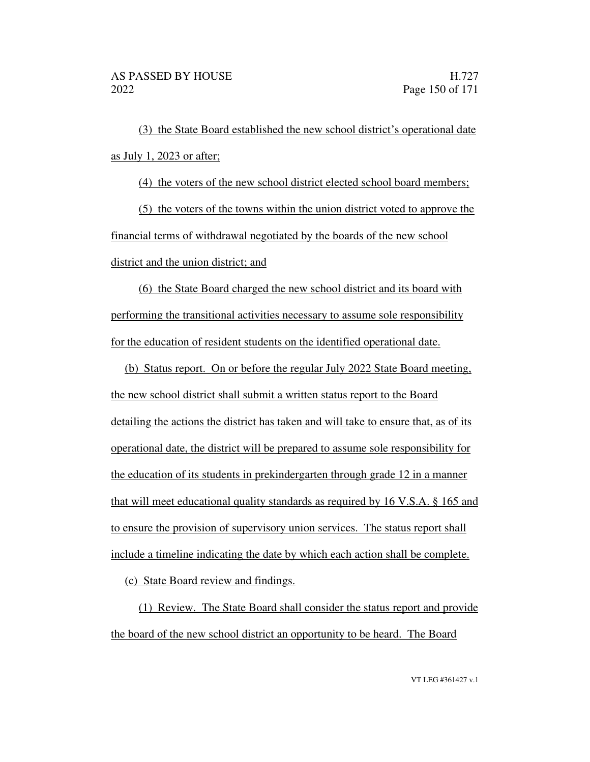(3) the State Board established the new school district's operational date as July 1, 2023 or after;

(4) the voters of the new school district elected school board members;

(5) the voters of the towns within the union district voted to approve the financial terms of withdrawal negotiated by the boards of the new school district and the union district; and

(6) the State Board charged the new school district and its board with performing the transitional activities necessary to assume sole responsibility for the education of resident students on the identified operational date.

(b) Status report. On or before the regular July 2022 State Board meeting, the new school district shall submit a written status report to the Board detailing the actions the district has taken and will take to ensure that, as of its operational date, the district will be prepared to assume sole responsibility for the education of its students in prekindergarten through grade 12 in a manner that will meet educational quality standards as required by 16 V.S.A. § 165 and to ensure the provision of supervisory union services. The status report shall include a timeline indicating the date by which each action shall be complete.

(c) State Board review and findings.

(1) Review. The State Board shall consider the status report and provide the board of the new school district an opportunity to be heard. The Board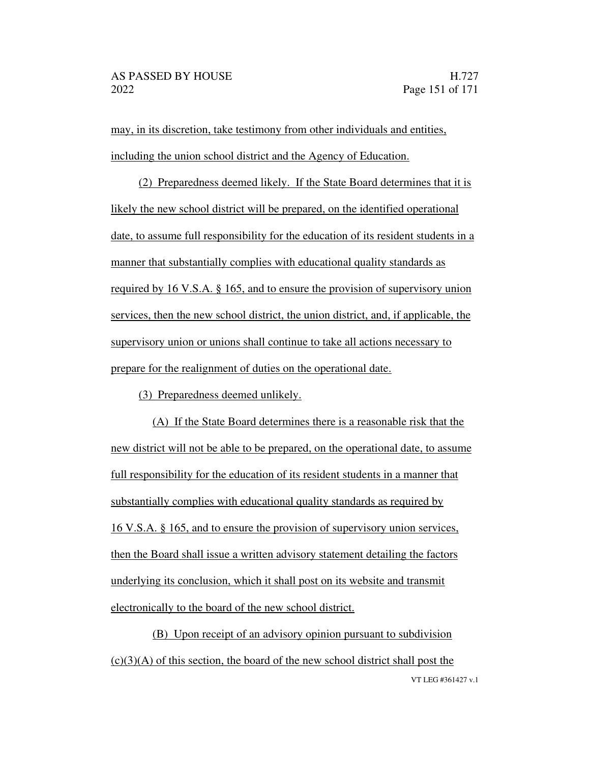may, in its discretion, take testimony from other individuals and entities, including the union school district and the Agency of Education.

(2) Preparedness deemed likely. If the State Board determines that it is likely the new school district will be prepared, on the identified operational date, to assume full responsibility for the education of its resident students in a manner that substantially complies with educational quality standards as required by 16 V.S.A. § 165, and to ensure the provision of supervisory union services, then the new school district, the union district, and, if applicable, the supervisory union or unions shall continue to take all actions necessary to prepare for the realignment of duties on the operational date.

(3) Preparedness deemed unlikely.

(A) If the State Board determines there is a reasonable risk that the new district will not be able to be prepared, on the operational date, to assume full responsibility for the education of its resident students in a manner that substantially complies with educational quality standards as required by 16 V.S.A. § 165, and to ensure the provision of supervisory union services, then the Board shall issue a written advisory statement detailing the factors underlying its conclusion, which it shall post on its website and transmit electronically to the board of the new school district.

VT LEG #361427 v.1 (B) Upon receipt of an advisory opinion pursuant to subdivision  $(c)(3)(A)$  of this section, the board of the new school district shall post the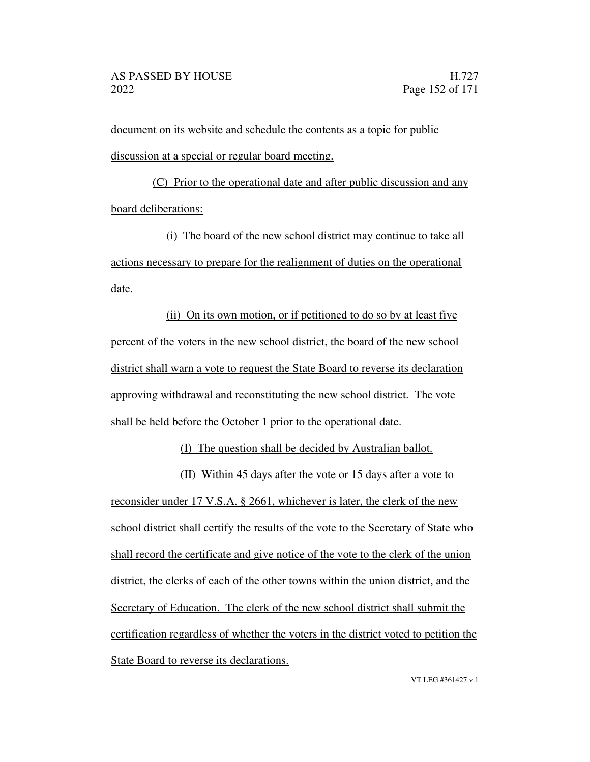document on its website and schedule the contents as a topic for public discussion at a special or regular board meeting.

(C) Prior to the operational date and after public discussion and any board deliberations:

(i) The board of the new school district may continue to take all actions necessary to prepare for the realignment of duties on the operational date.

(ii) On its own motion, or if petitioned to do so by at least five percent of the voters in the new school district, the board of the new school district shall warn a vote to request the State Board to reverse its declaration approving withdrawal and reconstituting the new school district. The vote shall be held before the October 1 prior to the operational date.

(I) The question shall be decided by Australian ballot.

(II) Within 45 days after the vote or 15 days after a vote to reconsider under 17 V.S.A. § 2661, whichever is later, the clerk of the new school district shall certify the results of the vote to the Secretary of State who shall record the certificate and give notice of the vote to the clerk of the union district, the clerks of each of the other towns within the union district, and the Secretary of Education. The clerk of the new school district shall submit the certification regardless of whether the voters in the district voted to petition the State Board to reverse its declarations.

VT LEG #361427 v.1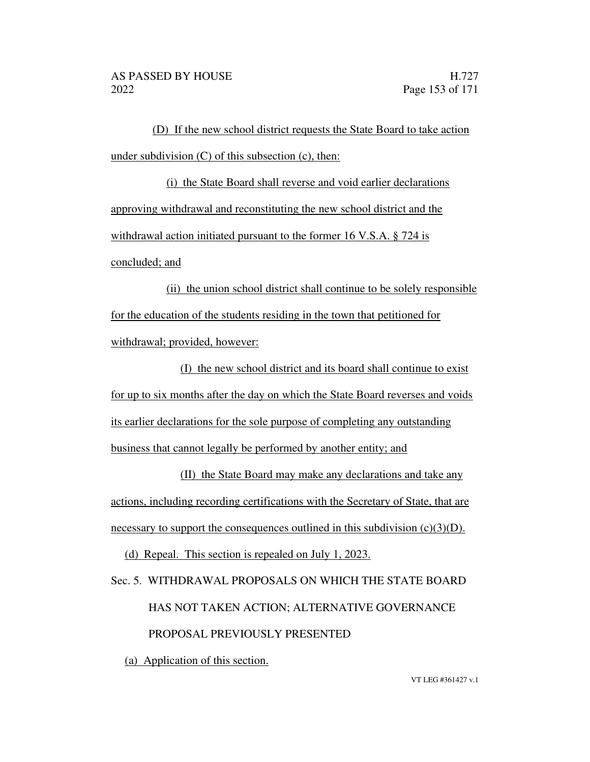(D) If the new school district requests the State Board to take action under subdivision  $(C)$  of this subsection  $(c)$ , then:

(i) the State Board shall reverse and void earlier declarations approving withdrawal and reconstituting the new school district and the withdrawal action initiated pursuant to the former 16 V.S.A. § 724 is concluded; and

(ii) the union school district shall continue to be solely responsible for the education of the students residing in the town that petitioned for withdrawal; provided, however:

(I) the new school district and its board shall continue to exist for up to six months after the day on which the State Board reverses and voids its earlier declarations for the sole purpose of completing any outstanding business that cannot legally be performed by another entity; and

(II) the State Board may make any declarations and take any actions, including recording certifications with the Secretary of State, that are necessary to support the consequences outlined in this subdivision  $(c)(3)(D)$ .

(d) Repeal. This section is repealed on July 1, 2023.

Sec. 5. WITHDRAWAL PROPOSALS ON WHICH THE STATE BOARD HAS NOT TAKEN ACTION; ALTERNATIVE GOVERNANCE PROPOSAL PREVIOUSLY PRESENTED

(a) Application of this section.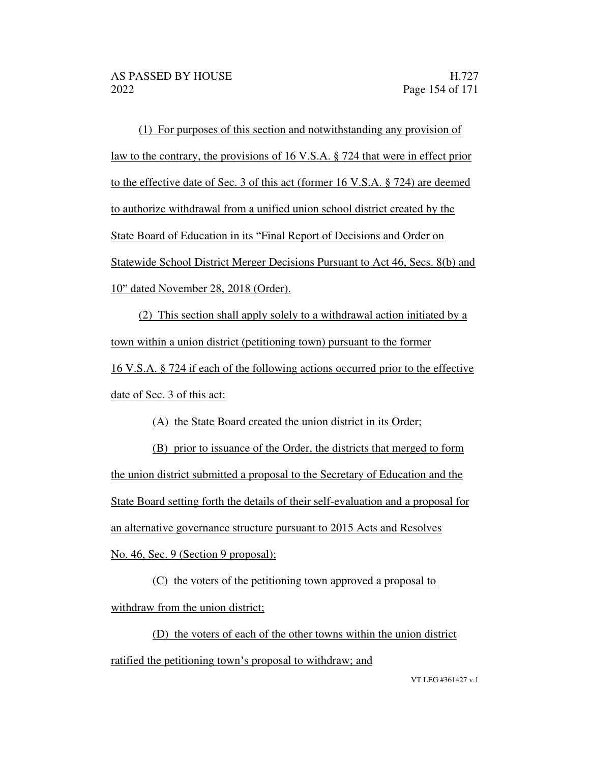(1) For purposes of this section and notwithstanding any provision of law to the contrary, the provisions of 16 V.S.A. § 724 that were in effect prior to the effective date of Sec. 3 of this act (former 16 V.S.A. § 724) are deemed to authorize withdrawal from a unified union school district created by the State Board of Education in its "Final Report of Decisions and Order on Statewide School District Merger Decisions Pursuant to Act 46, Secs. 8(b) and 10" dated November 28, 2018 (Order).

(2) This section shall apply solely to a withdrawal action initiated by a town within a union district (petitioning town) pursuant to the former 16 V.S.A. § 724 if each of the following actions occurred prior to the effective date of Sec. 3 of this act:

(A) the State Board created the union district in its Order;

(B) prior to issuance of the Order, the districts that merged to form the union district submitted a proposal to the Secretary of Education and the State Board setting forth the details of their self-evaluation and a proposal for an alternative governance structure pursuant to 2015 Acts and Resolves No. 46, Sec. 9 (Section 9 proposal);

(C) the voters of the petitioning town approved a proposal to withdraw from the union district;

(D) the voters of each of the other towns within the union district ratified the petitioning town's proposal to withdraw; and

VT LEG #361427 v.1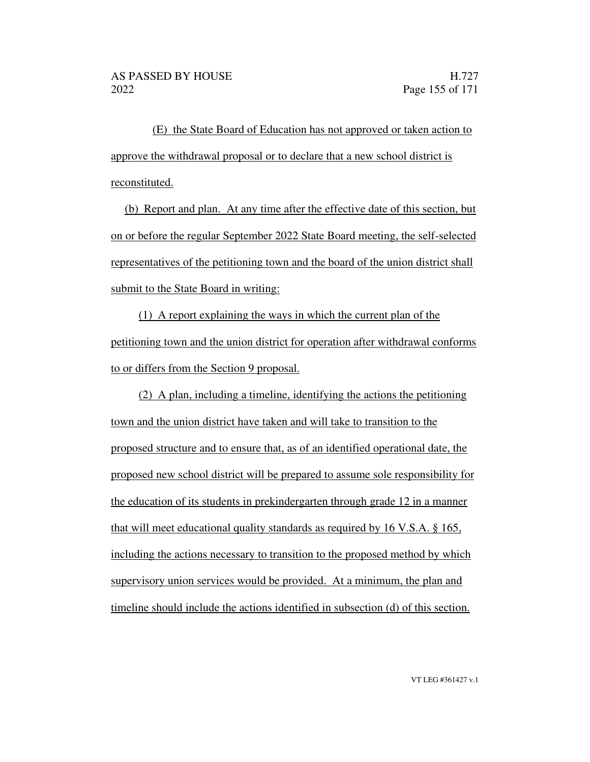(E) the State Board of Education has not approved or taken action to approve the withdrawal proposal or to declare that a new school district is reconstituted.

(b) Report and plan. At any time after the effective date of this section, but on or before the regular September 2022 State Board meeting, the self-selected representatives of the petitioning town and the board of the union district shall submit to the State Board in writing:

(1) A report explaining the ways in which the current plan of the petitioning town and the union district for operation after withdrawal conforms to or differs from the Section 9 proposal.

(2) A plan, including a timeline, identifying the actions the petitioning town and the union district have taken and will take to transition to the proposed structure and to ensure that, as of an identified operational date, the proposed new school district will be prepared to assume sole responsibility for the education of its students in prekindergarten through grade 12 in a manner that will meet educational quality standards as required by 16 V.S.A. § 165, including the actions necessary to transition to the proposed method by which supervisory union services would be provided. At a minimum, the plan and timeline should include the actions identified in subsection (d) of this section.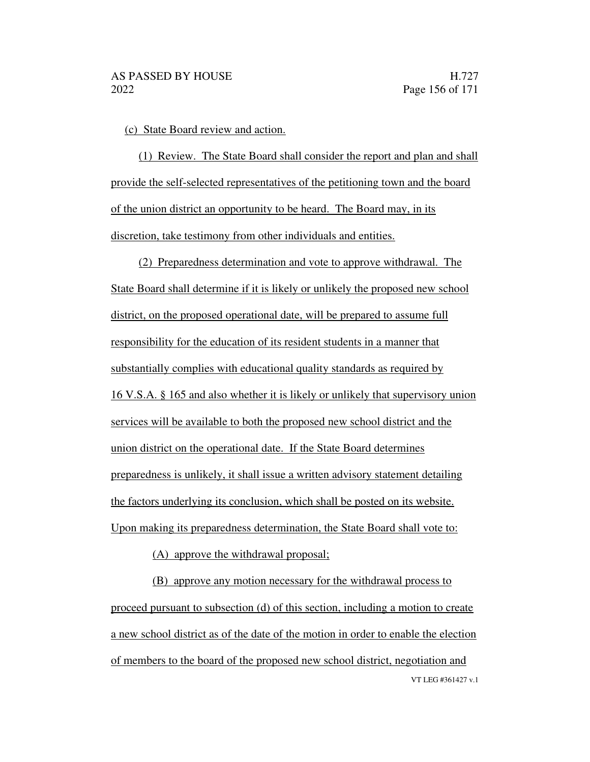(c) State Board review and action.

(1) Review. The State Board shall consider the report and plan and shall provide the self-selected representatives of the petitioning town and the board of the union district an opportunity to be heard. The Board may, in its discretion, take testimony from other individuals and entities.

(2) Preparedness determination and vote to approve withdrawal. The State Board shall determine if it is likely or unlikely the proposed new school district, on the proposed operational date, will be prepared to assume full responsibility for the education of its resident students in a manner that substantially complies with educational quality standards as required by 16 V.S.A. § 165 and also whether it is likely or unlikely that supervisory union services will be available to both the proposed new school district and the union district on the operational date. If the State Board determines preparedness is unlikely, it shall issue a written advisory statement detailing the factors underlying its conclusion, which shall be posted on its website. Upon making its preparedness determination, the State Board shall vote to:

(A) approve the withdrawal proposal;

VT LEG #361427 v.1 (B) approve any motion necessary for the withdrawal process to proceed pursuant to subsection (d) of this section, including a motion to create a new school district as of the date of the motion in order to enable the election of members to the board of the proposed new school district, negotiation and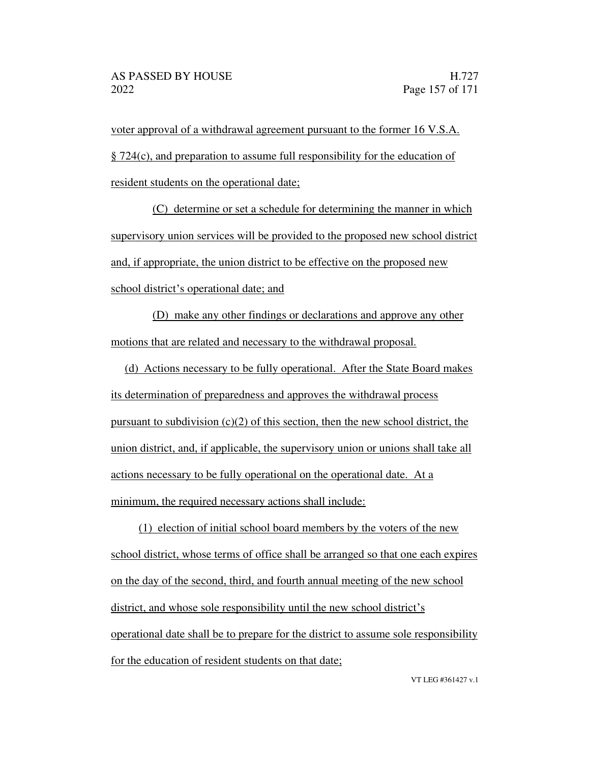voter approval of a withdrawal agreement pursuant to the former 16 V.S.A. § 724(c), and preparation to assume full responsibility for the education of resident students on the operational date;

(C) determine or set a schedule for determining the manner in which supervisory union services will be provided to the proposed new school district and, if appropriate, the union district to be effective on the proposed new school district's operational date; and

(D) make any other findings or declarations and approve any other motions that are related and necessary to the withdrawal proposal.

(d) Actions necessary to be fully operational. After the State Board makes its determination of preparedness and approves the withdrawal process pursuant to subdivision  $(c)(2)$  of this section, then the new school district, the union district, and, if applicable, the supervisory union or unions shall take all actions necessary to be fully operational on the operational date. At a minimum, the required necessary actions shall include:

(1) election of initial school board members by the voters of the new school district, whose terms of office shall be arranged so that one each expires on the day of the second, third, and fourth annual meeting of the new school district, and whose sole responsibility until the new school district's operational date shall be to prepare for the district to assume sole responsibility for the education of resident students on that date;

VT LEG #361427 v.1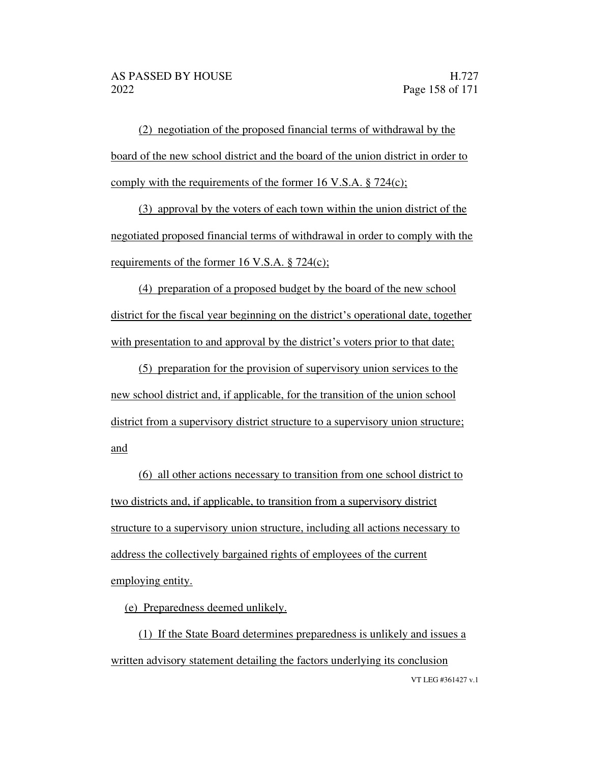(2) negotiation of the proposed financial terms of withdrawal by the board of the new school district and the board of the union district in order to comply with the requirements of the former 16 V.S.A. § 724(c);

(3) approval by the voters of each town within the union district of the negotiated proposed financial terms of withdrawal in order to comply with the requirements of the former 16 V.S.A. § 724(c);

(4) preparation of a proposed budget by the board of the new school district for the fiscal year beginning on the district's operational date, together with presentation to and approval by the district's voters prior to that date;

(5) preparation for the provision of supervisory union services to the new school district and, if applicable, for the transition of the union school district from a supervisory district structure to a supervisory union structure; and

(6) all other actions necessary to transition from one school district to two districts and, if applicable, to transition from a supervisory district structure to a supervisory union structure, including all actions necessary to address the collectively bargained rights of employees of the current employing entity.

(e) Preparedness deemed unlikely.

VT LEG #361427 v.1 (1) If the State Board determines preparedness is unlikely and issues a written advisory statement detailing the factors underlying its conclusion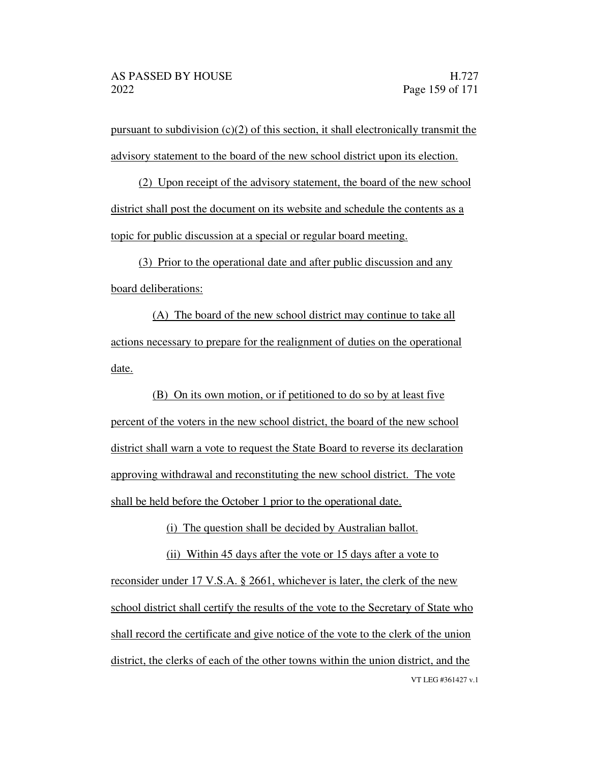pursuant to subdivision  $(c)(2)$  of this section, it shall electronically transmit the advisory statement to the board of the new school district upon its election.

(2) Upon receipt of the advisory statement, the board of the new school district shall post the document on its website and schedule the contents as a topic for public discussion at a special or regular board meeting.

(3) Prior to the operational date and after public discussion and any board deliberations:

(A) The board of the new school district may continue to take all actions necessary to prepare for the realignment of duties on the operational date.

(B) On its own motion, or if petitioned to do so by at least five percent of the voters in the new school district, the board of the new school district shall warn a vote to request the State Board to reverse its declaration approving withdrawal and reconstituting the new school district. The vote shall be held before the October 1 prior to the operational date.

(i) The question shall be decided by Australian ballot.

VT LEG #361427 v.1 (ii) Within 45 days after the vote or 15 days after a vote to reconsider under 17 V.S.A. § 2661, whichever is later, the clerk of the new school district shall certify the results of the vote to the Secretary of State who shall record the certificate and give notice of the vote to the clerk of the union district, the clerks of each of the other towns within the union district, and the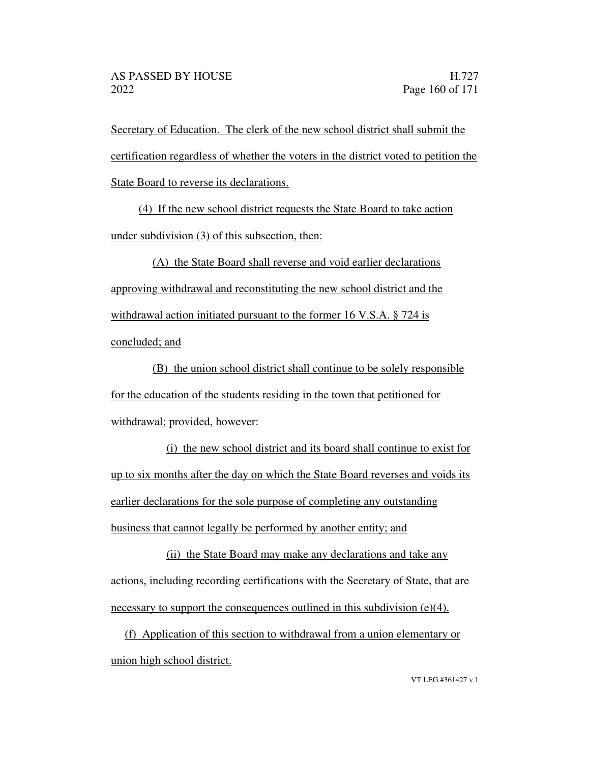Secretary of Education. The clerk of the new school district shall submit the certification regardless of whether the voters in the district voted to petition the State Board to reverse its declarations.

(4) If the new school district requests the State Board to take action under subdivision (3) of this subsection, then:

(A) the State Board shall reverse and void earlier declarations approving withdrawal and reconstituting the new school district and the withdrawal action initiated pursuant to the former 16 V.S.A. § 724 is concluded; and

(B) the union school district shall continue to be solely responsible for the education of the students residing in the town that petitioned for withdrawal; provided, however:

(i) the new school district and its board shall continue to exist for up to six months after the day on which the State Board reverses and voids its earlier declarations for the sole purpose of completing any outstanding business that cannot legally be performed by another entity; and

(ii) the State Board may make any declarations and take any actions, including recording certifications with the Secretary of State, that are necessary to support the consequences outlined in this subdivision  $(e)(4)$ .

(f) Application of this section to withdrawal from a union elementary or union high school district.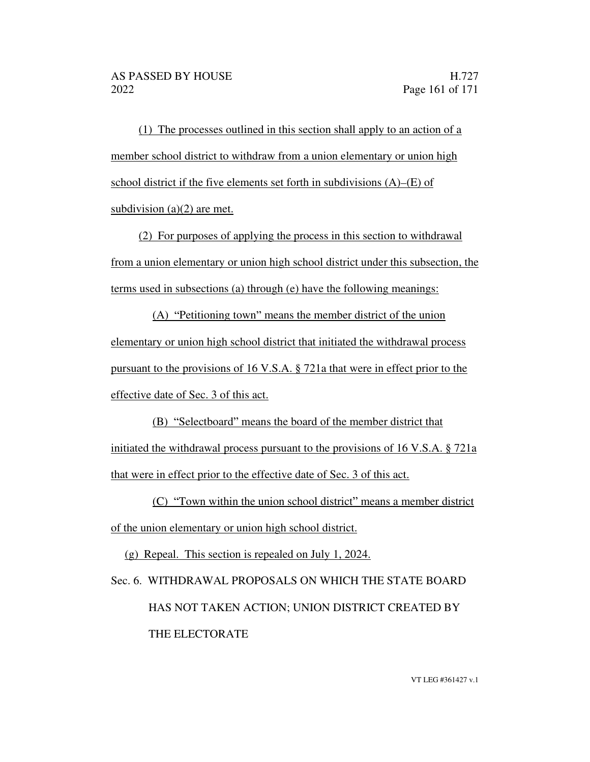(1) The processes outlined in this section shall apply to an action of a member school district to withdraw from a union elementary or union high school district if the five elements set forth in subdivisions  $(A)$ – $(E)$  of subdivision (a)(2) are met.

(2) For purposes of applying the process in this section to withdrawal from a union elementary or union high school district under this subsection, the terms used in subsections (a) through (e) have the following meanings:

 $(A)$  "Petitioning town" means the member district of the union elementary or union high school district that initiated the withdrawal process pursuant to the provisions of 16 V.S.A. § 721a that were in effect prior to the effective date of Sec. 3 of this act.

(B) "Selectboard" means the board of the member district that initiated the withdrawal process pursuant to the provisions of 16 V.S.A. § 721a that were in effect prior to the effective date of Sec. 3 of this act.

 $(C)$  "Town within the union school district" means a member district of the union elementary or union high school district.

(g) Repeal. This section is repealed on July 1, 2024.

Sec. 6. WITHDRAWAL PROPOSALS ON WHICH THE STATE BOARD HAS NOT TAKEN ACTION; UNION DISTRICT CREATED BY THE ELECTORATE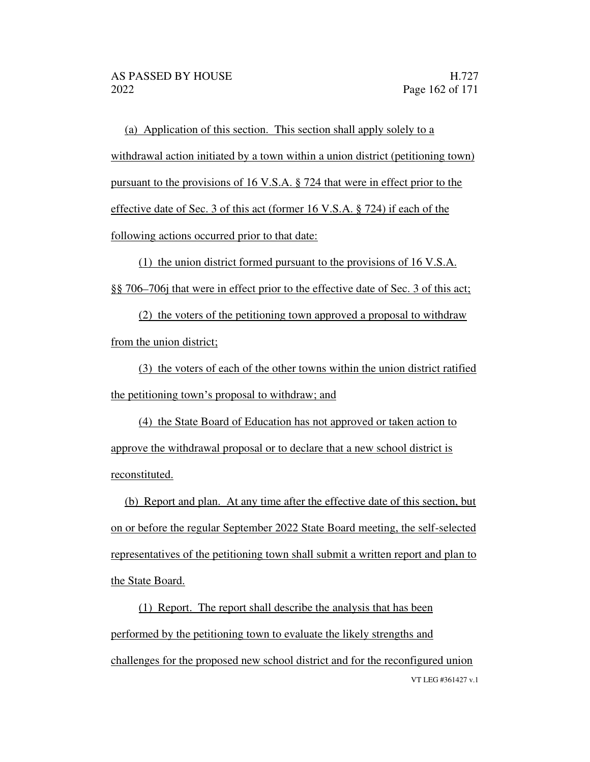(a) Application of this section. This section shall apply solely to a withdrawal action initiated by a town within a union district (petitioning town) pursuant to the provisions of 16 V.S.A. § 724 that were in effect prior to the effective date of Sec. 3 of this act (former 16 V.S.A. § 724) if each of the following actions occurred prior to that date:

(1) the union district formed pursuant to the provisions of 16 V.S.A. §§ 706–706 that were in effect prior to the effective date of Sec. 3 of this act;

(2) the voters of the petitioning town approved a proposal to withdraw from the union district;

(3) the voters of each of the other towns within the union district ratified the petitioning town's proposal to withdraw; and

(4) the State Board of Education has not approved or taken action to approve the withdrawal proposal or to declare that a new school district is reconstituted.

(b) Report and plan. At any time after the effective date of this section, but on or before the regular September 2022 State Board meeting, the self-selected representatives of the petitioning town shall submit a written report and plan to the State Board.

VT LEG #361427 v.1 (1) Report. The report shall describe the analysis that has been performed by the petitioning town to evaluate the likely strengths and challenges for the proposed new school district and for the reconfigured union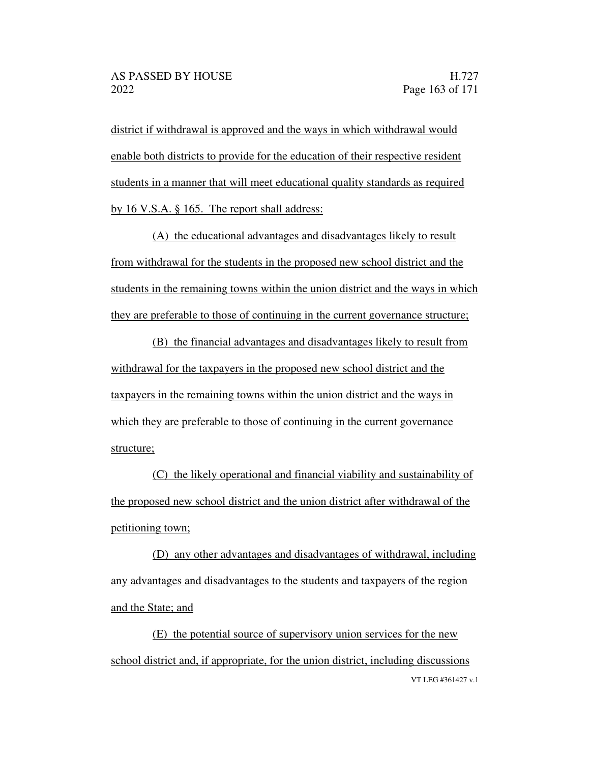district if withdrawal is approved and the ways in which withdrawal would enable both districts to provide for the education of their respective resident students in a manner that will meet educational quality standards as required by 16 V.S.A. § 165. The report shall address:

(A) the educational advantages and disadvantages likely to result from withdrawal for the students in the proposed new school district and the students in the remaining towns within the union district and the ways in which they are preferable to those of continuing in the current governance structure;

(B) the financial advantages and disadvantages likely to result from withdrawal for the taxpayers in the proposed new school district and the taxpayers in the remaining towns within the union district and the ways in which they are preferable to those of continuing in the current governance structure;

(C) the likely operational and financial viability and sustainability of the proposed new school district and the union district after withdrawal of the petitioning town;

(D) any other advantages and disadvantages of withdrawal, including any advantages and disadvantages to the students and taxpayers of the region and the State; and

VT LEG #361427 v.1 (E) the potential source of supervisory union services for the new school district and, if appropriate, for the union district, including discussions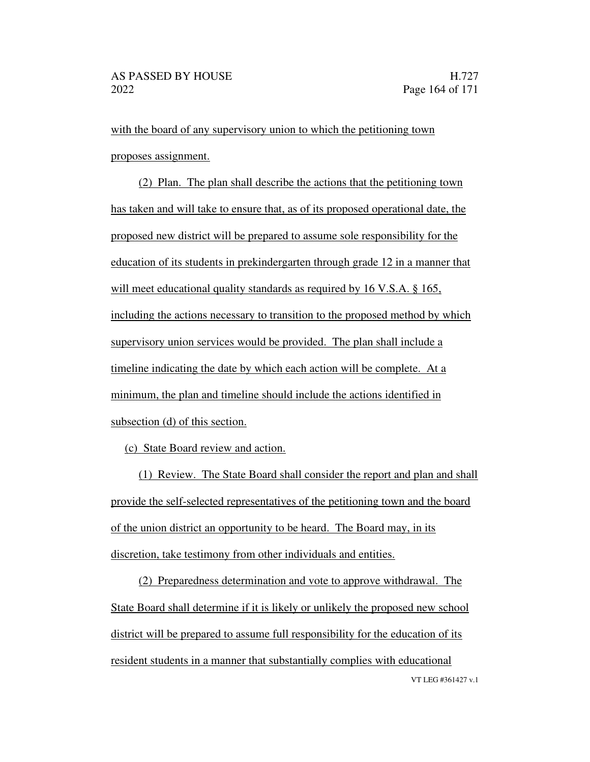with the board of any supervisory union to which the petitioning town proposes assignment.

(2) Plan. The plan shall describe the actions that the petitioning town has taken and will take to ensure that, as of its proposed operational date, the proposed new district will be prepared to assume sole responsibility for the education of its students in prekindergarten through grade 12 in a manner that will meet educational quality standards as required by 16 V.S.A. § 165, including the actions necessary to transition to the proposed method by which supervisory union services would be provided. The plan shall include a timeline indicating the date by which each action will be complete. At a minimum, the plan and timeline should include the actions identified in subsection (d) of this section.

(c) State Board review and action.

(1) Review. The State Board shall consider the report and plan and shall provide the self-selected representatives of the petitioning town and the board of the union district an opportunity to be heard. The Board may, in its discretion, take testimony from other individuals and entities.

VT LEG #361427 v.1 (2) Preparedness determination and vote to approve withdrawal. The State Board shall determine if it is likely or unlikely the proposed new school district will be prepared to assume full responsibility for the education of its resident students in a manner that substantially complies with educational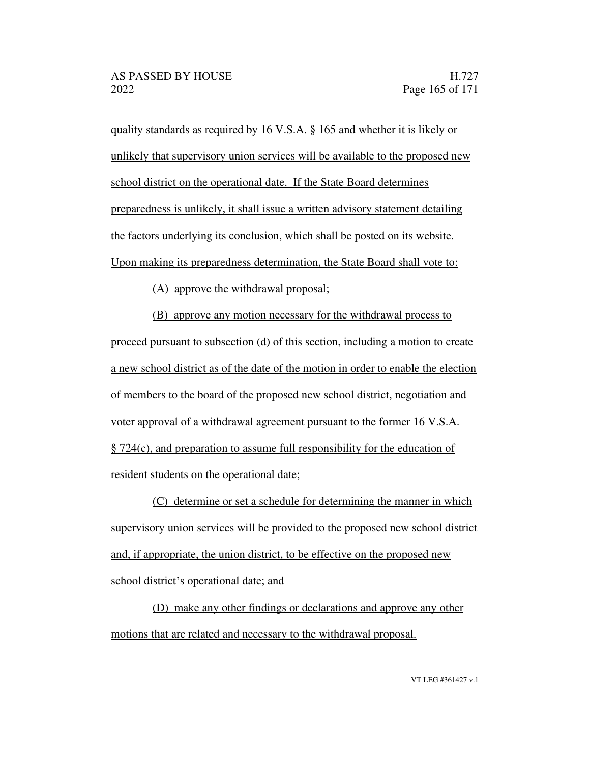quality standards as required by 16 V.S.A. § 165 and whether it is likely or unlikely that supervisory union services will be available to the proposed new school district on the operational date. If the State Board determines preparedness is unlikely, it shall issue a written advisory statement detailing the factors underlying its conclusion, which shall be posted on its website. Upon making its preparedness determination, the State Board shall vote to:

(A) approve the withdrawal proposal;

(B) approve any motion necessary for the withdrawal process to proceed pursuant to subsection (d) of this section, including a motion to create a new school district as of the date of the motion in order to enable the election of members to the board of the proposed new school district, negotiation and voter approval of a withdrawal agreement pursuant to the former 16 V.S.A. § 724(c), and preparation to assume full responsibility for the education of resident students on the operational date;

(C) determine or set a schedule for determining the manner in which supervisory union services will be provided to the proposed new school district and, if appropriate, the union district, to be effective on the proposed new school district's operational date; and

(D) make any other findings or declarations and approve any other motions that are related and necessary to the withdrawal proposal.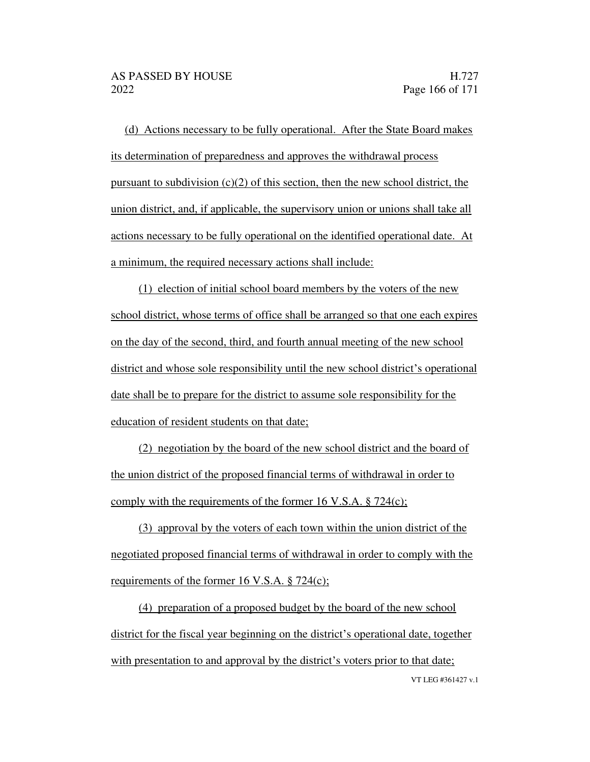(d) Actions necessary to be fully operational. After the State Board makes its determination of preparedness and approves the withdrawal process pursuant to subdivision  $(c)(2)$  of this section, then the new school district, the union district, and, if applicable, the supervisory union or unions shall take all actions necessary to be fully operational on the identified operational date. At a minimum, the required necessary actions shall include:

(1) election of initial school board members by the voters of the new school district, whose terms of office shall be arranged so that one each expires on the day of the second, third, and fourth annual meeting of the new school district and whose sole responsibility until the new school district's operational date shall be to prepare for the district to assume sole responsibility for the education of resident students on that date;

(2) negotiation by the board of the new school district and the board of the union district of the proposed financial terms of withdrawal in order to comply with the requirements of the former 16 V.S.A. § 724(c);

(3) approval by the voters of each town within the union district of the negotiated proposed financial terms of withdrawal in order to comply with the requirements of the former 16 V.S.A. § 724(c);

VT LEG #361427 v.1 (4) preparation of a proposed budget by the board of the new school district for the fiscal year beginning on the district's operational date, together with presentation to and approval by the district's voters prior to that date;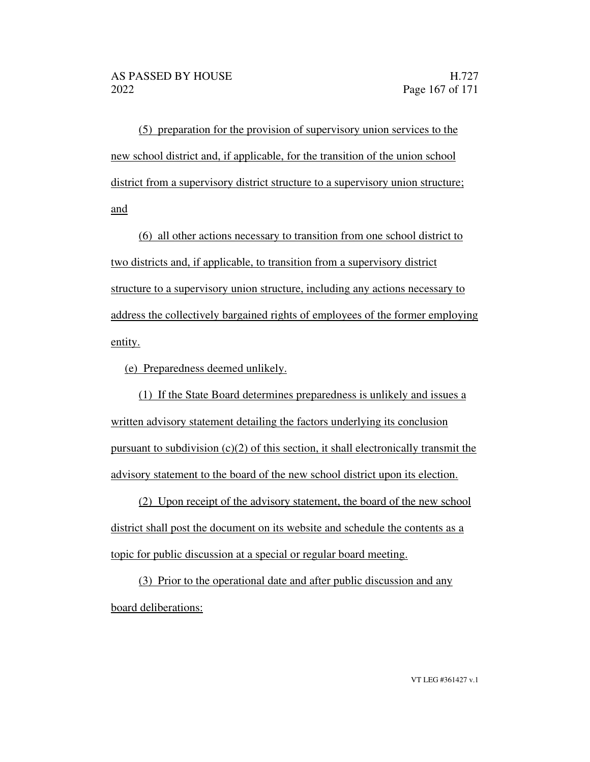(5) preparation for the provision of supervisory union services to the new school district and, if applicable, for the transition of the union school district from a supervisory district structure to a supervisory union structure; and

(6) all other actions necessary to transition from one school district to two districts and, if applicable, to transition from a supervisory district structure to a supervisory union structure, including any actions necessary to address the collectively bargained rights of employees of the former employing entity.

(e) Preparedness deemed unlikely.

(1) If the State Board determines preparedness is unlikely and issues a written advisory statement detailing the factors underlying its conclusion pursuant to subdivision  $(c)(2)$  of this section, it shall electronically transmit the advisory statement to the board of the new school district upon its election.

(2) Upon receipt of the advisory statement, the board of the new school district shall post the document on its website and schedule the contents as a topic for public discussion at a special or regular board meeting.

(3) Prior to the operational date and after public discussion and any board deliberations: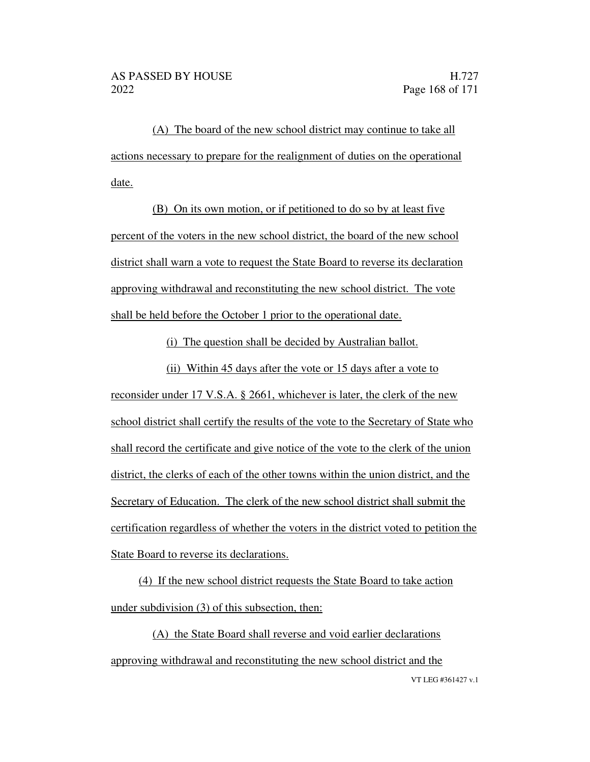(A) The board of the new school district may continue to take all actions necessary to prepare for the realignment of duties on the operational date.

(B) On its own motion, or if petitioned to do so by at least five percent of the voters in the new school district, the board of the new school district shall warn a vote to request the State Board to reverse its declaration approving withdrawal and reconstituting the new school district. The vote shall be held before the October 1 prior to the operational date.

(i) The question shall be decided by Australian ballot.

(ii) Within 45 days after the vote or 15 days after a vote to reconsider under 17 V.S.A. § 2661, whichever is later, the clerk of the new school district shall certify the results of the vote to the Secretary of State who shall record the certificate and give notice of the vote to the clerk of the union district, the clerks of each of the other towns within the union district, and the Secretary of Education. The clerk of the new school district shall submit the certification regardless of whether the voters in the district voted to petition the State Board to reverse its declarations.

(4) If the new school district requests the State Board to take action under subdivision (3) of this subsection, then:

VT LEG #361427 v.1 (A) the State Board shall reverse and void earlier declarations approving withdrawal and reconstituting the new school district and the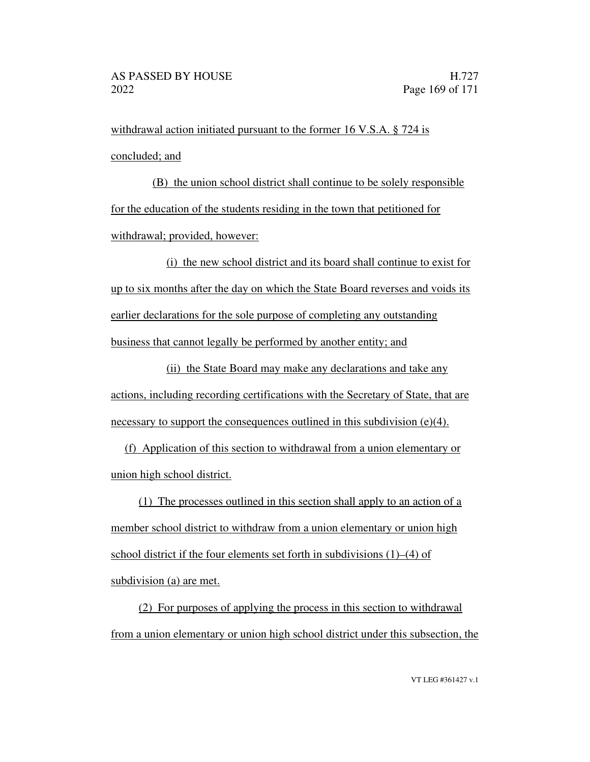withdrawal action initiated pursuant to the former 16 V.S.A. § 724 is concluded; and

(B) the union school district shall continue to be solely responsible for the education of the students residing in the town that petitioned for withdrawal; provided, however:

(i) the new school district and its board shall continue to exist for up to six months after the day on which the State Board reverses and voids its earlier declarations for the sole purpose of completing any outstanding business that cannot legally be performed by another entity; and

(ii) the State Board may make any declarations and take any actions, including recording certifications with the Secretary of State, that are necessary to support the consequences outlined in this subdivision  $(e)(4)$ .

(f) Application of this section to withdrawal from a union elementary or union high school district.

(1) The processes outlined in this section shall apply to an action of a member school district to withdraw from a union elementary or union high school district if the four elements set forth in subdivisions  $(1)$ – $(4)$  of subdivision (a) are met.

(2) For purposes of applying the process in this section to withdrawal from a union elementary or union high school district under this subsection, the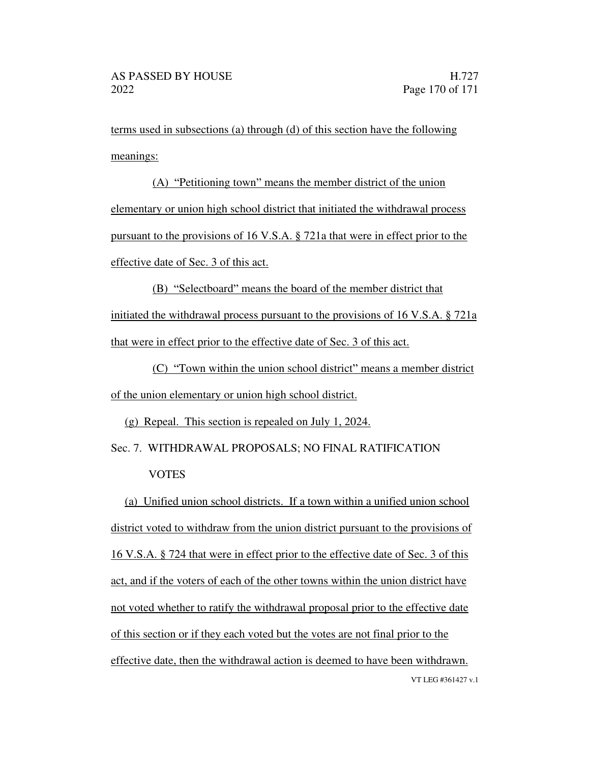terms used in subsections (a) through (d) of this section have the following meanings:

 $(A)$  "Petitioning town" means the member district of the union elementary or union high school district that initiated the withdrawal process pursuant to the provisions of 16 V.S.A. § 721a that were in effect prior to the effective date of Sec. 3 of this act.

 $(B)$  "Selectboard" means the board of the member district that initiated the withdrawal process pursuant to the provisions of 16 V.S.A. § 721a that were in effect prior to the effective date of Sec. 3 of this act.

(C) Town within the union school district means a member district of the union elementary or union high school district.

(g) Repeal. This section is repealed on July 1, 2024.

Sec. 7. WITHDRAWAL PROPOSALS; NO FINAL RATIFICATION VOTES

VT LEG #361427 v.1 (a) Unified union school districts. If a town within a unified union school district voted to withdraw from the union district pursuant to the provisions of 16 V.S.A. § 724 that were in effect prior to the effective date of Sec. 3 of this act, and if the voters of each of the other towns within the union district have not voted whether to ratify the withdrawal proposal prior to the effective date of this section or if they each voted but the votes are not final prior to the effective date, then the withdrawal action is deemed to have been withdrawn.